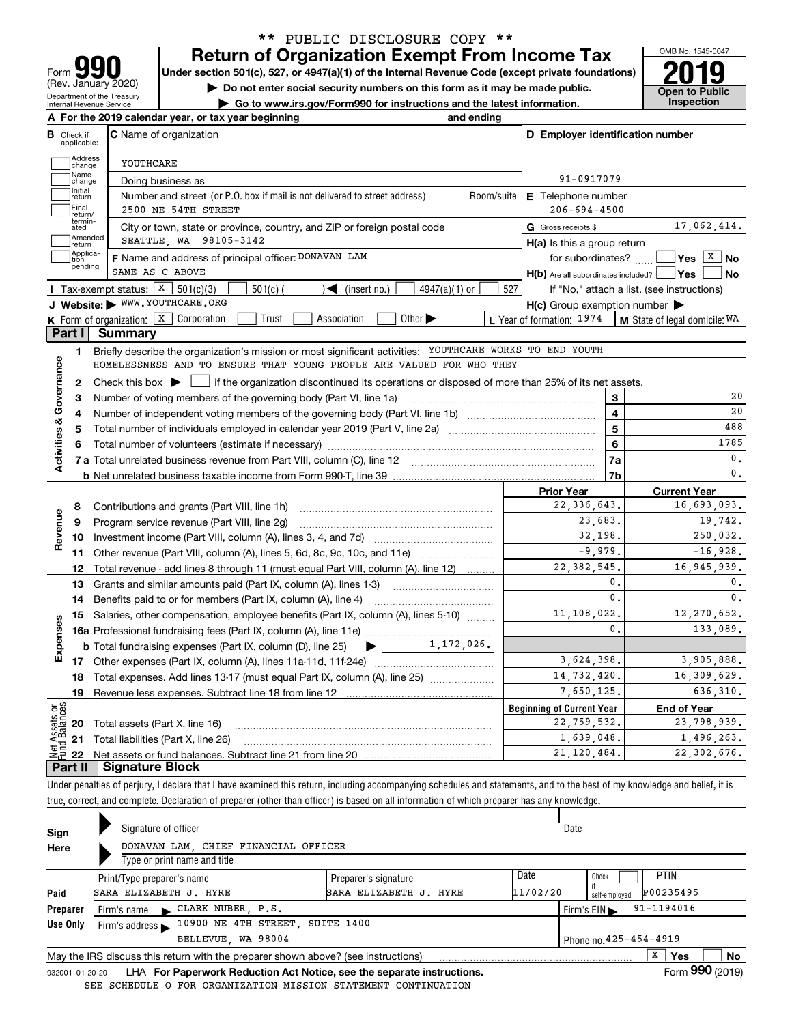| lq<br>Form                                                    |
|---------------------------------------------------------------|
| (Rev. January 2020)                                           |
| Department of the Treasury<br><b>Internal Revenue Service</b> |

## **Return of Organization Exempt From Income Tax** \*\* PUBLIC DISCLOSURE COPY \*\*

Under section 501(c), 527, or 4947(a)(1) of the Internal Revenue Code (except private foundations) **2019** 

**| Do not enter social security numbers on this form as it may be made public.**

**A For the 2019 calendar year, or tax year beginning and ending**

**| Go to www.irs.gov/Form990 for instructions and the latest information. Inspection**



| В                       | Check if<br>applicable: | <b>C</b> Name of organization                                                                                                               |                    | D Employer identification number |                |                                            |
|-------------------------|-------------------------|---------------------------------------------------------------------------------------------------------------------------------------------|--------------------|----------------------------------|----------------|--------------------------------------------|
|                         | Address<br>change       | YOUTHCARE                                                                                                                                   |                    |                                  |                |                                            |
|                         | Name<br>change          | Doing business as                                                                                                                           |                    | 91-0917079                       |                |                                            |
|                         | Initial<br>return       | Number and street (or P.O. box if mail is not delivered to street address)                                                                  | Room/suite         | <b>E</b> Telephone number        |                |                                            |
|                         | Final<br>return/        | 2500 NE 54TH STREET                                                                                                                         | $206 - 694 - 4500$ |                                  |                |                                            |
|                         | termin-<br>ated         | City or town, state or province, country, and ZIP or foreign postal code                                                                    |                    | G Gross receipts \$              |                | 17,062,414.                                |
|                         | Amended<br>return       | SEATTLE, WA 98105-3142                                                                                                                      |                    | H(a) Is this a group return      |                |                                            |
|                         | Applica-<br>tion        | F Name and address of principal officer: DONAVAN LAM                                                                                        |                    |                                  |                | for subordinates? $\Box$ Yes $X$ No        |
|                         | pending                 | $H(b)$ Are all subordinates included? $\vert$ Yes                                                                                           | $ $ No             |                                  |                |                                            |
|                         |                         | Tax-exempt status: $X$ 501(c)(3)<br>$\sqrt{\frac{2}{1}}$ (insert no.)<br>$4947(a)(1)$ or<br>$501(c)$ (                                      | 527                |                                  |                | If "No," attach a list. (see instructions) |
|                         |                         | J Website: WWW.YOUTHCARE.ORG                                                                                                                |                    | H(c) Group exemption number      |                |                                            |
|                         |                         | K Form of organization: X Corporation<br>Trust<br>Association<br>Other $\blacktriangleright$                                                |                    | L Year of formation: 1974        |                | M State of legal domicile: WA              |
|                         | Part I I                | <b>Summary</b>                                                                                                                              |                    |                                  |                |                                            |
|                         | 1.                      | Briefly describe the organization's mission or most significant activities: YOUTHCARE WORKS TO END YOUTH                                    |                    |                                  |                |                                            |
| Activities & Governance |                         | HOMELESSNESS AND TO ENSURE THAT YOUNG PEOPLE ARE VALUED FOR WHO THEY                                                                        |                    |                                  |                |                                            |
|                         | 2                       | Check this box $\blacktriangleright$ $\Box$ if the organization discontinued its operations or disposed of more than 25% of its net assets. |                    |                                  |                |                                            |
|                         | 3                       | Number of voting members of the governing body (Part VI, line 1a)                                                                           |                    |                                  | 3              | 20                                         |
|                         | 4                       |                                                                                                                                             |                    | $\overline{\mathbf{4}}$          | 20             |                                            |
|                         | 5                       |                                                                                                                                             |                    | 5                                | 488            |                                            |
|                         |                         |                                                                                                                                             |                    | 6                                | 1785           |                                            |
|                         |                         |                                                                                                                                             |                    |                                  | 7a             | $\mathbf{0}$ .                             |
|                         |                         |                                                                                                                                             |                    |                                  | 7b             | 0.                                         |
|                         |                         |                                                                                                                                             |                    | <b>Prior Year</b>                |                | <b>Current Year</b>                        |
|                         | 8                       | Contributions and grants (Part VIII, line 1h)                                                                                               |                    | 22, 336, 643.                    |                | 16,693,093.                                |
|                         | 9                       | Program service revenue (Part VIII, line 2g)                                                                                                |                    | 23,683.                          |                | 19,742.                                    |
| Revenue                 | 10                      |                                                                                                                                             |                    | 32,198.                          |                | 250.032.                                   |
|                         | 11                      | Other revenue (Part VIII, column (A), lines 5, 6d, 8c, 9c, 10c, and 11e)                                                                    |                    | $-9,979.$                        |                | $-16,928.$                                 |
|                         | 12                      | Total revenue - add lines 8 through 11 (must equal Part VIII, column (A), line 12)                                                          |                    | 22, 382, 545.                    |                | 16,945,939.                                |
|                         | 13                      | Grants and similar amounts paid (Part IX, column (A), lines 1-3)                                                                            |                    |                                  | 0.             | $\mathbf{0}$ .                             |
|                         | 14                      | Benefits paid to or for members (Part IX, column (A), line 4)                                                                               |                    |                                  | $\mathbf{0}$ . | 0.                                         |
|                         | 15                      | Salaries, other compensation, employee benefits (Part IX, column (A), lines 5-10)                                                           |                    | 11,108,022.                      |                | 12,270,652.                                |
|                         |                         |                                                                                                                                             |                    |                                  | $\mathbf{0}$ . | 133,089.                                   |
| Expenses                |                         | 1,172,026.<br><b>b</b> Total fundraising expenses (Part IX, column (D), line 25)                                                            |                    |                                  |                |                                            |
|                         |                         |                                                                                                                                             |                    | 3.624.398.                       |                | 3,905,888.                                 |
|                         | 18                      | Total expenses. Add lines 13-17 (must equal Part IX, column (A), line 25)                                                                   |                    | 14,732,420.                      |                | 16,309,629.                                |
|                         | 19                      |                                                                                                                                             |                    | 7,650,125.                       |                | 636.310.                                   |
| ăğ                      |                         |                                                                                                                                             |                    | <b>Beginning of Current Year</b> |                | <b>End of Year</b>                         |
|                         | 20                      | Total assets (Part X, line 16)                                                                                                              |                    | 22,759,532.                      |                | 23,798,939.                                |
|                         | 21                      | Total liabilities (Part X, line 26)                                                                                                         |                    | 1,639,048.                       |                | 1,496,263.                                 |
|                         | 22                      |                                                                                                                                             |                    | 21, 120, 484.                    |                | 22,302,676.                                |
|                         | Part II                 | <b>Signature Block</b>                                                                                                                      |                    |                                  |                |                                            |

Under penalties of perjury, I declare that I have examined this return, including accompanying schedules and statements, and to the best of my knowledge and belief, it is true, correct, and complete. Declaration of preparer (other than officer) is based on all information of which preparer has any knowledge.

| Sign            | Signature of officer                                                              |                      |      | Date                                               |  |  |  |  |  |  |  |  |
|-----------------|-----------------------------------------------------------------------------------|----------------------|------|----------------------------------------------------|--|--|--|--|--|--|--|--|
| Here            | DONAVAN LAM CHIEF FINANCIAL OFFICER                                               |                      |      |                                                    |  |  |  |  |  |  |  |  |
|                 | Type or print name and title                                                      |                      |      |                                                    |  |  |  |  |  |  |  |  |
|                 | Print/Type preparer's name                                                        | Preparer's signature | Date | <b>PTIN</b><br>Check                               |  |  |  |  |  |  |  |  |
| Paid            | 11/02/20<br>SARA ELIZABETH J. HYRE<br>SARA ELIZABETH J. HYRE<br>self-emploved     |                      |      |                                                    |  |  |  |  |  |  |  |  |
| Preparer        | CLARK NUBER, P.S.<br>Firm's name<br>$\mathbf{r}$                                  |                      |      | $91 - 1194016$<br>Firm's $EIN \blacktriangleright$ |  |  |  |  |  |  |  |  |
| Use Only        | Firm's address > 10900 NE 4TH STREET, SUITE 1400                                  |                      |      |                                                    |  |  |  |  |  |  |  |  |
|                 | BELLEVUE, WA 98004                                                                |                      |      | Phone no. 425-454-4919                             |  |  |  |  |  |  |  |  |
|                 | May the IRS discuss this return with the preparer shown above? (see instructions) |                      |      | x<br>No<br>Yes                                     |  |  |  |  |  |  |  |  |
| 932001 01-20-20 | LHA For Paperwork Reduction Act Notice, see the separate instructions.            |                      |      | Form 990 (2019)                                    |  |  |  |  |  |  |  |  |

SEE SCHEDULE O FOR ORGANIZATION MISSION STATEMENT CONTINUATION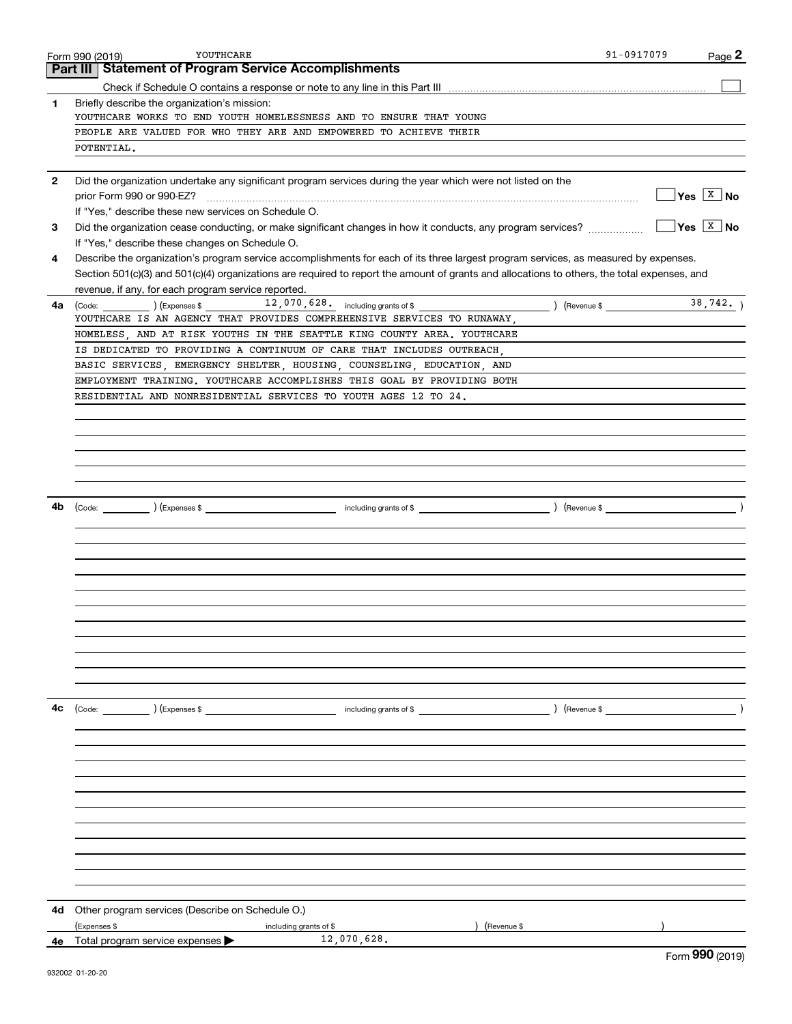| 1            | Part III   Statement of Program Service Accomplishments                                                                                      |                                              |         |
|--------------|----------------------------------------------------------------------------------------------------------------------------------------------|----------------------------------------------|---------|
|              |                                                                                                                                              |                                              |         |
|              |                                                                                                                                              |                                              |         |
|              | Briefly describe the organization's mission:                                                                                                 |                                              |         |
|              | YOUTHCARE WORKS TO END YOUTH HOMELESSNESS AND TO ENSURE THAT YOUNG                                                                           |                                              |         |
|              | PEOPLE ARE VALUED FOR WHO THEY ARE AND EMPOWERED TO ACHIEVE THEIR                                                                            |                                              |         |
|              | POTENTIAL.                                                                                                                                   |                                              |         |
| $\mathbf{2}$ | Did the organization undertake any significant program services during the year which were not listed on the                                 |                                              |         |
|              |                                                                                                                                              | $\overline{Y}$ es $\overline{X}$ No          |         |
|              | If "Yes," describe these new services on Schedule O.                                                                                         |                                              |         |
| З.           |                                                                                                                                              | $\sqrt{\mathsf{Yes}}$ $\sqrt{\mathsf{X}}$ No |         |
|              | If "Yes," describe these changes on Schedule O.                                                                                              |                                              |         |
| 4            | Describe the organization's program service accomplishments for each of its three largest program services, as measured by expenses.         |                                              |         |
|              | Section 501(c)(3) and 501(c)(4) organizations are required to report the amount of grants and allocations to others, the total expenses, and |                                              |         |
|              | revenue, if any, for each program service reported.                                                                                          |                                              |         |
| 4a           | $\left(\text{Code:}\right)$ $\left(\text{Expenses $}\right)$ $12,070,628.$ including grants of \$                                            | ) (Revenue \$                                | 38,742. |
|              | YOUTHCARE IS AN AGENCY THAT PROVIDES COMPREHENSIVE SERVICES TO RUNAWAY,                                                                      |                                              |         |
|              | HOMELESS, AND AT RISK YOUTHS IN THE SEATTLE KING COUNTY AREA. YOUTHCARE                                                                      |                                              |         |
|              | IS DEDICATED TO PROVIDING A CONTINUUM OF CARE THAT INCLUDES OUTREACH,                                                                        |                                              |         |
|              | BASIC SERVICES, EMERGENCY SHELTER, HOUSING, COUNSELING, EDUCATION, AND                                                                       |                                              |         |
|              | EMPLOYMENT TRAINING. YOUTHCARE ACCOMPLISHES THIS GOAL BY PROVIDING BOTH                                                                      |                                              |         |
|              | RESIDENTIAL AND NONRESIDENTIAL SERVICES TO YOUTH AGES 12 TO 24.                                                                              |                                              |         |
|              |                                                                                                                                              |                                              |         |
|              |                                                                                                                                              |                                              |         |
|              |                                                                                                                                              |                                              |         |
|              |                                                                                                                                              |                                              |         |
|              |                                                                                                                                              |                                              |         |
|              |                                                                                                                                              |                                              |         |
|              |                                                                                                                                              |                                              |         |
| 4b           | $\left(\text{Code:}\right)$ $\left(\text{Expenses $}\right)$<br>including grants of \$<br>) (Revenue \$                                      |                                              |         |
|              |                                                                                                                                              |                                              |         |
|              |                                                                                                                                              |                                              |         |
|              |                                                                                                                                              |                                              |         |
|              |                                                                                                                                              |                                              |         |
|              |                                                                                                                                              |                                              |         |
|              |                                                                                                                                              |                                              |         |
|              |                                                                                                                                              |                                              |         |
|              |                                                                                                                                              |                                              |         |
|              |                                                                                                                                              |                                              |         |
|              |                                                                                                                                              |                                              |         |
|              |                                                                                                                                              |                                              |         |
|              |                                                                                                                                              |                                              |         |
| 4с           | (Code: ) (Expenses \$<br>including grants of $$$<br>) (Revenue \$                                                                            |                                              |         |
|              |                                                                                                                                              |                                              |         |
|              |                                                                                                                                              |                                              |         |
|              |                                                                                                                                              |                                              |         |
|              |                                                                                                                                              |                                              |         |
|              |                                                                                                                                              |                                              |         |
|              |                                                                                                                                              |                                              |         |
|              |                                                                                                                                              |                                              |         |
|              |                                                                                                                                              |                                              |         |
|              |                                                                                                                                              |                                              |         |
|              |                                                                                                                                              |                                              |         |
|              |                                                                                                                                              |                                              |         |
|              |                                                                                                                                              |                                              |         |
|              |                                                                                                                                              |                                              |         |
|              |                                                                                                                                              |                                              |         |
| 4d           | Other program services (Describe on Schedule O.)                                                                                             |                                              |         |
|              | (Expenses \$<br>(Revenue \$<br>including grants of \$<br>12,070,628.                                                                         |                                              |         |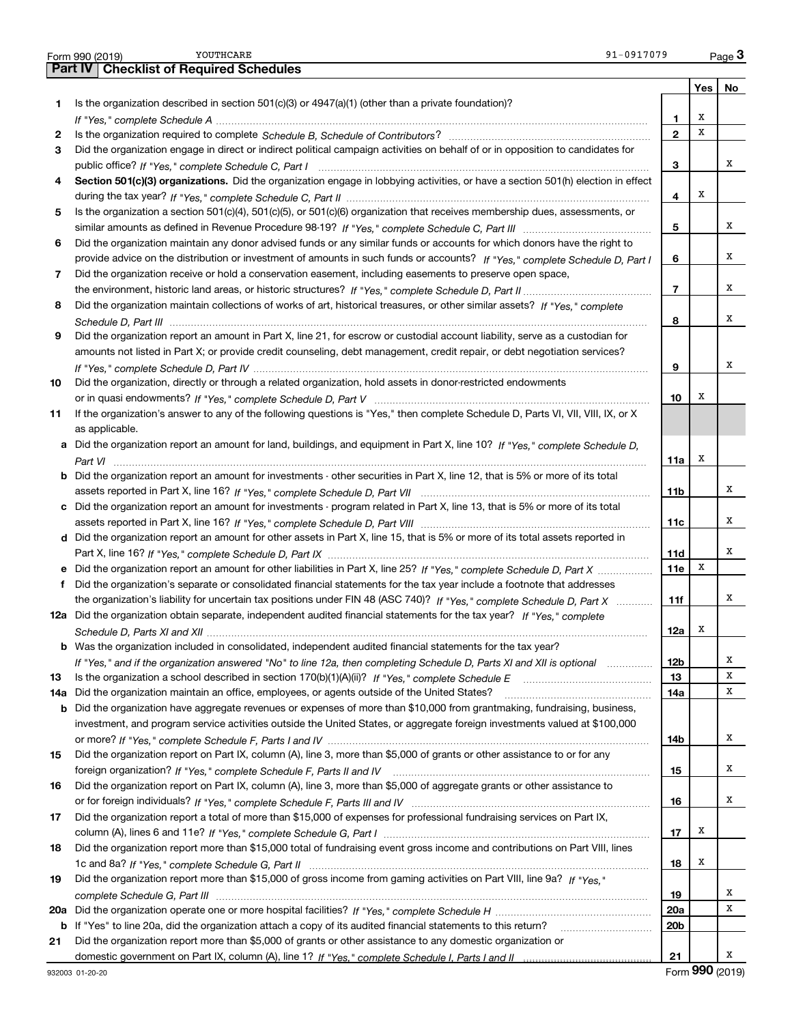|     | YOUTHCARE<br>Form 990 (2019)                                                                                                          | 91-0917079      |     | Page $3$ |
|-----|---------------------------------------------------------------------------------------------------------------------------------------|-----------------|-----|----------|
|     | <b>Checklist of Required Schedules</b><br>  Part IV                                                                                   |                 |     |          |
|     |                                                                                                                                       |                 | Yes | No       |
| 1.  | Is the organization described in section $501(c)(3)$ or $4947(a)(1)$ (other than a private foundation)?                               |                 |     |          |
|     |                                                                                                                                       | 1               | Х   |          |
| 2   |                                                                                                                                       | $\mathbf{2}$    | х   |          |
| 3   | Did the organization engage in direct or indirect political campaign activities on behalf of or in opposition to candidates for       |                 |     |          |
|     |                                                                                                                                       | 3               |     | x        |
| 4   | Section 501(c)(3) organizations. Did the organization engage in lobbying activities, or have a section 501(h) election in effect      |                 |     |          |
|     |                                                                                                                                       | 4               | х   |          |
| 5   | Is the organization a section 501(c)(4), 501(c)(5), or 501(c)(6) organization that receives membership dues, assessments, or          |                 |     |          |
|     |                                                                                                                                       | 5               |     | x        |
| 6   | Did the organization maintain any donor advised funds or any similar funds or accounts for which donors have the right to             |                 |     |          |
|     | provide advice on the distribution or investment of amounts in such funds or accounts? If "Yes," complete Schedule D, Part I          | 6               |     | х        |
| 7   | Did the organization receive or hold a conservation easement, including easements to preserve open space,                             |                 |     |          |
|     |                                                                                                                                       | $\overline{7}$  |     | х        |
| 8   | Did the organization maintain collections of works of art, historical treasures, or other similar assets? If "Yes," complete          |                 |     |          |
|     |                                                                                                                                       | 8               |     | x        |
| 9   | Did the organization report an amount in Part X, line 21, for escrow or custodial account liability, serve as a custodian for         |                 |     |          |
|     | amounts not listed in Part X; or provide credit counseling, debt management, credit repair, or debt negotiation services?             |                 |     |          |
|     |                                                                                                                                       | 9               |     | x        |
| 10  | Did the organization, directly or through a related organization, hold assets in donor-restricted endowments                          |                 |     |          |
|     |                                                                                                                                       | 10              | х   |          |
| 11  | If the organization's answer to any of the following questions is "Yes," then complete Schedule D, Parts VI, VII, VIII, IX, or X      |                 |     |          |
|     | as applicable.                                                                                                                        |                 |     |          |
|     | a Did the organization report an amount for land, buildings, and equipment in Part X, line 10? If "Yes," complete Schedule D,         |                 |     |          |
|     |                                                                                                                                       | 11a             | х   |          |
|     | <b>b</b> Did the organization report an amount for investments - other securities in Part X, line 12, that is 5% or more of its total |                 |     |          |
|     |                                                                                                                                       | 11b             |     | x        |
|     | c Did the organization report an amount for investments - program related in Part X, line 13, that is 5% or more of its total         |                 |     |          |
|     |                                                                                                                                       | 11c             |     | x        |
|     | d Did the organization report an amount for other assets in Part X, line 15, that is 5% or more of its total assets reported in       |                 |     |          |
|     |                                                                                                                                       | 11d             |     | x        |
|     | e Did the organization report an amount for other liabilities in Part X, line 25? If "Yes," complete Schedule D, Part X               | 11e             | х   |          |
|     | f Did the organization's separate or consolidated financial statements for the tax year include a footnote that addresses             |                 |     |          |
|     | the organization's liability for uncertain tax positions under FIN 48 (ASC 740)? If "Yes," complete Schedule D, Part X                | 11f             |     | x        |
|     | 12a Did the organization obtain separate, independent audited financial statements for the tax year? If "Yes," complete               |                 |     |          |
|     |                                                                                                                                       | 12a             | x   |          |
|     | <b>b</b> Was the organization included in consolidated, independent audited financial statements for the tax year?                    |                 |     |          |
|     | If "Yes," and if the organization answered "No" to line 12a, then completing Schedule D, Parts XI and XII is optional                 | 12b             |     | х        |
| 13  |                                                                                                                                       | 13              |     | х        |
| 14a | Did the organization maintain an office, employees, or agents outside of the United States?                                           | 14a             |     | х        |
| b   | Did the organization have aggregate revenues or expenses of more than \$10,000 from grantmaking, fundraising, business,               |                 |     |          |
|     | investment, and program service activities outside the United States, or aggregate foreign investments valued at \$100,000            |                 |     |          |
|     |                                                                                                                                       | 14b             |     | х        |
| 15  | Did the organization report on Part IX, column (A), line 3, more than \$5,000 of grants or other assistance to or for any             |                 |     |          |
|     |                                                                                                                                       | 15              |     | х        |
| 16  | Did the organization report on Part IX, column (A), line 3, more than \$5,000 of aggregate grants or other assistance to              |                 |     |          |
|     |                                                                                                                                       | 16              |     | х        |
| 17  | Did the organization report a total of more than \$15,000 of expenses for professional fundraising services on Part IX,               |                 |     |          |
|     |                                                                                                                                       | 17              | x   |          |
| 18  | Did the organization report more than \$15,000 total of fundraising event gross income and contributions on Part VIII, lines          |                 |     |          |
|     |                                                                                                                                       | 18              | x   |          |
| 19  | Did the organization report more than \$15,000 of gross income from gaming activities on Part VIII, line 9a? If "Yes."                |                 |     |          |
|     |                                                                                                                                       | 19              |     | х        |
| 20a |                                                                                                                                       | 20a             |     | х        |
| b   | If "Yes" to line 20a, did the organization attach a copy of its audited financial statements to this return?                          | 20 <sub>b</sub> |     |          |
| 21  | Did the organization report more than \$5,000 of grants or other assistance to any domestic organization or                           |                 |     |          |
|     |                                                                                                                                       | 21              |     | x        |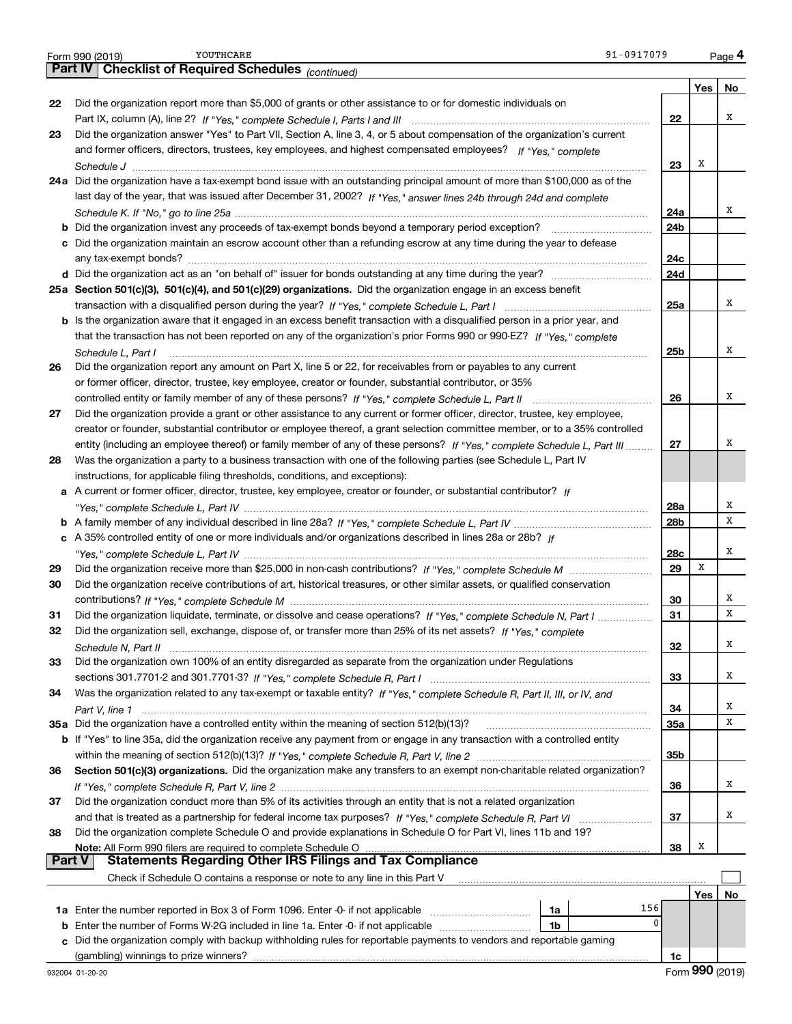|               | YOUTHCARE<br>91-0917079<br>Form 990 (2019)                                                                                   |     |     | Page 4 |
|---------------|------------------------------------------------------------------------------------------------------------------------------|-----|-----|--------|
|               | <b>Part IV   Checklist of Required Schedules</b> (continued)                                                                 |     |     |        |
|               |                                                                                                                              |     | Yes | No     |
| 22            | Did the organization report more than \$5,000 of grants or other assistance to or for domestic individuals on                |     |     |        |
|               |                                                                                                                              | 22  |     | х      |
| 23            | Did the organization answer "Yes" to Part VII, Section A, line 3, 4, or 5 about compensation of the organization's current   |     |     |        |
|               | and former officers, directors, trustees, key employees, and highest compensated employees? If "Yes," complete               |     |     |        |
|               |                                                                                                                              | 23  | х   |        |
|               | 24a Did the organization have a tax-exempt bond issue with an outstanding principal amount of more than \$100,000 as of the  |     |     |        |
|               | last day of the year, that was issued after December 31, 2002? If "Yes," answer lines 24b through 24d and complete           |     |     |        |
|               |                                                                                                                              | 24a |     | х      |
|               | <b>b</b> Did the organization invest any proceeds of tax-exempt bonds beyond a temporary period exception?                   | 24b |     |        |
|               | c Did the organization maintain an escrow account other than a refunding escrow at any time during the year to defease       |     |     |        |
|               |                                                                                                                              | 24c |     |        |
|               |                                                                                                                              | 24d |     |        |
|               | 25a Section 501(c)(3), 501(c)(4), and 501(c)(29) organizations. Did the organization engage in an excess benefit             |     |     |        |
|               |                                                                                                                              | 25a |     | х      |
|               | b Is the organization aware that it engaged in an excess benefit transaction with a disqualified person in a prior year, and |     |     |        |
|               | that the transaction has not been reported on any of the organization's prior Forms 990 or 990-EZ? If "Yes," complete        |     |     |        |
|               | Schedule L, Part I                                                                                                           | 25b |     | х      |
| 26            | Did the organization report any amount on Part X, line 5 or 22, for receivables from or payables to any current              |     |     |        |
|               | or former officer, director, trustee, key employee, creator or founder, substantial contributor, or 35%                      |     |     |        |
|               |                                                                                                                              | 26  |     | х      |
| 27            | Did the organization provide a grant or other assistance to any current or former officer, director, trustee, key employee,  |     |     |        |
|               | creator or founder, substantial contributor or employee thereof, a grant selection committee member, or to a 35% controlled  |     |     |        |
|               | entity (including an employee thereof) or family member of any of these persons? If "Yes," complete Schedule L, Part III     | 27  |     | х      |
| 28            | Was the organization a party to a business transaction with one of the following parties (see Schedule L, Part IV            |     |     |        |
|               | instructions, for applicable filing thresholds, conditions, and exceptions):                                                 |     |     |        |
|               | a A current or former officer, director, trustee, key employee, creator or founder, or substantial contributor? If           |     |     |        |
|               |                                                                                                                              | 28a |     | х      |
|               |                                                                                                                              | 28b |     | х      |
|               | c A 35% controlled entity of one or more individuals and/or organizations described in lines 28a or 28b? If                  |     |     |        |
|               |                                                                                                                              | 28c |     | х      |
| 29            |                                                                                                                              | 29  | Х   |        |
| 30            | Did the organization receive contributions of art, historical treasures, or other similar assets, or qualified conservation  |     |     |        |
|               |                                                                                                                              | 30  |     | х      |
| 31            | Did the organization liquidate, terminate, or dissolve and cease operations? If "Yes," complete Schedule N, Part I           | 31  |     | x      |
|               | Did the organization sell, exchange, dispose of, or transfer more than 25% of its net assets? If "Yes," complete             |     |     |        |
|               |                                                                                                                              | 32  |     | X      |
| 33            | Did the organization own 100% of an entity disregarded as separate from the organization under Regulations                   |     |     |        |
|               |                                                                                                                              | 33  |     | х      |
| 34            | Was the organization related to any tax-exempt or taxable entity? If "Yes," complete Schedule R, Part II, III, or IV, and    |     |     |        |
|               |                                                                                                                              | 34  |     | х      |
|               | 35a Did the organization have a controlled entity within the meaning of section 512(b)(13)?                                  | 35a |     | х      |
|               | b If "Yes" to line 35a, did the organization receive any payment from or engage in any transaction with a controlled entity  |     |     |        |
|               |                                                                                                                              | 35b |     |        |
| 36            | Section 501(c)(3) organizations. Did the organization make any transfers to an exempt non-charitable related organization?   |     |     |        |
|               |                                                                                                                              | 36  |     | х      |
| 37            | Did the organization conduct more than 5% of its activities through an entity that is not a related organization             |     |     |        |
|               |                                                                                                                              | 37  |     | х      |
| 38            | Did the organization complete Schedule O and provide explanations in Schedule O for Part VI, lines 11b and 19?               |     |     |        |
|               | Note: All Form 990 filers are required to complete Schedule O                                                                | 38  | х   |        |
| <b>Part V</b> | <b>Statements Regarding Other IRS Filings and Tax Compliance</b>                                                             |     |     |        |
|               | Check if Schedule O contains a response or note to any line in this Part V                                                   |     |     |        |
|               |                                                                                                                              |     | Yes | No     |
|               | 156<br>1a                                                                                                                    |     |     |        |
| b             | 0<br>Enter the number of Forms W-2G included in line 1a. Enter -0- if not applicable<br>1b                                   |     |     |        |
| c             | Did the organization comply with backup withholding rules for reportable payments to vendors and reportable gaming           |     |     |        |
|               | (gambling) winnings to prize winners?                                                                                        | 1c  |     |        |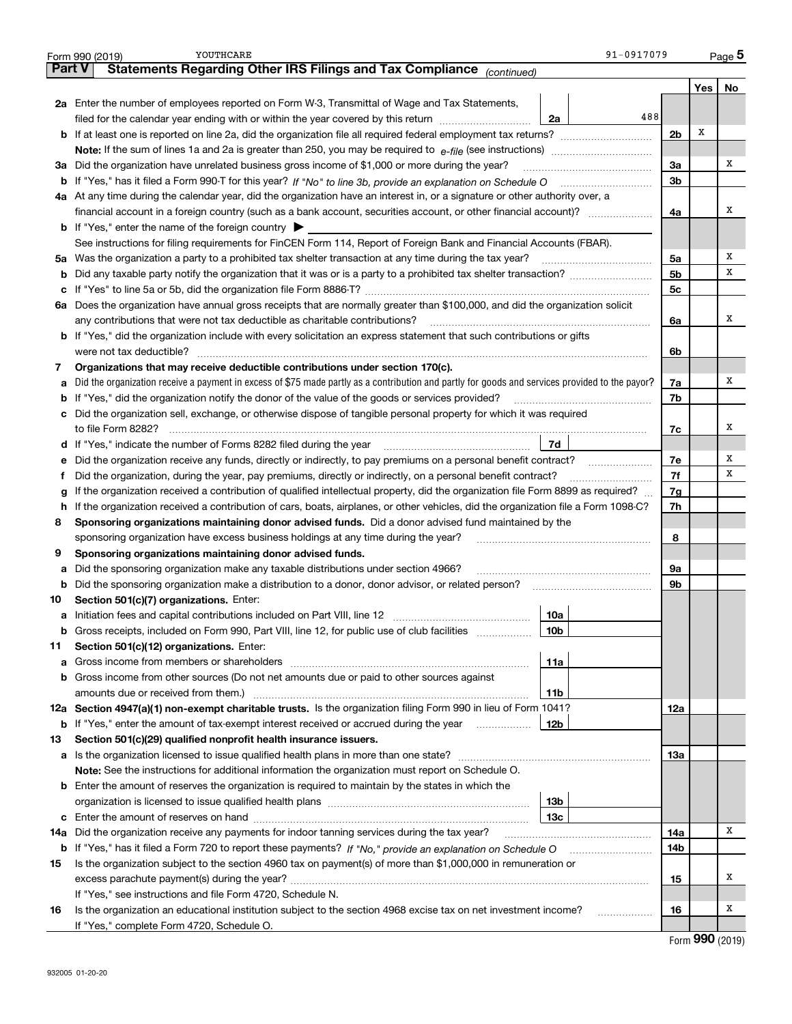|     |                                                                                                        | YOUTHCARE<br>Form 990 (2019)                                                                                                                                                                                                                       | 91-0917079      |                |              | Page $5$ |  |  |  |  |  |  |
|-----|--------------------------------------------------------------------------------------------------------|----------------------------------------------------------------------------------------------------------------------------------------------------------------------------------------------------------------------------------------------------|-----------------|----------------|--------------|----------|--|--|--|--|--|--|
|     | <b>Part V</b>                                                                                          | Statements Regarding Other IRS Filings and Tax Compliance (continued)                                                                                                                                                                              |                 |                |              |          |  |  |  |  |  |  |
|     |                                                                                                        |                                                                                                                                                                                                                                                    |                 |                | Yes          | No       |  |  |  |  |  |  |
|     |                                                                                                        | 2a Enter the number of employees reported on Form W-3, Transmittal of Wage and Tax Statements,                                                                                                                                                     |                 |                |              |          |  |  |  |  |  |  |
|     |                                                                                                        | filed for the calendar year ending with or within the year covered by this return <i>[[[[[[[[[[[[[[]]]]</i> ]]                                                                                                                                     | 488<br>2a       |                |              |          |  |  |  |  |  |  |
|     | 2 <sub>b</sub>                                                                                         |                                                                                                                                                                                                                                                    |                 |                |              |          |  |  |  |  |  |  |
|     |                                                                                                        |                                                                                                                                                                                                                                                    |                 |                |              |          |  |  |  |  |  |  |
|     | 3a<br>3a Did the organization have unrelated business gross income of \$1,000 or more during the year? |                                                                                                                                                                                                                                                    |                 |                |              |          |  |  |  |  |  |  |
|     |                                                                                                        |                                                                                                                                                                                                                                                    |                 | 3 <sub>b</sub> |              |          |  |  |  |  |  |  |
|     |                                                                                                        | 4a At any time during the calendar year, did the organization have an interest in, or a signature or other authority over, a                                                                                                                       |                 |                |              |          |  |  |  |  |  |  |
|     |                                                                                                        | financial account in a foreign country (such as a bank account, securities account, or other financial account)?                                                                                                                                   |                 | 4a             |              | x        |  |  |  |  |  |  |
|     |                                                                                                        | <b>b</b> If "Yes," enter the name of the foreign country $\blacktriangleright$                                                                                                                                                                     |                 |                |              |          |  |  |  |  |  |  |
|     |                                                                                                        | See instructions for filing requirements for FinCEN Form 114, Report of Foreign Bank and Financial Accounts (FBAR).                                                                                                                                |                 |                |              |          |  |  |  |  |  |  |
| 5a  |                                                                                                        | Was the organization a party to a prohibited tax shelter transaction at any time during the tax year?                                                                                                                                              |                 | 5a             |              | X        |  |  |  |  |  |  |
| b   |                                                                                                        |                                                                                                                                                                                                                                                    |                 | 5 <sub>b</sub> |              | x        |  |  |  |  |  |  |
| с   |                                                                                                        |                                                                                                                                                                                                                                                    |                 | 5c             |              |          |  |  |  |  |  |  |
|     |                                                                                                        | 6a Does the organization have annual gross receipts that are normally greater than \$100,000, and did the organization solicit                                                                                                                     |                 |                |              |          |  |  |  |  |  |  |
|     |                                                                                                        | any contributions that were not tax deductible as charitable contributions?                                                                                                                                                                        |                 | 6a             |              | x        |  |  |  |  |  |  |
|     |                                                                                                        | <b>b</b> If "Yes," did the organization include with every solicitation an express statement that such contributions or gifts                                                                                                                      |                 |                |              |          |  |  |  |  |  |  |
|     |                                                                                                        | were not tax deductible?                                                                                                                                                                                                                           |                 | 6b             |              |          |  |  |  |  |  |  |
|     |                                                                                                        |                                                                                                                                                                                                                                                    |                 |                |              |          |  |  |  |  |  |  |
| 7   |                                                                                                        | Organizations that may receive deductible contributions under section 170(c).                                                                                                                                                                      |                 | 7a             |              | x        |  |  |  |  |  |  |
| а   |                                                                                                        | Did the organization receive a payment in excess of \$75 made partly as a contribution and partly for goods and services provided to the payor?<br>If "Yes," did the organization notify the donor of the value of the goods or services provided? |                 | 7b             |              |          |  |  |  |  |  |  |
| b   |                                                                                                        |                                                                                                                                                                                                                                                    |                 |                |              |          |  |  |  |  |  |  |
| c   |                                                                                                        | Did the organization sell, exchange, or otherwise dispose of tangible personal property for which it was required                                                                                                                                  |                 |                |              | x        |  |  |  |  |  |  |
|     |                                                                                                        |                                                                                                                                                                                                                                                    |                 | 7c             |              |          |  |  |  |  |  |  |
|     |                                                                                                        | d If "Yes," indicate the number of Forms 8282 filed during the year [11,111] The set response to the number of Forms 8282 filed during the year                                                                                                    | 7d              |                |              | х        |  |  |  |  |  |  |
| е   |                                                                                                        |                                                                                                                                                                                                                                                    |                 | 7e             |              | x        |  |  |  |  |  |  |
| f   |                                                                                                        | Did the organization, during the year, pay premiums, directly or indirectly, on a personal benefit contract?                                                                                                                                       |                 | 7f             |              |          |  |  |  |  |  |  |
| g   |                                                                                                        | If the organization received a contribution of qualified intellectual property, did the organization file Form 8899 as required?                                                                                                                   |                 | 7g             |              |          |  |  |  |  |  |  |
| h.  |                                                                                                        | If the organization received a contribution of cars, boats, airplanes, or other vehicles, did the organization file a Form 1098-C?                                                                                                                 |                 | 7h             |              |          |  |  |  |  |  |  |
| 8   |                                                                                                        | Sponsoring organizations maintaining donor advised funds. Did a donor advised fund maintained by the                                                                                                                                               |                 |                |              |          |  |  |  |  |  |  |
|     |                                                                                                        | sponsoring organization have excess business holdings at any time during the year?                                                                                                                                                                 |                 | 8              |              |          |  |  |  |  |  |  |
| 9   |                                                                                                        | Sponsoring organizations maintaining donor advised funds.                                                                                                                                                                                          |                 |                |              |          |  |  |  |  |  |  |
| а   |                                                                                                        | Did the sponsoring organization make any taxable distributions under section 4966?                                                                                                                                                                 |                 | 9a             |              |          |  |  |  |  |  |  |
| b   |                                                                                                        |                                                                                                                                                                                                                                                    |                 | 9b             |              |          |  |  |  |  |  |  |
| 10  |                                                                                                        | Section 501(c)(7) organizations. Enter:                                                                                                                                                                                                            |                 |                |              |          |  |  |  |  |  |  |
|     |                                                                                                        |                                                                                                                                                                                                                                                    | 10a             |                |              |          |  |  |  |  |  |  |
|     |                                                                                                        | Gross receipts, included on Form 990, Part VIII, line 12, for public use of club facilities                                                                                                                                                        | 10b             |                |              |          |  |  |  |  |  |  |
| 11  |                                                                                                        | Section 501(c)(12) organizations. Enter:                                                                                                                                                                                                           |                 |                |              |          |  |  |  |  |  |  |
| a   |                                                                                                        | Gross income from members or shareholders                                                                                                                                                                                                          | 11a             |                |              |          |  |  |  |  |  |  |
| b   |                                                                                                        | Gross income from other sources (Do not net amounts due or paid to other sources against                                                                                                                                                           |                 |                |              |          |  |  |  |  |  |  |
|     |                                                                                                        |                                                                                                                                                                                                                                                    | 11b             |                |              |          |  |  |  |  |  |  |
|     |                                                                                                        | 12a Section 4947(a)(1) non-exempt charitable trusts. Is the organization filing Form 990 in lieu of Form 1041?                                                                                                                                     |                 | 12a            |              |          |  |  |  |  |  |  |
|     |                                                                                                        | <b>b</b> If "Yes," enter the amount of tax-exempt interest received or accrued during the year                                                                                                                                                     | 12b             |                |              |          |  |  |  |  |  |  |
| 13  |                                                                                                        | Section 501(c)(29) qualified nonprofit health insurance issuers.                                                                                                                                                                                   |                 |                |              |          |  |  |  |  |  |  |
|     |                                                                                                        | a Is the organization licensed to issue qualified health plans in more than one state?                                                                                                                                                             |                 | 13а            |              |          |  |  |  |  |  |  |
|     |                                                                                                        | Note: See the instructions for additional information the organization must report on Schedule O.                                                                                                                                                  |                 |                |              |          |  |  |  |  |  |  |
| b   |                                                                                                        | Enter the amount of reserves the organization is required to maintain by the states in which the                                                                                                                                                   |                 |                |              |          |  |  |  |  |  |  |
|     |                                                                                                        |                                                                                                                                                                                                                                                    | 13b             |                |              |          |  |  |  |  |  |  |
|     |                                                                                                        |                                                                                                                                                                                                                                                    | 13 <sub>c</sub> |                |              |          |  |  |  |  |  |  |
| 14a |                                                                                                        | Did the organization receive any payments for indoor tanning services during the tax year?                                                                                                                                                         |                 | 14a            |              | x        |  |  |  |  |  |  |
|     |                                                                                                        | <b>b</b> If "Yes," has it filed a Form 720 to report these payments? If "No," provide an explanation on Schedule O                                                                                                                                 |                 | 14b            |              |          |  |  |  |  |  |  |
| 15  |                                                                                                        | Is the organization subject to the section 4960 tax on payment(s) of more than \$1,000,000 in remuneration or                                                                                                                                      |                 |                |              |          |  |  |  |  |  |  |
|     |                                                                                                        |                                                                                                                                                                                                                                                    |                 | 15             |              | х        |  |  |  |  |  |  |
|     |                                                                                                        | If "Yes," see instructions and file Form 4720, Schedule N.                                                                                                                                                                                         |                 |                |              |          |  |  |  |  |  |  |
| 16  |                                                                                                        | Is the organization an educational institution subject to the section 4968 excise tax on net investment income?                                                                                                                                    |                 | 16             |              | х        |  |  |  |  |  |  |
|     |                                                                                                        | If "Yes," complete Form 4720, Schedule O.                                                                                                                                                                                                          |                 |                |              |          |  |  |  |  |  |  |
|     |                                                                                                        |                                                                                                                                                                                                                                                    |                 |                | റററ <i>ം</i> |          |  |  |  |  |  |  |

Form (2019) **990**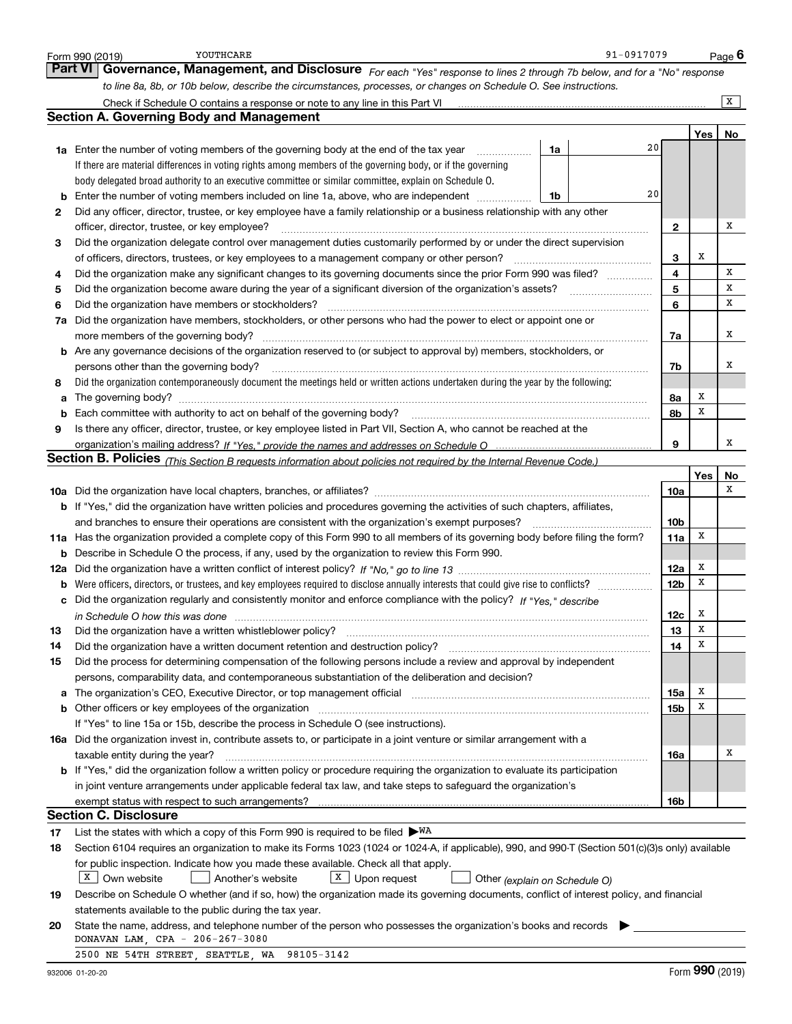|    | 91-0917079<br>YOUTHCARE<br>Form 990 (2019)                                                                                                                                                                                         |                 |     | Page 6  |
|----|------------------------------------------------------------------------------------------------------------------------------------------------------------------------------------------------------------------------------------|-----------------|-----|---------|
|    | <b>Part VI</b><br>Governance, Management, and Disclosure For each "Yes" response to lines 2 through 7b below, and for a "No" response                                                                                              |                 |     |         |
|    | to line 8a, 8b, or 10b below, describe the circumstances, processes, or changes on Schedule O. See instructions.                                                                                                                   |                 |     |         |
|    | Check if Schedule O contains a response or note to any line in this Part VI [11] [12] Check if Schedule O contains a response or note to any line in this Part VI                                                                  |                 |     | X       |
|    | <b>Section A. Governing Body and Management</b>                                                                                                                                                                                    |                 |     |         |
|    |                                                                                                                                                                                                                                    |                 | Yes | No      |
|    | 20<br><b>1a</b> Enter the number of voting members of the governing body at the end of the tax year <i>manumum</i><br>1a                                                                                                           |                 |     |         |
|    | If there are material differences in voting rights among members of the governing body, or if the governing                                                                                                                        |                 |     |         |
|    | body delegated broad authority to an executive committee or similar committee, explain on Schedule O.                                                                                                                              |                 |     |         |
| b  | 20<br>Enter the number of voting members included on line 1a, above, who are independent <i>management</i><br>1b                                                                                                                   |                 |     |         |
| 2  | Did any officer, director, trustee, or key employee have a family relationship or a business relationship with any other                                                                                                           |                 |     |         |
|    | officer, director, trustee, or key employee?                                                                                                                                                                                       | $\mathbf{2}$    |     | х       |
| 3  | Did the organization delegate control over management duties customarily performed by or under the direct supervision                                                                                                              |                 |     |         |
|    | of officers, directors, trustees, or key employees to a management company or other person?                                                                                                                                        | З               | х   |         |
| 4  | Did the organization make any significant changes to its governing documents since the prior Form 990 was filed?                                                                                                                   | 4               |     | х       |
| 5  | Did the organization become aware during the year of a significant diversion of the organization's assets?                                                                                                                         | 5               |     | х       |
| 6  | Did the organization have members or stockholders?                                                                                                                                                                                 | 6               |     | х       |
| 7a | Did the organization have members, stockholders, or other persons who had the power to elect or appoint one or                                                                                                                     |                 |     |         |
|    | more members of the governing body?                                                                                                                                                                                                | 7a              |     | х       |
|    | <b>b</b> Are any governance decisions of the organization reserved to (or subject to approval by) members, stockholders, or                                                                                                        |                 |     |         |
|    | persons other than the governing body?                                                                                                                                                                                             | 7b              |     | х       |
| 8  | Did the organization contemporaneously document the meetings held or written actions undertaken during the year by the following:                                                                                                  |                 |     |         |
| a  | The governing body?                                                                                                                                                                                                                | 8a              | х   |         |
| b  | Each committee with authority to act on behalf of the governing body?                                                                                                                                                              | 8b              | x   |         |
| 9  | Is there any officer, director, trustee, or key employee listed in Part VII, Section A, who cannot be reached at the                                                                                                               |                 |     |         |
|    |                                                                                                                                                                                                                                    | 9               |     | x       |
|    | <b>Section B. Policies</b> (This Section B requests information about policies not required by the Internal Revenue Code.)                                                                                                         |                 |     |         |
|    |                                                                                                                                                                                                                                    |                 | Yes | No<br>х |
|    |                                                                                                                                                                                                                                    | 10a             |     |         |
|    | <b>b</b> If "Yes," did the organization have written policies and procedures governing the activities of such chapters, affiliates,                                                                                                | 10 <sub>b</sub> |     |         |
|    | and branches to ensure their operations are consistent with the organization's exempt purposes?<br>11a Has the organization provided a complete copy of this Form 990 to all members of its governing body before filing the form? | 11a             | х   |         |
|    | <b>b</b> Describe in Schedule O the process, if any, used by the organization to review this Form 990.                                                                                                                             |                 |     |         |
|    |                                                                                                                                                                                                                                    | 12a             | х   |         |
|    | <b>b</b> Were officers, directors, or trustees, and key employees required to disclose annually interests that could give rise to conflicts?                                                                                       | 12 <sub>b</sub> | х   |         |
|    | c Did the organization regularly and consistently monitor and enforce compliance with the policy? If "Yes," describe                                                                                                               |                 |     |         |
|    | in Schedule O how this was done manufactured and continuum and contact the United Schedule O how this was done                                                                                                                     | 12c             | х   |         |
| 13 | Did the organization have a written whistleblower policy?                                                                                                                                                                          | 13              | х   |         |
| 14 | Did the organization have a written document retention and destruction policy?                                                                                                                                                     | 14              | х   |         |
| 15 | Did the process for determining compensation of the following persons include a review and approval by independent                                                                                                                 |                 |     |         |
|    | persons, comparability data, and contemporaneous substantiation of the deliberation and decision?                                                                                                                                  |                 |     |         |
| а  | The organization's CEO, Executive Director, or top management official manufactured content of the organization's CEO, Executive Director, or top management official                                                              | 15a             | х   |         |
| b  | Other officers or key employees of the organization                                                                                                                                                                                | 15b             | х   |         |
|    | If "Yes" to line 15a or 15b, describe the process in Schedule O (see instructions).                                                                                                                                                |                 |     |         |
|    | 16a Did the organization invest in, contribute assets to, or participate in a joint venture or similar arrangement with a                                                                                                          |                 |     |         |
|    | taxable entity during the year?                                                                                                                                                                                                    | 16a             |     | х       |
|    | <b>b</b> If "Yes," did the organization follow a written policy or procedure requiring the organization to evaluate its participation                                                                                              |                 |     |         |
|    | in joint venture arrangements under applicable federal tax law, and take steps to safeguard the organization's                                                                                                                     |                 |     |         |
|    |                                                                                                                                                                                                                                    | 16b             |     |         |
|    | <b>Section C. Disclosure</b>                                                                                                                                                                                                       |                 |     |         |
| 17 | List the states with which a copy of this Form 990 is required to be filed $\triangleright$ <sup>MA</sup>                                                                                                                          |                 |     |         |
| 18 | Section 6104 requires an organization to make its Forms 1023 (1024 or 1024-A, if applicable), 990, and 990-T (Section 501(c)(3)s only) available                                                                                   |                 |     |         |
|    | for public inspection. Indicate how you made these available. Check all that apply.                                                                                                                                                |                 |     |         |
|    | $X$ Own website<br>$X$ Upon request<br>Another's website<br>Other (explain on Schedule O)                                                                                                                                          |                 |     |         |
| 19 | Describe on Schedule O whether (and if so, how) the organization made its governing documents, conflict of interest policy, and financial                                                                                          |                 |     |         |
|    | statements available to the public during the tax year.                                                                                                                                                                            |                 |     |         |
| 20 | State the name, address, and telephone number of the person who possesses the organization's books and records<br>DONAVAN LAM, CPA - 206-267-3080                                                                                  |                 |     |         |
|    | 2500 NE 54TH STREET, SEATTLE, WA 98105-3142                                                                                                                                                                                        |                 |     |         |
|    |                                                                                                                                                                                                                                    |                 |     |         |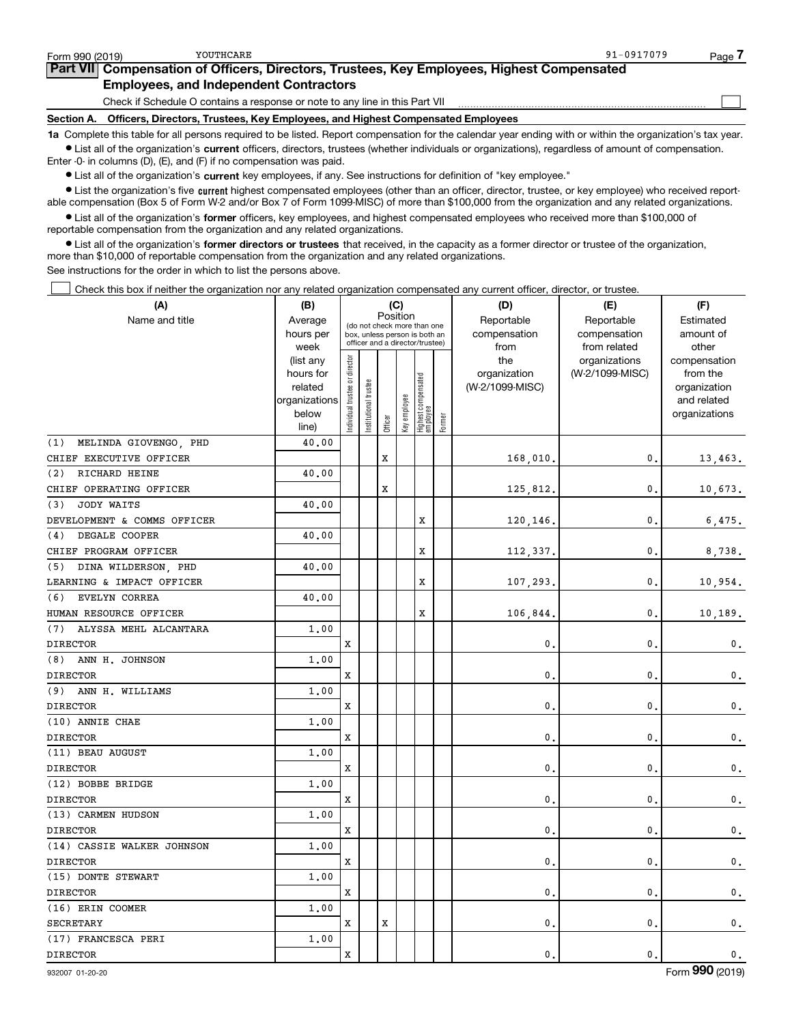| Form 990 (2019) | YOUTHCARE                                                                                                                                                  | 91-0917079<br>Page |  |
|-----------------|------------------------------------------------------------------------------------------------------------------------------------------------------------|--------------------|--|
|                 | Part VII Compensation of Officers, Directors, Trustees, Key Employees, Highest Compensated                                                                 |                    |  |
|                 | <b>Employees, and Independent Contractors</b>                                                                                                              |                    |  |
|                 | Check if Schedule O contains a response or note to any line in this Part VII                                                                               |                    |  |
|                 | Section A. Officers, Directors, Trustees, Key Employees, and Highest Compensated Employees                                                                 |                    |  |
|                 | 1a Complete this table for all persons required to be listed. Report compensation for the calendar year ending with or within the organization's tax year. |                    |  |

**•** List all of the organization's current officers, directors, trustees (whether individuals or organizations), regardless of amount of compensation. Enter -0- in columns (D), (E), and (F) if no compensation was paid.

 $\bullet$  List all of the organization's  $\,$ current key employees, if any. See instructions for definition of "key employee."

**•** List the organization's five current highest compensated employees (other than an officer, director, trustee, or key employee) who received reportable compensation (Box 5 of Form W-2 and/or Box 7 of Form 1099-MISC) of more than \$100,000 from the organization and any related organizations.

**•** List all of the organization's former officers, key employees, and highest compensated employees who received more than \$100,000 of reportable compensation from the organization and any related organizations.

**former directors or trustees**  ¥ List all of the organization's that received, in the capacity as a former director or trustee of the organization, more than \$10,000 of reportable compensation from the organization and any related organizations.

See instructions for the order in which to list the persons above.

Check this box if neither the organization nor any related organization compensated any current officer, director, or trustee.  $\mathcal{L}^{\text{max}}$ 

| (A)                          | (B)                    |                                |                                                                  |         | (C)          |                                 |            | (D)             | (E)                              | (F)                      |
|------------------------------|------------------------|--------------------------------|------------------------------------------------------------------|---------|--------------|---------------------------------|------------|-----------------|----------------------------------|--------------------------|
| Name and title               | Average                | (do not check more than one    | Position                                                         |         |              |                                 | Reportable | Reportable      | Estimated                        |                          |
|                              | hours per              |                                | box, unless person is both an<br>officer and a director/trustee) |         |              |                                 |            | compensation    | compensation                     | amount of                |
|                              | week                   |                                |                                                                  |         |              |                                 |            | from<br>the     | from related                     | other                    |
|                              | (list any<br>hours for |                                |                                                                  |         |              |                                 |            | organization    | organizations<br>(W-2/1099-MISC) | compensation<br>from the |
|                              | related                |                                | trustee                                                          |         |              |                                 |            | (W-2/1099-MISC) |                                  | organization             |
|                              | organizations          |                                |                                                                  |         |              |                                 |            |                 |                                  | and related              |
|                              | below                  | Individual trustee or director | Institutional t                                                  |         | Key employee | Highest compensated<br>employee |            |                 |                                  | organizations            |
|                              | line)                  |                                |                                                                  | Officer |              |                                 | Former     |                 |                                  |                          |
| (1) MELINDA GIOVENGO, PHD    | 40.00                  |                                |                                                                  |         |              |                                 |            |                 |                                  |                          |
| CHIEF EXECUTIVE OFFICER      |                        |                                |                                                                  | X       |              |                                 |            | 168,010.        | 0.                               | 13,463.                  |
| RICHARD HEINE<br>(2)         | 40.00                  |                                |                                                                  |         |              |                                 |            |                 |                                  |                          |
| CHIEF OPERATING OFFICER      |                        |                                |                                                                  | X       |              |                                 |            | 125,812.        | $\mathbf{0}$                     | 10,673.                  |
| JODY WAITS<br>(3)            | 40.00                  |                                |                                                                  |         |              |                                 |            |                 |                                  |                          |
| DEVELOPMENT & COMMS OFFICER  |                        |                                |                                                                  |         |              | X                               |            | 120,146.        | $\mathbf{0}$                     | 6,475.                   |
| DEGALE COOPER<br>(4)         | 40.00                  |                                |                                                                  |         |              |                                 |            |                 |                                  |                          |
| CHIEF PROGRAM OFFICER        |                        |                                |                                                                  |         |              | X                               |            | 112,337.        | $\mathbf{0}$                     | 8,738.                   |
| (5) DINA WILDERSON, PHD      | 40.00                  |                                |                                                                  |         |              |                                 |            |                 |                                  |                          |
| LEARNING & IMPACT OFFICER    |                        |                                |                                                                  |         |              | X                               |            | 107,293.        | 0.                               | 10,954.                  |
| (6)<br>EVELYN CORREA         | 40.00                  |                                |                                                                  |         |              |                                 |            |                 |                                  |                          |
| HUMAN RESOURCE OFFICER       |                        |                                |                                                                  |         |              | х                               |            | 106,844.        | $\mathbf{0}$                     | 10, 189.                 |
| ALYSSA MEHL ALCANTARA<br>(7) | 1.00                   |                                |                                                                  |         |              |                                 |            |                 |                                  |                          |
| <b>DIRECTOR</b>              |                        | X                              |                                                                  |         |              |                                 |            | $\mathbf{0}$    | $\mathbf{0}$                     | $\mathbf{0}$ .           |
| ANN H. JOHNSON<br>(8)        | 1.00                   |                                |                                                                  |         |              |                                 |            |                 |                                  |                          |
| <b>DIRECTOR</b>              |                        | x                              |                                                                  |         |              |                                 |            | 0               | $\mathbf{0}$                     | 0.                       |
| (9) ANN H. WILLIAMS          | 1.00                   |                                |                                                                  |         |              |                                 |            |                 |                                  |                          |
| <b>DIRECTOR</b>              |                        | X                              |                                                                  |         |              |                                 |            | $\mathbf{0}$    | $\mathbf{0}$                     | $\mathbf 0$ .            |
| (10) ANNIE CHAE              | 1.00                   |                                |                                                                  |         |              |                                 |            |                 |                                  |                          |
| <b>DIRECTOR</b>              |                        | x                              |                                                                  |         |              |                                 |            | 0               | $\mathbf{0}$                     | $\mathbf 0$ .            |
| (11) BEAU AUGUST             | 1,00                   |                                |                                                                  |         |              |                                 |            |                 |                                  |                          |
| <b>DIRECTOR</b>              |                        | x                              |                                                                  |         |              |                                 |            | $\mathbf{0}$    | $\mathbf{0}$                     | 0.                       |
| (12) BOBBE BRIDGE            | 1,00                   |                                |                                                                  |         |              |                                 |            |                 |                                  |                          |
| <b>DIRECTOR</b>              |                        | x                              |                                                                  |         |              |                                 |            | $\mathbf{0}$    | $\mathbf{0}$                     | 0.                       |
| (13) CARMEN HUDSON           | 1.00                   |                                |                                                                  |         |              |                                 |            |                 |                                  |                          |
| <b>DIRECTOR</b>              |                        | X                              |                                                                  |         |              |                                 |            | $\mathbf{0}$ .  | $\mathbf{0}$                     | $\mathbf 0$ .            |
| (14) CASSIE WALKER JOHNSON   | 1.00                   |                                |                                                                  |         |              |                                 |            |                 |                                  |                          |
| <b>DIRECTOR</b>              |                        | X                              |                                                                  |         |              |                                 |            | $\mathbf{0}$ .  | $\mathbf{0}$                     | $\mathbf 0$ .            |
| (15) DONTE STEWART           | 1.00                   |                                |                                                                  |         |              |                                 |            |                 |                                  |                          |
| <b>DIRECTOR</b>              |                        | X                              |                                                                  |         |              |                                 |            | $\mathbf{0}$ .  | $\mathbf{0}$                     | $\mathbf 0$ .            |
| (16) ERIN COOMER             | 1.00                   |                                |                                                                  |         |              |                                 |            |                 |                                  |                          |
| <b>SECRETARY</b>             |                        | X                              |                                                                  | X       |              |                                 |            | $\mathbf{0}$ .  | $\mathbf{0}$                     | 0.                       |
| (17) FRANCESCA PERI          | 1.00                   |                                |                                                                  |         |              |                                 |            |                 |                                  |                          |
| <b>DIRECTOR</b>              |                        | X                              |                                                                  |         |              |                                 |            | 0.              | $\mathbf{0}$ .                   | $0$ .                    |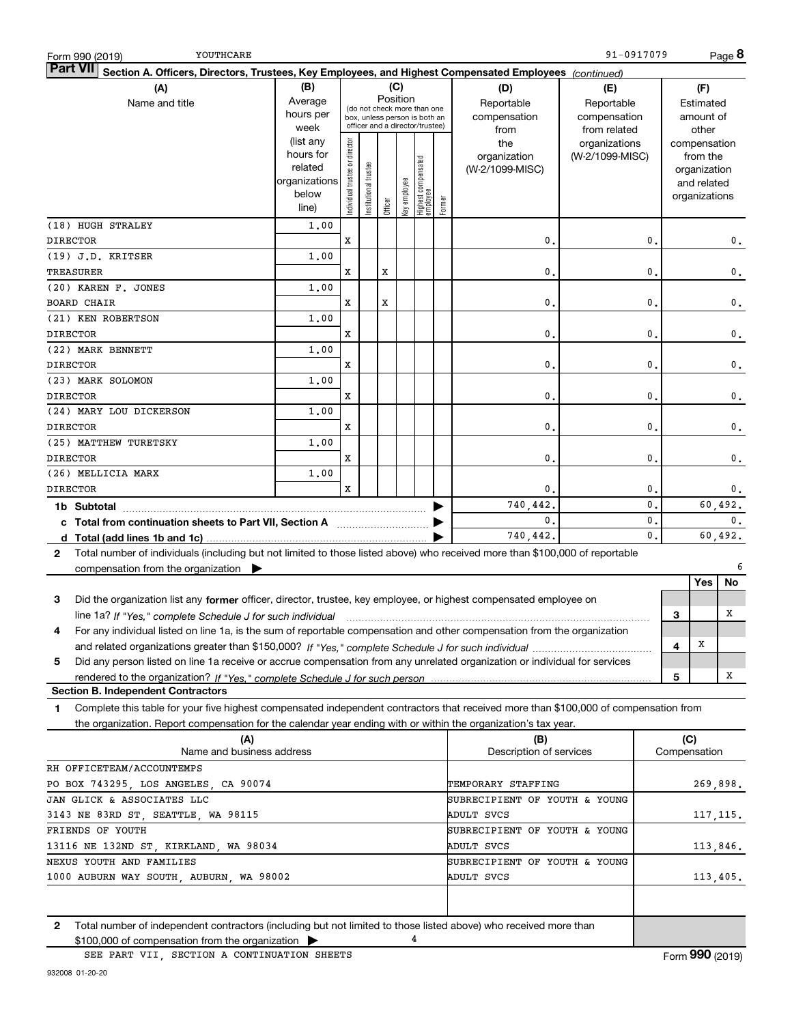| YOUTHCARE<br>Form 990 (2019)                                                                                                                    |                        |                               |                       |         |              |                                                                  |        |                               | 91-0917079                       |                |              |                          | Page 8        |
|-------------------------------------------------------------------------------------------------------------------------------------------------|------------------------|-------------------------------|-----------------------|---------|--------------|------------------------------------------------------------------|--------|-------------------------------|----------------------------------|----------------|--------------|--------------------------|---------------|
| <b>Part VII</b><br>Section A. Officers, Directors, Trustees, Key Employees, and Highest Compensated Employees (continued)                       |                        |                               |                       |         |              |                                                                  |        |                               |                                  |                |              |                          |               |
| (A)                                                                                                                                             | (B)                    |                               |                       |         | (C)          |                                                                  |        | (D)                           | (E)                              |                |              | (F)                      |               |
| Name and title                                                                                                                                  | Average                |                               |                       |         | Position     | (do not check more than one                                      |        | Reportable                    | Reportable                       |                |              | Estimated                |               |
|                                                                                                                                                 | hours per              |                               |                       |         |              | box, unless person is both an<br>officer and a director/trustee) |        | compensation                  | compensation                     |                |              | amount of                |               |
|                                                                                                                                                 | week                   |                               |                       |         |              |                                                                  |        | from                          | from related                     |                |              | other                    |               |
|                                                                                                                                                 | (list any<br>hours for |                               |                       |         |              |                                                                  |        | the<br>organization           | organizations<br>(W-2/1099-MISC) |                |              | compensation<br>from the |               |
|                                                                                                                                                 | related                |                               |                       |         |              |                                                                  |        | (W-2/1099-MISC)               |                                  |                |              | organization             |               |
|                                                                                                                                                 | organizations          |                               |                       |         |              |                                                                  |        |                               |                                  |                |              | and related              |               |
|                                                                                                                                                 | below                  | ndividual trustee or director | Institutional trustee |         |              |                                                                  |        |                               |                                  |                |              | organizations            |               |
|                                                                                                                                                 | line)                  |                               |                       | Officer | Key employee | Highest compensated<br>employee                                  | Former |                               |                                  |                |              |                          |               |
| (18) HUGH STRALEY                                                                                                                               | 1,00                   |                               |                       |         |              |                                                                  |        |                               |                                  |                |              |                          |               |
| <b>DIRECTOR</b>                                                                                                                                 |                        | X                             |                       |         |              |                                                                  |        | 0.                            |                                  | 0              |              |                          | $\mathbf 0$ . |
| (19) J.D. KRITSER                                                                                                                               | 1,00                   |                               |                       |         |              |                                                                  |        |                               |                                  |                |              |                          |               |
| TREASURER                                                                                                                                       |                        | X                             |                       | X       |              |                                                                  |        | 0.                            |                                  | 0              |              |                          | 0.            |
| (20) KAREN F. JONES                                                                                                                             | 1,00                   |                               |                       |         |              |                                                                  |        |                               |                                  |                |              |                          |               |
| BOARD CHAIR                                                                                                                                     |                        | X                             |                       | X       |              |                                                                  |        | 0.                            |                                  | 0              |              |                          | 0.            |
| (21) KEN ROBERTSON                                                                                                                              | 1,00                   |                               |                       |         |              |                                                                  |        |                               |                                  |                |              |                          |               |
| <b>DIRECTOR</b>                                                                                                                                 |                        | X                             |                       |         |              |                                                                  |        | 0.                            |                                  | 0              |              |                          | $\mathbf 0$ . |
| (22) MARK BENNETT                                                                                                                               | 1,00                   |                               |                       |         |              |                                                                  |        |                               |                                  |                |              |                          |               |
| <b>DIRECTOR</b>                                                                                                                                 |                        | X                             |                       |         |              |                                                                  |        | 0.                            |                                  | 0              |              |                          | $\mathbf 0$ . |
| (23) MARK SOLOMON                                                                                                                               | 1,00                   |                               |                       |         |              |                                                                  |        |                               |                                  |                |              |                          |               |
| <b>DIRECTOR</b>                                                                                                                                 |                        | X                             |                       |         |              |                                                                  |        | 0.                            |                                  | 0              |              |                          | $\mathbf 0$ . |
| (24) MARY LOU DICKERSON                                                                                                                         | 1,00                   |                               |                       |         |              |                                                                  |        |                               |                                  |                |              |                          |               |
| <b>DIRECTOR</b>                                                                                                                                 |                        | X                             |                       |         |              |                                                                  |        | 0.                            |                                  | 0              |              |                          | 0.            |
| (25) MATTHEW TURETSKY                                                                                                                           | 1,00                   |                               |                       |         |              |                                                                  |        |                               |                                  |                |              |                          |               |
| <b>DIRECTOR</b>                                                                                                                                 |                        | $\mathbf X$                   |                       |         |              |                                                                  |        | $\mathbf 0$ .                 |                                  | 0              |              |                          | 0.            |
| (26) MELLICIA MARX                                                                                                                              | 1,00                   |                               |                       |         |              |                                                                  |        |                               |                                  |                |              |                          |               |
| <b>DIRECTOR</b>                                                                                                                                 |                        | $\mathbf x$                   |                       |         |              |                                                                  |        | 0.                            |                                  | 0              |              |                          | 0.            |
| 1b Subtotal                                                                                                                                     |                        |                               |                       |         |              |                                                                  |        | 740,442.                      |                                  | $\mathbf{0}$ . |              |                          | 60,492.       |
| c Total from continuation sheets to Part VII, Section A                                                                                         |                        |                               |                       |         |              |                                                                  |        | 0.                            |                                  | $\mathbf{0}$ . |              |                          | 0.            |
|                                                                                                                                                 |                        |                               |                       |         |              |                                                                  |        | 740,442.                      |                                  | $\mathbf{0}$ . |              |                          | 60,492.       |
| Total number of individuals (including but not limited to those listed above) who received more than \$100,000 of reportable<br>2               |                        |                               |                       |         |              |                                                                  |        |                               |                                  |                |              |                          |               |
| compensation from the organization                                                                                                              |                        |                               |                       |         |              |                                                                  |        |                               |                                  |                |              |                          | 6             |
|                                                                                                                                                 |                        |                               |                       |         |              |                                                                  |        |                               |                                  |                |              | Yes                      | No            |
| Did the organization list any former officer, director, trustee, key employee, or highest compensated employee on<br>3                          |                        |                               |                       |         |              |                                                                  |        |                               |                                  |                |              |                          |               |
| line 1a? If "Yes," complete Schedule J for such individual manufactured contained and the 1a? If "Yes," complete Schedule J for such individual |                        |                               |                       |         |              |                                                                  |        |                               |                                  |                | 3            |                          | x             |
| For any individual listed on line 1a, is the sum of reportable compensation and other compensation from the organization<br>4                   |                        |                               |                       |         |              |                                                                  |        |                               |                                  |                |              |                          |               |
|                                                                                                                                                 |                        |                               |                       |         |              |                                                                  |        |                               |                                  |                | 4            | x                        |               |
| Did any person listed on line 1a receive or accrue compensation from any unrelated organization or individual for services<br>5                 |                        |                               |                       |         |              |                                                                  |        |                               |                                  |                |              |                          |               |
|                                                                                                                                                 |                        |                               |                       |         |              |                                                                  |        |                               |                                  |                | 5            |                          | x             |
| <b>Section B. Independent Contractors</b>                                                                                                       |                        |                               |                       |         |              |                                                                  |        |                               |                                  |                |              |                          |               |
| Complete this table for your five highest compensated independent contractors that received more than \$100,000 of compensation from<br>1       |                        |                               |                       |         |              |                                                                  |        |                               |                                  |                |              |                          |               |
| the organization. Report compensation for the calendar year ending with or within the organization's tax year.                                  |                        |                               |                       |         |              |                                                                  |        |                               |                                  |                |              |                          |               |
| (A)                                                                                                                                             |                        |                               |                       |         |              |                                                                  |        | (B)                           |                                  |                |              | (C)                      |               |
| Name and business address                                                                                                                       |                        |                               |                       |         |              |                                                                  |        | Description of services       |                                  |                | Compensation |                          |               |
| RH OFFICETEAM/ACCOUNTEMPS                                                                                                                       |                        |                               |                       |         |              |                                                                  |        |                               |                                  |                |              |                          |               |
| PO BOX 743295, LOS ANGELES, CA 90074                                                                                                            |                        |                               |                       |         |              |                                                                  |        | TEMPORARY STAFFING            |                                  |                |              |                          | 269,898.      |
| JAN GLICK & ASSOCIATES LLC                                                                                                                      |                        |                               |                       |         |              |                                                                  |        | SUBRECIPIENT OF YOUTH & YOUNG |                                  |                |              |                          |               |
| 3143 NE 83RD ST, SEATTLE, WA 98115                                                                                                              |                        |                               |                       |         |              |                                                                  |        | ADULT SVCS                    |                                  |                |              |                          | 117,115.      |
| FRIENDS OF YOUTH                                                                                                                                |                        |                               |                       |         |              |                                                                  |        | SUBRECIPIENT OF YOUTH & YOUNG |                                  |                |              |                          |               |
| 13116 NE 132ND ST, KIRKLAND, WA 98034                                                                                                           |                        |                               |                       |         |              |                                                                  |        | ADULT SVCS                    |                                  |                |              |                          | 113,846.      |
| NEXUS YOUTH AND FAMILIES                                                                                                                        |                        |                               |                       |         |              |                                                                  |        | SUBRECIPIENT OF YOUTH & YOUNG |                                  |                |              |                          |               |
| 1000 AUBURN WAY SOUTH, AUBURN, WA 98002                                                                                                         |                        |                               |                       |         |              |                                                                  |        | ADULT SVCS                    |                                  |                |              |                          | 113,405.      |
|                                                                                                                                                 |                        |                               |                       |         |              |                                                                  |        |                               |                                  |                |              |                          |               |
|                                                                                                                                                 |                        |                               |                       |         |              |                                                                  |        |                               |                                  |                |              |                          |               |
| Total number of independent contractors (including but not limited to those listed above) who received more than<br>2                           |                        |                               |                       |         |              |                                                                  |        |                               |                                  |                |              |                          |               |
| \$100,000 of compensation from the organization                                                                                                 |                        |                               |                       |         |              | 4                                                                |        |                               |                                  |                |              |                          |               |
|                                                                                                                                                 |                        |                               |                       |         |              |                                                                  |        |                               |                                  |                |              |                          |               |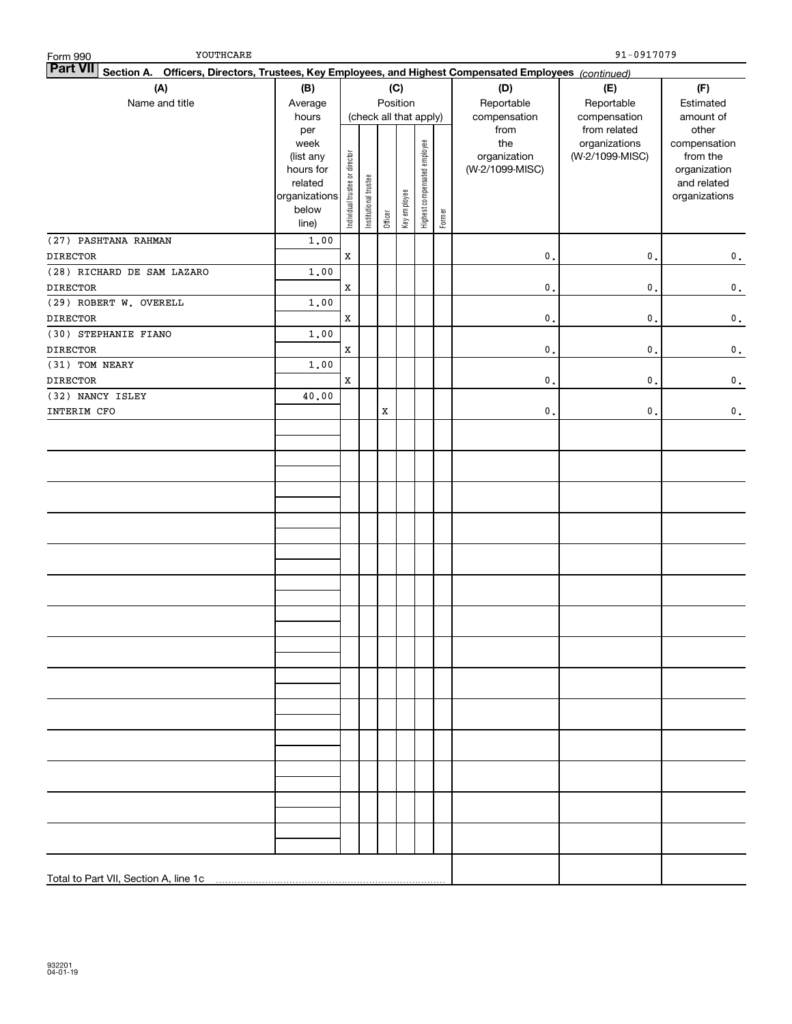| YOUTHCARE<br>Form 990                                                                                                        |                      |                                |                        |             |              |                              |        |                 | 91-0917079      |                             |
|------------------------------------------------------------------------------------------------------------------------------|----------------------|--------------------------------|------------------------|-------------|--------------|------------------------------|--------|-----------------|-----------------|-----------------------------|
| <b>Part VII</b><br>Section A.<br>Officers, Directors, Trustees, Key Employees, and Highest Compensated Employees (continued) |                      |                                |                        |             |              |                              |        |                 |                 |                             |
| (A)                                                                                                                          | (B)                  |                                |                        |             | (C)          |                              |        | (D)             | (E)             | (F)                         |
| Name and title                                                                                                               | Average              | Position                       |                        |             |              |                              |        | Reportable      | Reportable      | Estimated                   |
|                                                                                                                              | hours                |                                | (check all that apply) |             |              |                              |        | compensation    | compensation    | amount of                   |
|                                                                                                                              | per                  |                                |                        |             |              |                              |        | from            | from related    | other                       |
|                                                                                                                              | week                 |                                |                        |             |              |                              |        | the             | organizations   | compensation                |
|                                                                                                                              | (list any            |                                |                        |             |              |                              |        | organization    | (W-2/1099-MISC) | from the                    |
|                                                                                                                              | hours for<br>related |                                |                        |             |              |                              |        | (W-2/1099-MISC) |                 | organization<br>and related |
|                                                                                                                              | organizations        |                                |                        |             |              |                              |        |                 |                 | organizations               |
|                                                                                                                              | below                | Individual trustee or director | Institutional trustee  |             |              | Highest compensated employee |        |                 |                 |                             |
|                                                                                                                              | line)                |                                |                        | Officer     | Key employee |                              | Former |                 |                 |                             |
| (27) PASHTANA RAHMAN                                                                                                         | 1.00                 |                                |                        |             |              |                              |        |                 |                 |                             |
| <b>DIRECTOR</b>                                                                                                              |                      | $\mathbf X$                    |                        |             |              |                              |        | $\mathbf{0}$ .  | $\mathbf{0}$ .  | $\mathbf 0$ .               |
| (28) RICHARD DE SAM LAZARO                                                                                                   | 1.00                 |                                |                        |             |              |                              |        |                 |                 |                             |
| <b>DIRECTOR</b>                                                                                                              |                      | $\mathbf X$                    |                        |             |              |                              |        | $\mathbf{0}$ .  | $\mathbf{0}$ .  | $\mathbf 0$ .               |
| (29) ROBERT W. OVERELL                                                                                                       | 1.00                 |                                |                        |             |              |                              |        |                 |                 |                             |
| <b>DIRECTOR</b>                                                                                                              |                      | $\mathbf x$                    |                        |             |              |                              |        | $\mathbf{0}$ .  | $\mathbf{0}$ .  | $\mathbf 0$ .               |
| (30) STEPHANIE FIANO                                                                                                         | 1.00                 |                                |                        |             |              |                              |        |                 |                 |                             |
| <b>DIRECTOR</b>                                                                                                              |                      | $\mathbf x$                    |                        |             |              |                              |        | $\mathbf{0}$ .  | $\mathbf{0}$ .  | $\mathbf 0$ .               |
| (31) TOM NEARY                                                                                                               | 1.00                 |                                |                        |             |              |                              |        |                 |                 |                             |
| <b>DIRECTOR</b>                                                                                                              |                      | $\mathbf X$                    |                        |             |              |                              |        | $\mathbf{0}$ .  | $\mathbf{0}$ .  | $\mathbf 0$ .               |
| (32) NANCY ISLEY                                                                                                             | 40.00                |                                |                        |             |              |                              |        |                 |                 |                             |
| INTERIM CFO                                                                                                                  |                      |                                |                        | $\mathbf x$ |              |                              |        | $\mathfrak o$ . | $\mathbf{0}$ .  | $\mathbf 0$ .               |
|                                                                                                                              |                      |                                |                        |             |              |                              |        |                 |                 |                             |
|                                                                                                                              |                      |                                |                        |             |              |                              |        |                 |                 |                             |
|                                                                                                                              |                      |                                |                        |             |              |                              |        |                 |                 |                             |
|                                                                                                                              |                      |                                |                        |             |              |                              |        |                 |                 |                             |
|                                                                                                                              |                      |                                |                        |             |              |                              |        |                 |                 |                             |
|                                                                                                                              |                      |                                |                        |             |              |                              |        |                 |                 |                             |
|                                                                                                                              |                      |                                |                        |             |              |                              |        |                 |                 |                             |
|                                                                                                                              |                      |                                |                        |             |              |                              |        |                 |                 |                             |
|                                                                                                                              |                      |                                |                        |             |              |                              |        |                 |                 |                             |
|                                                                                                                              |                      |                                |                        |             |              |                              |        |                 |                 |                             |
|                                                                                                                              |                      |                                |                        |             |              |                              |        |                 |                 |                             |
|                                                                                                                              |                      |                                |                        |             |              |                              |        |                 |                 |                             |
|                                                                                                                              |                      |                                |                        |             |              |                              |        |                 |                 |                             |
|                                                                                                                              |                      |                                |                        |             |              |                              |        |                 |                 |                             |
|                                                                                                                              |                      |                                |                        |             |              |                              |        |                 |                 |                             |
|                                                                                                                              |                      |                                |                        |             |              |                              |        |                 |                 |                             |
|                                                                                                                              |                      |                                |                        |             |              |                              |        |                 |                 |                             |
|                                                                                                                              |                      |                                |                        |             |              |                              |        |                 |                 |                             |
|                                                                                                                              |                      |                                |                        |             |              |                              |        |                 |                 |                             |
|                                                                                                                              |                      |                                |                        |             |              |                              |        |                 |                 |                             |
|                                                                                                                              |                      |                                |                        |             |              |                              |        |                 |                 |                             |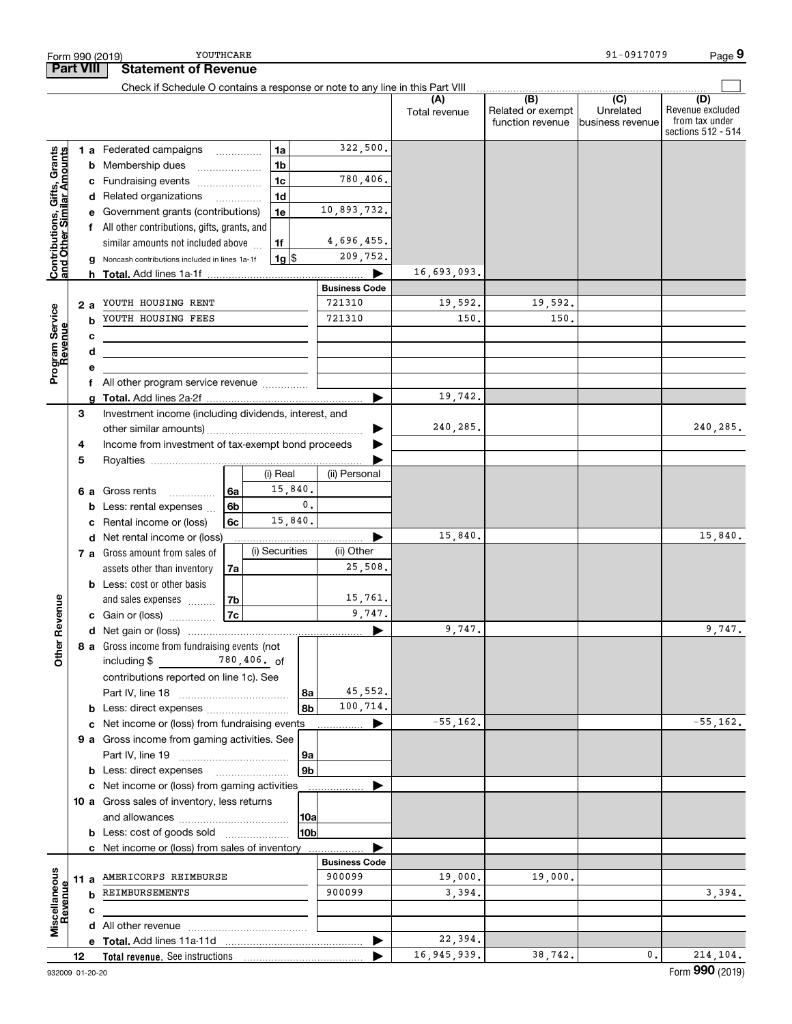|                                                           |                  |                                                            | YOUTHCARE<br>Form 990 (2019)                                                                    |    |                |                 |                      |                      |                                                           | 91-0917079                                      | Page 9                                                          |
|-----------------------------------------------------------|------------------|------------------------------------------------------------|-------------------------------------------------------------------------------------------------|----|----------------|-----------------|----------------------|----------------------|-----------------------------------------------------------|-------------------------------------------------|-----------------------------------------------------------------|
|                                                           | <b>Part VIII</b> |                                                            | <b>Statement of Revenue</b>                                                                     |    |                |                 |                      |                      |                                                           |                                                 |                                                                 |
|                                                           |                  |                                                            | Check if Schedule O contains a response or note to any line in this Part VIII                   |    |                |                 |                      |                      |                                                           |                                                 |                                                                 |
|                                                           |                  |                                                            |                                                                                                 |    |                |                 |                      | (A)<br>Total revenue | $\overline{(B)}$<br>Related or exempt<br>function revenue | $\overline{C}$<br>Unrelated<br>business revenue | (D)<br>Revenue excluded<br>from tax under<br>sections 512 - 514 |
|                                                           |                  |                                                            | 1 a Federated campaigns                                                                         |    | 1a             |                 | 322,500.             |                      |                                                           |                                                 |                                                                 |
|                                                           |                  |                                                            | <b>b</b> Membership dues<br>$\ldots \ldots \ldots \ldots \ldots$                                |    | 1 <sub>b</sub> |                 |                      |                      |                                                           |                                                 |                                                                 |
|                                                           |                  |                                                            | c Fundraising events                                                                            |    | 1 <sub>c</sub> |                 | 780,406.             |                      |                                                           |                                                 |                                                                 |
|                                                           |                  |                                                            | d Related organizations                                                                         |    | 1 <sub>d</sub> |                 |                      |                      |                                                           |                                                 |                                                                 |
|                                                           |                  |                                                            | e Government grants (contributions)                                                             |    | 1e             |                 | 10,893,732.          |                      |                                                           |                                                 |                                                                 |
| Contributions, Gifts, Grants<br>and Other Similar Amounts |                  |                                                            | f All other contributions, gifts, grants, and                                                   |    |                |                 |                      |                      |                                                           |                                                 |                                                                 |
|                                                           |                  |                                                            | similar amounts not included above                                                              |    | 1f             |                 | 4,696,455.           |                      |                                                           |                                                 |                                                                 |
|                                                           |                  |                                                            | g Noncash contributions included in lines 1a-1f                                                 |    |                | $1g$ \$         | 209,752.             |                      |                                                           |                                                 |                                                                 |
|                                                           |                  |                                                            |                                                                                                 |    |                |                 |                      | 16,693,093.          |                                                           |                                                 |                                                                 |
|                                                           |                  |                                                            |                                                                                                 |    |                |                 | <b>Business Code</b> |                      |                                                           |                                                 |                                                                 |
|                                                           | 2a               |                                                            | YOUTH HOUSING RENT                                                                              |    |                |                 | 721310               | 19,592.              | 19,592.                                                   |                                                 |                                                                 |
|                                                           |                  | b                                                          | YOUTH HOUSING FEES                                                                              |    |                |                 | 721310               | 150.                 | 150.                                                      |                                                 |                                                                 |
|                                                           |                  | c                                                          |                                                                                                 |    |                |                 |                      |                      |                                                           |                                                 |                                                                 |
|                                                           |                  | d                                                          | the contract of the contract of the contract of the contract of the contract of the contract of |    |                |                 |                      |                      |                                                           |                                                 |                                                                 |
| Program Service<br>Revenue                                |                  | е                                                          |                                                                                                 |    |                |                 |                      |                      |                                                           |                                                 |                                                                 |
|                                                           |                  |                                                            | f All other program service revenue                                                             |    |                |                 |                      | 19,742.              |                                                           |                                                 |                                                                 |
|                                                           |                  | a                                                          |                                                                                                 |    |                |                 |                      |                      |                                                           |                                                 |                                                                 |
|                                                           |                  | Investment income (including dividends, interest, and<br>з |                                                                                                 |    |                |                 |                      | 240, 285.            |                                                           |                                                 | 240,285.                                                        |
|                                                           | 4                |                                                            | Income from investment of tax-exempt bond proceeds                                              |    |                |                 |                      |                      |                                                           |                                                 |                                                                 |
|                                                           | 5                |                                                            |                                                                                                 |    |                |                 |                      |                      |                                                           |                                                 |                                                                 |
|                                                           |                  |                                                            |                                                                                                 |    | (i) Real       |                 | (ii) Personal        |                      |                                                           |                                                 |                                                                 |
|                                                           |                  |                                                            | 6 a Gross rents                                                                                 | 6а |                | 15,840.         |                      |                      |                                                           |                                                 |                                                                 |
|                                                           |                  |                                                            | <b>b</b> Less: rental expenses                                                                  | 6b |                | 0.              |                      |                      |                                                           |                                                 |                                                                 |
|                                                           |                  |                                                            | c Rental income or (loss)                                                                       | 6c |                | 15,840.         |                      |                      |                                                           |                                                 |                                                                 |
|                                                           |                  |                                                            | d Net rental income or (loss)                                                                   |    |                |                 |                      | 15,840.              |                                                           |                                                 | 15,840.                                                         |
|                                                           |                  |                                                            | <b>7 a</b> Gross amount from sales of                                                           |    | (i) Securities |                 | (ii) Other           |                      |                                                           |                                                 |                                                                 |
|                                                           |                  |                                                            | assets other than inventory                                                                     | 7a |                |                 | 25,508.              |                      |                                                           |                                                 |                                                                 |
|                                                           |                  |                                                            | <b>b</b> Less: cost or other basis                                                              |    |                |                 |                      |                      |                                                           |                                                 |                                                                 |
| wenue                                                     |                  |                                                            | and sales expenses                                                                              | 7b |                |                 | 15,761.              |                      |                                                           |                                                 |                                                                 |
|                                                           |                  |                                                            | c Gain or (loss)                                                                                | 7c |                |                 | 9,747.               |                      |                                                           |                                                 |                                                                 |
|                                                           |                  |                                                            |                                                                                                 |    |                |                 |                      | 9,747.               |                                                           |                                                 | 9,747.                                                          |
| Other R                                                   |                  |                                                            | 8 a Gross income from fundraising events (not                                                   |    |                |                 |                      |                      |                                                           |                                                 |                                                                 |
|                                                           |                  |                                                            | 780,406. of<br>including \$                                                                     |    |                |                 |                      |                      |                                                           |                                                 |                                                                 |
|                                                           |                  |                                                            | contributions reported on line 1c). See                                                         |    |                | 8a              | 45,552.              |                      |                                                           |                                                 |                                                                 |
|                                                           |                  |                                                            | <b>b</b> Less: direct expenses                                                                  |    |                | 8b              | 100,714.             |                      |                                                           |                                                 |                                                                 |
|                                                           |                  |                                                            | c Net income or (loss) from fundraising events                                                  |    |                |                 |                      | $-55, 162.$          |                                                           |                                                 | $-55, 162.$                                                     |
|                                                           |                  |                                                            | 9 a Gross income from gaming activities. See                                                    |    |                |                 |                      |                      |                                                           |                                                 |                                                                 |
|                                                           |                  |                                                            |                                                                                                 |    |                | 9а              |                      |                      |                                                           |                                                 |                                                                 |
|                                                           |                  |                                                            |                                                                                                 |    |                | 9b              |                      |                      |                                                           |                                                 |                                                                 |
|                                                           |                  |                                                            | c Net income or (loss) from gaming activities                                                   |    |                |                 |                      |                      |                                                           |                                                 |                                                                 |
|                                                           |                  |                                                            | 10 a Gross sales of inventory, less returns                                                     |    |                |                 |                      |                      |                                                           |                                                 |                                                                 |
|                                                           |                  |                                                            |                                                                                                 |    |                | 10a             |                      |                      |                                                           |                                                 |                                                                 |
|                                                           |                  |                                                            | <b>b</b> Less: cost of goods sold                                                               |    |                | 10 <sub>b</sub> |                      |                      |                                                           |                                                 |                                                                 |
|                                                           |                  |                                                            | c Net income or (loss) from sales of inventory                                                  |    |                |                 |                      |                      |                                                           |                                                 |                                                                 |
|                                                           |                  |                                                            |                                                                                                 |    |                |                 | <b>Business Code</b> |                      |                                                           |                                                 |                                                                 |
| Miscellaneous<br>Revenue                                  | 11 a             |                                                            | AMERICORPS REIMBURSE                                                                            |    |                |                 | 900099<br>900099     | 19,000.              | 19,000.                                                   |                                                 |                                                                 |
|                                                           |                  | b                                                          | REIMBURSEMENTS                                                                                  |    |                |                 |                      | 3,394.               |                                                           |                                                 | 3,394.                                                          |
|                                                           |                  | с                                                          |                                                                                                 |    |                |                 |                      |                      |                                                           |                                                 |                                                                 |
|                                                           |                  |                                                            |                                                                                                 |    |                |                 |                      | 22,394.              |                                                           |                                                 |                                                                 |
|                                                           | 12               |                                                            | <b>Total revenue.</b> See instructions                                                          |    |                |                 |                      | 16,945,939.          | 38,742.                                                   | 0.                                              | 214,104.                                                        |
|                                                           |                  |                                                            |                                                                                                 |    |                |                 |                      |                      |                                                           |                                                 |                                                                 |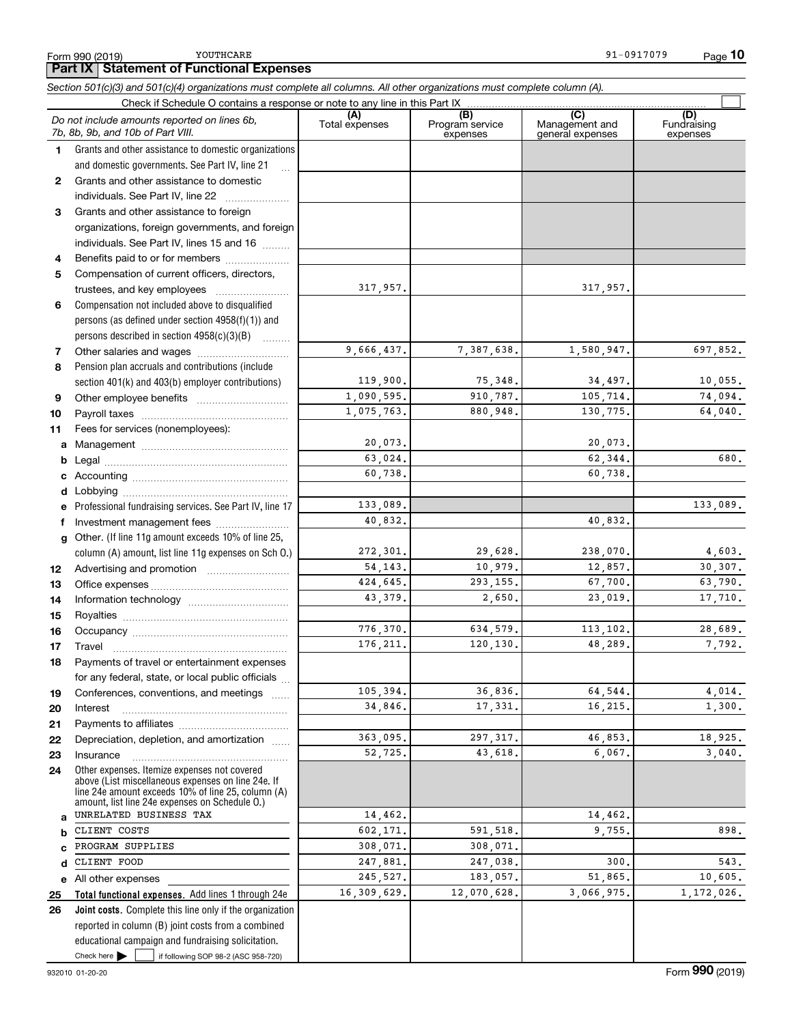**Part IX Statement of Functional Expenses** YOUTHCARE

**10**

|              | Section 501(c)(3) and 501(c)(4) organizations must complete all columns. All other organizations must complete column (A).                                                                                 |                |                                    |                                           |                                |
|--------------|------------------------------------------------------------------------------------------------------------------------------------------------------------------------------------------------------------|----------------|------------------------------------|-------------------------------------------|--------------------------------|
|              | Check if Schedule O contains a response or note to any line in this Part IX                                                                                                                                |                |                                    |                                           |                                |
|              | Do not include amounts reported on lines 6b,<br>7b, 8b, 9b, and 10b of Part VIII.                                                                                                                          | Total expenses | (B)<br>Program service<br>expenses | (C)<br>Management and<br>general expenses | (D)<br>Fundraising<br>expenses |
| 1.           | Grants and other assistance to domestic organizations                                                                                                                                                      |                |                                    |                                           |                                |
|              | and domestic governments. See Part IV, line 21                                                                                                                                                             |                |                                    |                                           |                                |
| $\mathbf{2}$ | Grants and other assistance to domestic                                                                                                                                                                    |                |                                    |                                           |                                |
|              | individuals. See Part IV, line 22                                                                                                                                                                          |                |                                    |                                           |                                |
| 3            | Grants and other assistance to foreign                                                                                                                                                                     |                |                                    |                                           |                                |
|              | organizations, foreign governments, and foreign                                                                                                                                                            |                |                                    |                                           |                                |
|              | individuals. See Part IV, lines 15 and 16                                                                                                                                                                  |                |                                    |                                           |                                |
| 4            | Benefits paid to or for members                                                                                                                                                                            |                |                                    |                                           |                                |
| 5            | Compensation of current officers, directors,                                                                                                                                                               |                |                                    |                                           |                                |
|              |                                                                                                                                                                                                            | 317,957.       |                                    | 317,957.                                  |                                |
| 6            | Compensation not included above to disqualified                                                                                                                                                            |                |                                    |                                           |                                |
|              | persons (as defined under section 4958(f)(1)) and                                                                                                                                                          |                |                                    |                                           |                                |
|              | persons described in section 4958(c)(3)(B)                                                                                                                                                                 |                |                                    |                                           |                                |
| 7            |                                                                                                                                                                                                            | 9,666,437.     | 7,387,638.                         | 1,580,947.                                | 697,852.                       |
| 8            | Pension plan accruals and contributions (include                                                                                                                                                           |                |                                    |                                           |                                |
|              | section 401(k) and 403(b) employer contributions)                                                                                                                                                          | 119,900.       | 75,348.                            | 34,497.                                   | 10,055.                        |
| 9            |                                                                                                                                                                                                            | 1,090,595.     | 910,787.                           | 105,714.                                  | 74,094.                        |
| 10           |                                                                                                                                                                                                            | 1,075,763.     | 880,948.                           | 130,775.                                  | 64,040.                        |
| 11           | Fees for services (nonemployees):                                                                                                                                                                          |                |                                    |                                           |                                |
| a            |                                                                                                                                                                                                            | 20,073.        |                                    | 20,073.                                   |                                |
| b            |                                                                                                                                                                                                            | 63,024.        |                                    | 62,344.                                   | 680.                           |
| c            |                                                                                                                                                                                                            | 60,738.        |                                    | 60,738.                                   |                                |
| d            |                                                                                                                                                                                                            |                |                                    |                                           |                                |
|              | Professional fundraising services. See Part IV, line 17                                                                                                                                                    | 133,089.       |                                    |                                           | 133,089.                       |
| f            | Investment management fees                                                                                                                                                                                 | 40,832.        |                                    | 40,832.                                   |                                |
| a            | Other. (If line 11g amount exceeds 10% of line 25,                                                                                                                                                         |                |                                    |                                           |                                |
|              | column (A) amount, list line 11g expenses on Sch 0.)                                                                                                                                                       | 272,301.       | 29,628.                            | 238,070.                                  | 4,603.                         |
| 12           |                                                                                                                                                                                                            | 54, 143.       | 10,979.                            | 12,857.                                   | 30, 307.                       |
| 13           |                                                                                                                                                                                                            | 424,645.       | 293,155.                           | 67,700.                                   | 63,790.                        |
| 14           |                                                                                                                                                                                                            | 43,379.        | 2,650.                             | 23,019.                                   | 17,710.                        |
| 15           |                                                                                                                                                                                                            |                |                                    |                                           |                                |
| 16           |                                                                                                                                                                                                            | 776,370.       | 634,579.                           | 113,102.                                  | 28,689.                        |
| 17           |                                                                                                                                                                                                            | 176, 211.      | 120,130.                           | 48,289.                                   | 7,792.                         |
| 18           | Payments of travel or entertainment expenses                                                                                                                                                               |                |                                    |                                           |                                |
|              | for any federal, state, or local public officials                                                                                                                                                          |                |                                    |                                           |                                |
| 19           | Conferences, conventions, and meetings                                                                                                                                                                     | 105,394.       | 36,836.                            | 64,544.                                   | 4,014.                         |
| 20           | Interest                                                                                                                                                                                                   | 34,846.        | 17,331.                            | 16, 215.                                  | 1,300.                         |
| 21           |                                                                                                                                                                                                            |                |                                    |                                           |                                |
| 22           | Depreciation, depletion, and amortization                                                                                                                                                                  | 363,095.       | 297, 317.                          | 46,853.                                   | 18,925.                        |
| 23           | Insurance                                                                                                                                                                                                  | 52,725.        | 43,618.                            | 6,067.                                    | 3,040.                         |
| 24           | Other expenses. Itemize expenses not covered<br>above (List miscellaneous expenses on line 24e. If<br>line 24e amount exceeds 10% of line 25, column (A)<br>amount, list line 24e expenses on Schedule O.) |                |                                    |                                           |                                |
| a            | UNRELATED BUSINESS TAX                                                                                                                                                                                     | 14,462.        |                                    | 14,462.                                   |                                |
| b            | CLIENT COSTS                                                                                                                                                                                               | 602,171.       | 591,518.                           | 9.755.                                    | 898.                           |
|              | PROGRAM SUPPLIES                                                                                                                                                                                           | 308,071.       | 308,071.                           |                                           |                                |
| d            | CLIENT FOOD                                                                                                                                                                                                | 247,881.       | 247,038.                           | 300.                                      | 543.                           |
|              | e All other expenses                                                                                                                                                                                       | 245,527.       | 183,057.                           | 51,865.                                   | 10,605.                        |
| 25           | Total functional expenses. Add lines 1 through 24e                                                                                                                                                         | 16,309,629.    | 12,070,628.                        | 3,066,975.                                | 1,172,026.                     |
| 26           | Joint costs. Complete this line only if the organization                                                                                                                                                   |                |                                    |                                           |                                |
|              | reported in column (B) joint costs from a combined                                                                                                                                                         |                |                                    |                                           |                                |
|              | educational campaign and fundraising solicitation.                                                                                                                                                         |                |                                    |                                           |                                |
|              | Check here $\blacktriangleright$<br>if following SOP 98-2 (ASC 958-720)                                                                                                                                    |                |                                    |                                           |                                |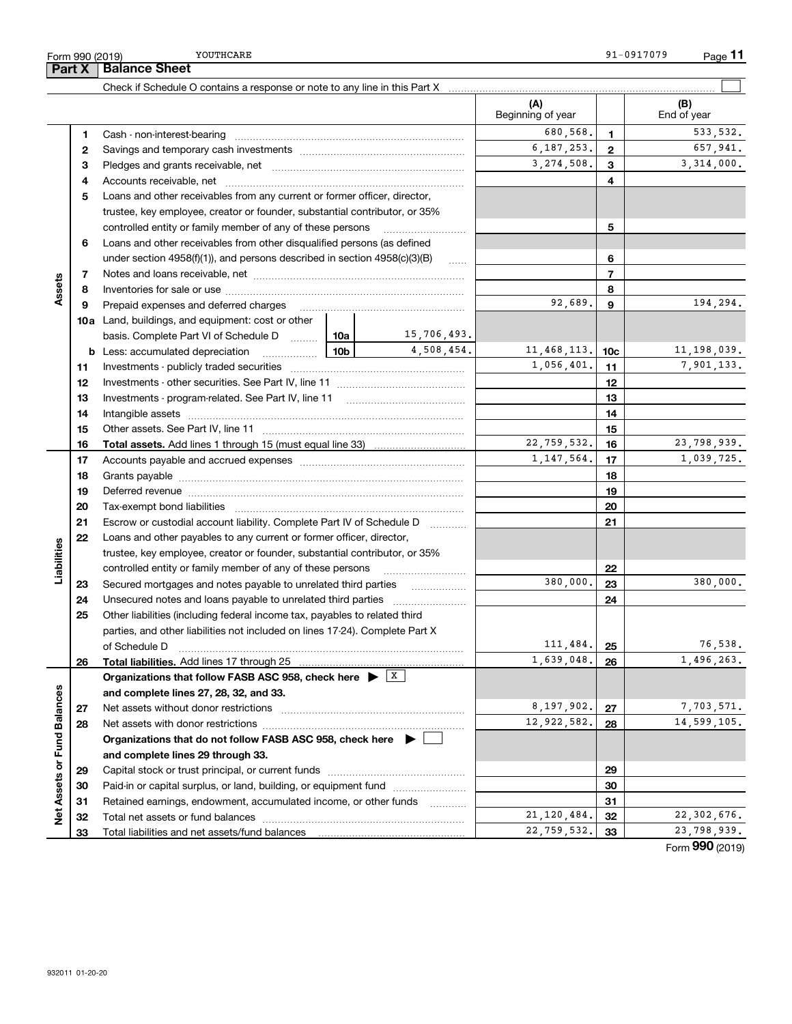|                             |    |                                                                                   |              |              | (A)<br>Beginning of year |                | (B)<br>End of year |
|-----------------------------|----|-----------------------------------------------------------------------------------|--------------|--------------|--------------------------|----------------|--------------------|
|                             | 1. |                                                                                   | 680,568.     | $\mathbf 1$  | 533,532.                 |                |                    |
|                             | 2  |                                                                                   | 6, 187, 253. | $\mathbf{2}$ | 657,941.                 |                |                    |
|                             | з  |                                                                                   |              |              | 3, 274, 508.             | 3              | 3,314,000.         |
|                             | 4  |                                                                                   |              |              |                          | 4              |                    |
|                             | 5  | Loans and other receivables from any current or former officer, director,         |              |              |                          |                |                    |
|                             |    | trustee, key employee, creator or founder, substantial contributor, or 35%        |              |              |                          |                |                    |
|                             |    | controlled entity or family member of any of these persons                        |              |              |                          | 5              |                    |
|                             | 6  | Loans and other receivables from other disqualified persons (as defined           |              |              |                          |                |                    |
|                             |    | under section $4958(f)(1)$ , and persons described in section $4958(c)(3)(B)$     |              |              |                          | 6              |                    |
|                             | 7  |                                                                                   |              |              |                          | $\overline{7}$ |                    |
| Assets                      | 8  |                                                                                   |              |              |                          | 8              |                    |
|                             | 9  | Prepaid expenses and deferred charges                                             |              |              | 92,689.                  | 9              | 194,294.           |
|                             |    | <b>10a</b> Land, buildings, and equipment: cost or other                          |              |              |                          |                |                    |
|                             |    | basis. Complete Part VI of Schedule D  10a                                        |              | 15,706,493.  |                          |                |                    |
|                             |    | <b>b</b> Less: accumulated depreciation                                           |              | 4,508,454.   | 11,468,113.              | 10c            | 11,198,039.        |
|                             |    | $\frac{10b}{100}$                                                                 |              |              | 1,056,401.               |                | 7,901,133.         |
|                             | 11 |                                                                                   |              |              |                          | 11             |                    |
|                             | 12 |                                                                                   |              |              |                          | 12             |                    |
|                             | 13 | Investments - program-related. See Part IV, line 11                               |              |              |                          | 13             |                    |
|                             | 14 |                                                                                   |              |              | 14                       |                |                    |
|                             | 15 |                                                                                   |              | 15           |                          |                |                    |
|                             | 16 |                                                                                   | 22,759,532.  | 16           | 23,798,939.              |                |                    |
|                             | 17 |                                                                                   |              |              | 1, 147, 564.             | 17             | 1,039,725.         |
|                             | 18 |                                                                                   |              | 18           |                          |                |                    |
|                             | 19 |                                                                                   |              |              |                          | 19             |                    |
|                             | 20 |                                                                                   |              |              |                          | 20             |                    |
|                             | 21 | Escrow or custodial account liability. Complete Part IV of Schedule D             |              |              |                          | 21             |                    |
|                             | 22 | Loans and other payables to any current or former officer, director,              |              |              |                          |                |                    |
| Liabilities                 |    | trustee, key employee, creator or founder, substantial contributor, or 35%        |              |              |                          |                |                    |
|                             |    | controlled entity or family member of any of these persons                        |              |              |                          | 22             |                    |
|                             | 23 | Secured mortgages and notes payable to unrelated third parties                    | 380,000.     | 23           | 380,000.                 |                |                    |
|                             | 24 |                                                                                   |              |              |                          | 24             |                    |
|                             | 25 | Other liabilities (including federal income tax, payables to related third        |              |              |                          |                |                    |
|                             |    | parties, and other liabilities not included on lines 17-24). Complete Part X      |              |              |                          |                |                    |
|                             |    | of Schedule D                                                                     |              |              | $111, 484.$ 25           |                | 76,538.            |
|                             | 26 | Total liabilities. Add lines 17 through 25                                        |              |              | 1,639,048.               | 26             | 1,496,263.         |
|                             |    | Organizations that follow FASB ASC 958, check here $\triangleright$ $\frac{X}{X}$ |              |              |                          |                |                    |
|                             |    | and complete lines 27, 28, 32, and 33.                                            |              |              |                          |                |                    |
|                             | 27 | Net assets without donor restrictions                                             | 8,197,902.   | 27           | 7,703,571.               |                |                    |
|                             | 28 |                                                                                   |              | 12,922,582.  | 28                       | 14,599,105.    |                    |
|                             |    | Organizations that do not follow FASB ASC 958, check here $\blacktriangleright$   |              |              |                          |                |                    |
|                             |    | and complete lines 29 through 33.                                                 |              |              |                          |                |                    |
|                             | 29 |                                                                                   |              |              |                          | 29             |                    |
|                             | 30 | Paid-in or capital surplus, or land, building, or equipment fund                  |              |              |                          | 30             |                    |
| Net Assets or Fund Balances | 31 | Retained earnings, endowment, accumulated income, or other funds                  |              | .            |                          | 31             |                    |
|                             | 32 |                                                                                   |              |              | 21, 120, 484.            | 32             | 22, 302, 676.      |
|                             | 33 |                                                                                   |              |              | 22,759,532.              | 33             | 23,798,939.        |

Form (2019) **990**

**Part X Balance Sheet**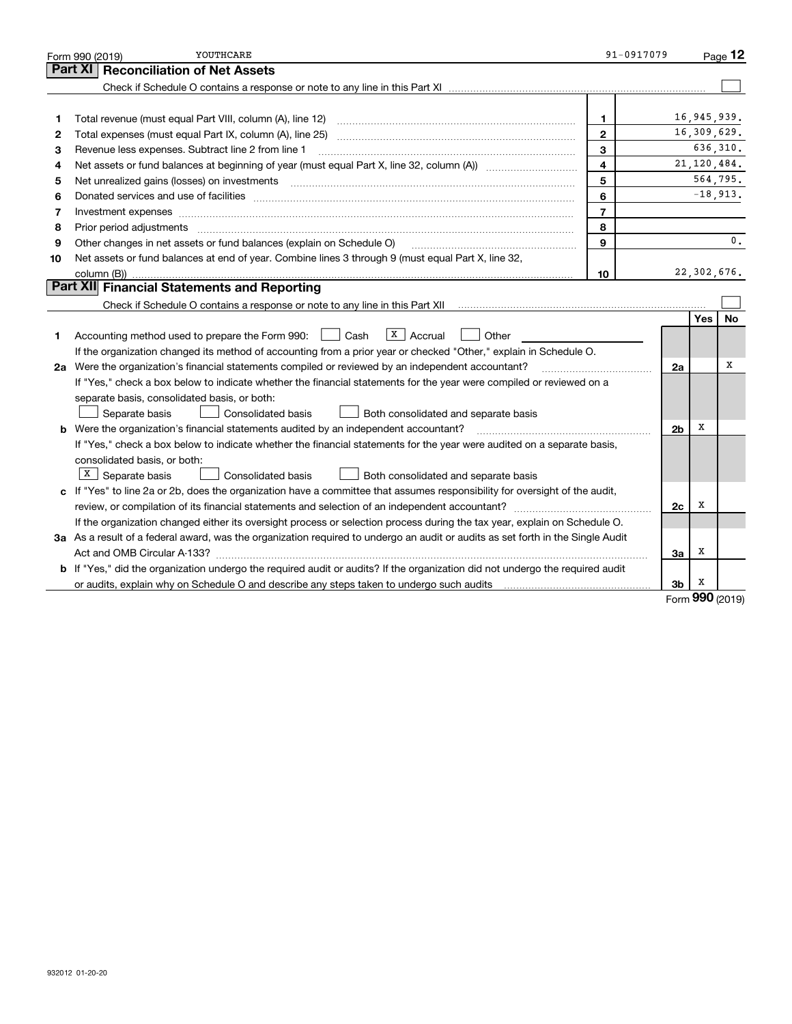|    | YOUTHCARE<br>Form 990 (2019)                                                                                                                                                                                                                                                                                                                                                                                                                                            | 91-0917079     |                |               | Page 12    |
|----|-------------------------------------------------------------------------------------------------------------------------------------------------------------------------------------------------------------------------------------------------------------------------------------------------------------------------------------------------------------------------------------------------------------------------------------------------------------------------|----------------|----------------|---------------|------------|
|    | Part XI<br><b>Reconciliation of Net Assets</b>                                                                                                                                                                                                                                                                                                                                                                                                                          |                |                |               |            |
|    |                                                                                                                                                                                                                                                                                                                                                                                                                                                                         |                |                |               |            |
|    |                                                                                                                                                                                                                                                                                                                                                                                                                                                                         |                |                |               |            |
| 1  | Total revenue (must equal Part VIII, column (A), line 12)                                                                                                                                                                                                                                                                                                                                                                                                               | 1              |                | 16,945,939.   |            |
| 2  |                                                                                                                                                                                                                                                                                                                                                                                                                                                                         | $\mathbf{2}$   |                | 16,309,629.   |            |
| 3  | Revenue less expenses. Subtract line 2 from line 1                                                                                                                                                                                                                                                                                                                                                                                                                      | 3              |                |               | 636,310.   |
| 4  |                                                                                                                                                                                                                                                                                                                                                                                                                                                                         | 4              |                | 21, 120, 484. |            |
| 5  | Net unrealized gains (losses) on investments [11] matter continuum matter is a set of the set of the set of the                                                                                                                                                                                                                                                                                                                                                         | 5              |                |               | 564,795.   |
| 6  |                                                                                                                                                                                                                                                                                                                                                                                                                                                                         | 6              |                |               | $-18,913.$ |
| 7  | Investment expenses www.communication.com/www.communication.com/www.communication.com/www.com                                                                                                                                                                                                                                                                                                                                                                           | $\overline{7}$ |                |               |            |
| 8  | Prior period adjustments<br>$\begin{minipage}{0.5\textwidth} \begin{tabular}{ l l l } \hline \multicolumn{1}{ l l l } \hline \multicolumn{1}{ l l } \multicolumn{1}{ l } \multicolumn{1}{ l } \multicolumn{1}{ l } \multicolumn{1}{ l } \multicolumn{1}{ l } \multicolumn{1}{ l } \multicolumn{1}{ l } \multicolumn{1}{ l } \multicolumn{1}{ l } \multicolumn{1}{ l } \multicolumn{1}{ l } \multicolumn{1}{ l } \multicolumn{1}{ l } \multicolumn{1}{ l } \multicolumn$ | 8              |                |               |            |
| 9  | Other changes in net assets or fund balances (explain on Schedule O)                                                                                                                                                                                                                                                                                                                                                                                                    | 9              |                |               | 0.         |
| 10 | Net assets or fund balances at end of year. Combine lines 3 through 9 (must equal Part X, line 32,                                                                                                                                                                                                                                                                                                                                                                      |                |                |               |            |
|    |                                                                                                                                                                                                                                                                                                                                                                                                                                                                         | 10             |                | 22,302,676.   |            |
|    | Part XII Financial Statements and Reporting                                                                                                                                                                                                                                                                                                                                                                                                                             |                |                |               |            |
|    |                                                                                                                                                                                                                                                                                                                                                                                                                                                                         |                |                |               |            |
|    |                                                                                                                                                                                                                                                                                                                                                                                                                                                                         |                |                | <b>Yes</b>    | No         |
| 1  | $X \vert$ Accrual<br>Accounting method used to prepare the Form 990: <u>June</u> Cash<br>Other                                                                                                                                                                                                                                                                                                                                                                          |                |                |               |            |
|    | If the organization changed its method of accounting from a prior year or checked "Other," explain in Schedule O.                                                                                                                                                                                                                                                                                                                                                       |                |                |               |            |
|    | 2a Were the organization's financial statements compiled or reviewed by an independent accountant?                                                                                                                                                                                                                                                                                                                                                                      |                | 2a             |               | х          |
|    | If "Yes," check a box below to indicate whether the financial statements for the year were compiled or reviewed on a                                                                                                                                                                                                                                                                                                                                                    |                |                |               |            |
|    | separate basis, consolidated basis, or both:                                                                                                                                                                                                                                                                                                                                                                                                                            |                |                |               |            |
|    | Separate basis<br>Consolidated basis<br>Both consolidated and separate basis                                                                                                                                                                                                                                                                                                                                                                                            |                |                |               |            |
|    | <b>b</b> Were the organization's financial statements audited by an independent accountant?                                                                                                                                                                                                                                                                                                                                                                             |                | 2 <sub>b</sub> | х             |            |
|    | If "Yes," check a box below to indicate whether the financial statements for the year were audited on a separate basis,                                                                                                                                                                                                                                                                                                                                                 |                |                |               |            |
|    | consolidated basis, or both:                                                                                                                                                                                                                                                                                                                                                                                                                                            |                |                |               |            |
|    | $X$ Separate basis<br>Consolidated basis<br>Both consolidated and separate basis                                                                                                                                                                                                                                                                                                                                                                                        |                |                |               |            |
|    | c If "Yes" to line 2a or 2b, does the organization have a committee that assumes responsibility for oversight of the audit,                                                                                                                                                                                                                                                                                                                                             |                |                |               |            |
|    |                                                                                                                                                                                                                                                                                                                                                                                                                                                                         |                | 2c             | х             |            |
|    | If the organization changed either its oversight process or selection process during the tax year, explain on Schedule O.                                                                                                                                                                                                                                                                                                                                               |                |                |               |            |
|    | 3a As a result of a federal award, was the organization required to undergo an audit or audits as set forth in the Single Audit                                                                                                                                                                                                                                                                                                                                         |                |                |               |            |
|    |                                                                                                                                                                                                                                                                                                                                                                                                                                                                         |                | Зa             | х             |            |
|    | b If "Yes," did the organization undergo the required audit or audits? If the organization did not undergo the required audit                                                                                                                                                                                                                                                                                                                                           |                |                |               |            |
|    |                                                                                                                                                                                                                                                                                                                                                                                                                                                                         |                | 3b             | X             |            |

Form (2019) **990**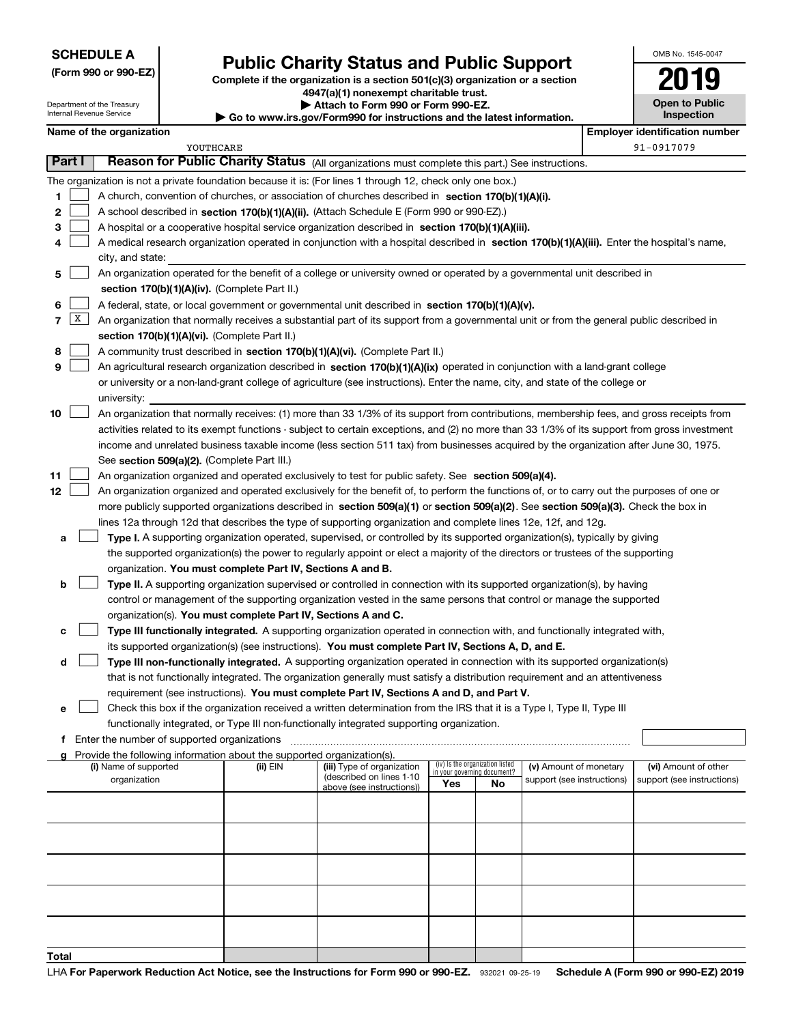**(Form 990 or 990-EZ)**

# **Public Charity Status and Public Support**

**Complete if the organization is a section 501(c)(3) organization or a section 4947(a)(1) nonexempt charitable trust. | Attach to Form 990 or Form 990-EZ.** 

| OMB No 1545-0047                    |
|-------------------------------------|
| 1<br>U.                             |
| <b>Open to Public</b><br>Inspection |

| Department of the Treasury<br>Internal Revenue Service |   |                          |                                               |                                                                          | Attach to Form 990 or Form 990-EZ.<br>$\triangleright$ Go to www.irs.gov/Form990 for instructions and the latest information.                                                                                            |     |                                                                |                            |  | <b>Open to Public</b><br>Inspection   |
|--------------------------------------------------------|---|--------------------------|-----------------------------------------------|--------------------------------------------------------------------------|--------------------------------------------------------------------------------------------------------------------------------------------------------------------------------------------------------------------------|-----|----------------------------------------------------------------|----------------------------|--|---------------------------------------|
|                                                        |   | Name of the organization |                                               |                                                                          |                                                                                                                                                                                                                          |     |                                                                |                            |  | <b>Employer identification number</b> |
|                                                        |   |                          | YOUTHCARE                                     |                                                                          |                                                                                                                                                                                                                          |     |                                                                |                            |  | 91-0917079                            |
| Part I                                                 |   |                          |                                               |                                                                          | Reason for Public Charity Status (All organizations must complete this part.) See instructions.                                                                                                                          |     |                                                                |                            |  |                                       |
|                                                        |   |                          |                                               |                                                                          | The organization is not a private foundation because it is: (For lines 1 through 12, check only one box.)                                                                                                                |     |                                                                |                            |  |                                       |
| 1                                                      |   |                          |                                               |                                                                          | A church, convention of churches, or association of churches described in section 170(b)(1)(A)(i).                                                                                                                       |     |                                                                |                            |  |                                       |
| 2                                                      |   |                          |                                               |                                                                          | A school described in section 170(b)(1)(A)(ii). (Attach Schedule E (Form 990 or 990-EZ).)                                                                                                                                |     |                                                                |                            |  |                                       |
| 3                                                      |   |                          |                                               |                                                                          | A hospital or a cooperative hospital service organization described in section 170(b)(1)(A)(iii).                                                                                                                        |     |                                                                |                            |  |                                       |
| 4                                                      |   |                          |                                               |                                                                          | A medical research organization operated in conjunction with a hospital described in section 170(b)(1)(A)(iii). Enter the hospital's name,                                                                               |     |                                                                |                            |  |                                       |
|                                                        |   | city, and state:         |                                               |                                                                          |                                                                                                                                                                                                                          |     |                                                                |                            |  |                                       |
| 5                                                      |   |                          |                                               |                                                                          | An organization operated for the benefit of a college or university owned or operated by a governmental unit described in                                                                                                |     |                                                                |                            |  |                                       |
|                                                        |   |                          |                                               | section 170(b)(1)(A)(iv). (Complete Part II.)                            |                                                                                                                                                                                                                          |     |                                                                |                            |  |                                       |
| 6                                                      |   |                          |                                               |                                                                          | A federal, state, or local government or governmental unit described in section 170(b)(1)(A)(v).                                                                                                                         |     |                                                                |                            |  |                                       |
| $\overline{7}$                                         | X |                          |                                               |                                                                          | An organization that normally receives a substantial part of its support from a governmental unit or from the general public described in                                                                                |     |                                                                |                            |  |                                       |
|                                                        |   |                          |                                               | section 170(b)(1)(A)(vi). (Complete Part II.)                            |                                                                                                                                                                                                                          |     |                                                                |                            |  |                                       |
| 8                                                      |   |                          |                                               |                                                                          | A community trust described in section 170(b)(1)(A)(vi). (Complete Part II.)                                                                                                                                             |     |                                                                |                            |  |                                       |
| 9                                                      |   |                          |                                               |                                                                          | An agricultural research organization described in section 170(b)(1)(A)(ix) operated in conjunction with a land-grant college                                                                                            |     |                                                                |                            |  |                                       |
|                                                        |   |                          |                                               |                                                                          | or university or a non-land-grant college of agriculture (see instructions). Enter the name, city, and state of the college or                                                                                           |     |                                                                |                            |  |                                       |
|                                                        |   | university:              |                                               |                                                                          |                                                                                                                                                                                                                          |     |                                                                |                            |  |                                       |
| 10                                                     |   |                          |                                               |                                                                          | An organization that normally receives: (1) more than 33 1/3% of its support from contributions, membership fees, and gross receipts from                                                                                |     |                                                                |                            |  |                                       |
|                                                        |   |                          |                                               |                                                                          | activities related to its exempt functions - subject to certain exceptions, and (2) no more than 33 1/3% of its support from gross investment                                                                            |     |                                                                |                            |  |                                       |
|                                                        |   |                          |                                               |                                                                          | income and unrelated business taxable income (less section 511 tax) from businesses acquired by the organization after June 30, 1975.                                                                                    |     |                                                                |                            |  |                                       |
|                                                        |   |                          |                                               | See section 509(a)(2). (Complete Part III.)                              |                                                                                                                                                                                                                          |     |                                                                |                            |  |                                       |
| 11                                                     |   |                          |                                               |                                                                          | An organization organized and operated exclusively to test for public safety. See section 509(a)(4).                                                                                                                     |     |                                                                |                            |  |                                       |
| 12                                                     |   |                          |                                               |                                                                          | An organization organized and operated exclusively for the benefit of, to perform the functions of, or to carry out the purposes of one or                                                                               |     |                                                                |                            |  |                                       |
|                                                        |   |                          |                                               |                                                                          | more publicly supported organizations described in section 509(a)(1) or section 509(a)(2). See section 509(a)(3). Check the box in                                                                                       |     |                                                                |                            |  |                                       |
|                                                        |   |                          |                                               |                                                                          | lines 12a through 12d that describes the type of supporting organization and complete lines 12e, 12f, and 12g.                                                                                                           |     |                                                                |                            |  |                                       |
| а                                                      |   |                          |                                               |                                                                          | Type I. A supporting organization operated, supervised, or controlled by its supported organization(s), typically by giving                                                                                              |     |                                                                |                            |  |                                       |
|                                                        |   |                          |                                               |                                                                          | the supported organization(s) the power to regularly appoint or elect a majority of the directors or trustees of the supporting                                                                                          |     |                                                                |                            |  |                                       |
|                                                        |   |                          |                                               | organization. You must complete Part IV, Sections A and B.               |                                                                                                                                                                                                                          |     |                                                                |                            |  |                                       |
| b                                                      |   |                          |                                               |                                                                          | Type II. A supporting organization supervised or controlled in connection with its supported organization(s), by having                                                                                                  |     |                                                                |                            |  |                                       |
|                                                        |   |                          |                                               |                                                                          | control or management of the supporting organization vested in the same persons that control or manage the supported                                                                                                     |     |                                                                |                            |  |                                       |
|                                                        |   |                          |                                               | organization(s). You must complete Part IV, Sections A and C.            |                                                                                                                                                                                                                          |     |                                                                |                            |  |                                       |
| с                                                      |   |                          |                                               |                                                                          | Type III functionally integrated. A supporting organization operated in connection with, and functionally integrated with,                                                                                               |     |                                                                |                            |  |                                       |
|                                                        |   |                          |                                               |                                                                          | its supported organization(s) (see instructions). You must complete Part IV, Sections A, D, and E.                                                                                                                       |     |                                                                |                            |  |                                       |
| d                                                      |   |                          |                                               |                                                                          | Type III non-functionally integrated. A supporting organization operated in connection with its supported organization(s)                                                                                                |     |                                                                |                            |  |                                       |
|                                                        |   |                          |                                               |                                                                          | that is not functionally integrated. The organization generally must satisfy a distribution requirement and an attentiveness<br>requirement (see instructions). You must complete Part IV, Sections A and D, and Part V. |     |                                                                |                            |  |                                       |
|                                                        |   |                          |                                               |                                                                          | Check this box if the organization received a written determination from the IRS that it is a Type I, Type II, Type III                                                                                                  |     |                                                                |                            |  |                                       |
| е                                                      |   |                          |                                               |                                                                          | functionally integrated, or Type III non-functionally integrated supporting organization.                                                                                                                                |     |                                                                |                            |  |                                       |
|                                                        |   |                          | f Enter the number of supported organizations |                                                                          |                                                                                                                                                                                                                          |     |                                                                |                            |  |                                       |
|                                                        |   |                          |                                               | g Provide the following information about the supported organization(s). |                                                                                                                                                                                                                          |     |                                                                |                            |  |                                       |
|                                                        |   | (i) Name of supported    |                                               | (ii) EIN                                                                 | (iii) Type of organization                                                                                                                                                                                               |     | (iv) Is the organization listed<br>in your governing document? | (v) Amount of monetary     |  | (vi) Amount of other                  |
|                                                        |   | organization             |                                               |                                                                          | (described on lines 1-10<br>above (see instructions))                                                                                                                                                                    | Yes | No                                                             | support (see instructions) |  | support (see instructions)            |
|                                                        |   |                          |                                               |                                                                          |                                                                                                                                                                                                                          |     |                                                                |                            |  |                                       |
|                                                        |   |                          |                                               |                                                                          |                                                                                                                                                                                                                          |     |                                                                |                            |  |                                       |
|                                                        |   |                          |                                               |                                                                          |                                                                                                                                                                                                                          |     |                                                                |                            |  |                                       |
|                                                        |   |                          |                                               |                                                                          |                                                                                                                                                                                                                          |     |                                                                |                            |  |                                       |
|                                                        |   |                          |                                               |                                                                          |                                                                                                                                                                                                                          |     |                                                                |                            |  |                                       |
|                                                        |   |                          |                                               |                                                                          |                                                                                                                                                                                                                          |     |                                                                |                            |  |                                       |
|                                                        |   |                          |                                               |                                                                          |                                                                                                                                                                                                                          |     |                                                                |                            |  |                                       |
|                                                        |   |                          |                                               |                                                                          |                                                                                                                                                                                                                          |     |                                                                |                            |  |                                       |
|                                                        |   |                          |                                               |                                                                          |                                                                                                                                                                                                                          |     |                                                                |                            |  |                                       |
|                                                        |   |                          |                                               |                                                                          |                                                                                                                                                                                                                          |     |                                                                |                            |  |                                       |
| Total                                                  |   |                          |                                               |                                                                          |                                                                                                                                                                                                                          |     |                                                                |                            |  |                                       |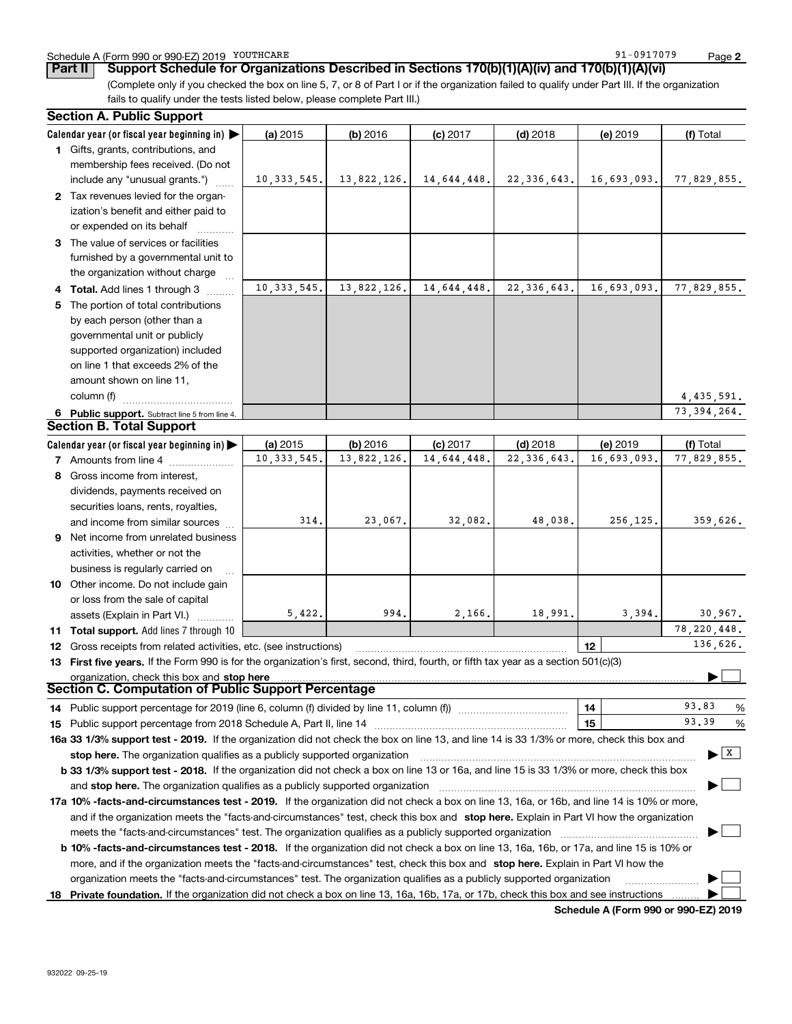#### Schedule A (Form 990 or 990-EZ) 2019 Page YOUTHCARE

(Complete only if you checked the box on line 5, 7, or 8 of Part I or if the organization failed to qualify under Part III. If the organization fails to qualify under the tests listed below, please complete Part III.) **Part II Support Schedule for Organizations Described in Sections 170(b)(1)(A)(iv) and 170(b)(1)(A)(vi)**

#### **6** Public support. Subtract line 5 from line 4. **Calendar year (or fiscal year beginning in)**  | **Calendar year (or fiscal year beginning in) | (a)** 2015 **| (b)** 2016 **| (c)** 2017 **| (d)** 2018 **| (e)** 2019 **| (f) 1**Gifts, grants, contributions, and **2**Tax revenues levied for the organ-**3**The value of services or facilities **4 Total.** Add lines 1 through 3  $\quad$ **5** The portion of total contributions **(a)** 2015 **(b)** 2016 **(c)** 2017 **(d)** 2018 **(e)** 2019 **(f)** Total **7** Amounts from line 4  $\ldots$  **Amounts 8**Gross income from interest, **9** Net income from unrelated business **10** Other income. Do not include gain **11Total support.**  Add lines 7 through 10 **12**Gross receipts from related activities, etc. (see instructions) ~~~~~~~~~~~~~~~~~~~~~~~ **13** First five years. If the Form 990 is for the organization's first, second, third, fourth, or fifth tax year as a section 501(c)(3) **12stop here** organization, check this box and | **141514** Public support percentage for 2019 (line 6, column (f) divided by line 11, column (f))  $\ldots$  $\ldots$  $\ldots$  $\ldots$  $\ldots$  $\ldots$ **15** Public support percentage from 2018 Schedule A, Part II, line 14 ~~~~~~~~~~~~~~~~~~~~~**16a 33 1/3% support test - 2019.** If the organization did not check the box on line 13, and line 14 is 33 1/3% or more, check this box and **17a 10% -facts-and-circumstances test - 2019. If the organization did not check a box on line 13, 16a, or 16b, and line 14 is 10% or more,** 18 Private foundation. If the organization did not check a box on line 13, 16a, 16b, 17a, or 17b, check this box and see instructions ......... **b** 33 1/3% support test - 2018. If the organization did not check a box on line 13 or 16a, and line 15 is 33 1/3% or more, check this box **b 10% -facts-and-circumstances test - 2018.** If the organization did not check a box on line 13, 16a, 16b, or 17a, and line 15 is 10% or **stop here.**  The organization qualifies as a publicly supported organization ~~~~~~~~~~~~~~~~~~~~~~~~~~~~~~ | **stop here.**  and The organization qualifies as a publicly supported organization ~~~~~~~~~~~~~~~~~~~~~~~~~~~~ | and if the organization meets the "facts-and-circumstances" test, check this box and stop here. Explain in Part VI how the organization more, and if the organization meets the "facts-and-circumstances" test, check this box and **stop here.** Explain in Part VI how the (a) 2015 15 **| (b)** 2016 **| (c)** 2017 **| (d)** 2018 **| (e)** 2019 **| (f)** Total membership fees received. (Do not include any "unusual grants.") ization's benefit and either paid to or expended on its behalf ~~~~furnished by a governmental unit to the organization without charge by each person (other than a governmental unit or publicly supported organization) included on line 1 that exceeds 2% of the amount shown on line 11, column (f) <sub>……………………………</sub>… (a) 2015 dividends, payments received on securities loans, rents, royalties, and income from similar sources activities, whether or not the business is regularly carried on <sup>~</sup> or loss from the sale of capital assets (Explain in Part VI.)  $\ldots$ % $\ldots$  | 15 | 93.39 % meets the "facts-and-circumstances" test. The organization qualifies as a publicly supported organization ~~~~~~~~~~~~~~~ | organization meets the "facts-and-circumstances" test. The organization qualifies as a publicly supported organization **Section A. Public Support Section B. Total Support Section C. Computation of Public Support Percentage**  $\mathcal{L}^{\text{max}}$  $\boxed{\mathbf{X}}$  $\mathcal{L}^{\text{max}}$  $\mathcal{L}^{\text{max}}$  $\mathcal{L}^{\text{max}}$  $\mathcal{L}^{\text{max}}$ 10,333,545. 10,333,545. 13,822,126. 13,822,126. 14,644,448. 22,336,643. 16,693,093. 77,829,855. 14,644,448. 22,336,643. 16,693,093. 77,829,855. 4,435,591. 73,394,264. 10,333,545. 13,822,126. 14,644,448. 22,336,643. 16,693,093. 77,829,855. 314. $23,067.$   $32,082.$   $48,038.$   $256,125.$   $359,626.$ 5,422. 994. 2,166. 18,991. 3,394. 30,967. 78,220,448. 136,626. 93.8393.39

**Schedule A (Form 990 or 990-EZ) 2019**

91-0917079

**2**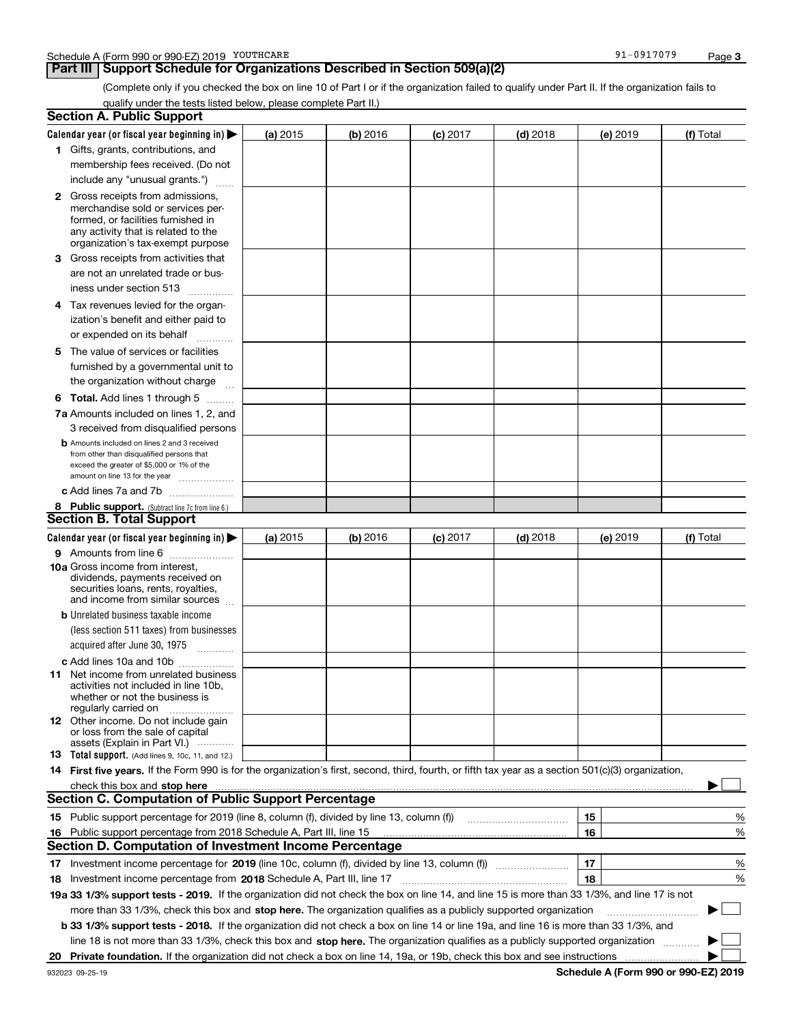# **Part III Support Schedule for Organizations Described in Section 509(a)(2)**

(Complete only if you checked the box on line 10 of Part I or if the organization failed to qualify under Part II. If the organization fails to qualify under the tests listed below, please complete Part II.)

| <b>Section A. Public Support</b>                                                                                                                                                                                              |          |          |                 |                                       |    |          |             |   |
|-------------------------------------------------------------------------------------------------------------------------------------------------------------------------------------------------------------------------------|----------|----------|-----------------|---------------------------------------|----|----------|-------------|---|
| Calendar year (or fiscal year beginning in) $\blacktriangleright$                                                                                                                                                             | (a) 2015 | (b) 2016 | $(c)$ 2017      | $(d)$ 2018                            |    | (e) 2019 | (f) Total   |   |
| 1 Gifts, grants, contributions, and                                                                                                                                                                                           |          |          |                 |                                       |    |          |             |   |
| membership fees received. (Do not                                                                                                                                                                                             |          |          |                 |                                       |    |          |             |   |
| include any "unusual grants.")                                                                                                                                                                                                |          |          |                 |                                       |    |          |             |   |
| <b>2</b> Gross receipts from admissions,                                                                                                                                                                                      |          |          |                 |                                       |    |          |             |   |
| merchandise sold or services per-                                                                                                                                                                                             |          |          |                 |                                       |    |          |             |   |
| formed, or facilities furnished in                                                                                                                                                                                            |          |          |                 |                                       |    |          |             |   |
| any activity that is related to the<br>organization's tax-exempt purpose                                                                                                                                                      |          |          |                 |                                       |    |          |             |   |
| 3 Gross receipts from activities that                                                                                                                                                                                         |          |          |                 |                                       |    |          |             |   |
| are not an unrelated trade or bus-                                                                                                                                                                                            |          |          |                 |                                       |    |          |             |   |
| iness under section 513                                                                                                                                                                                                       |          |          |                 |                                       |    |          |             |   |
|                                                                                                                                                                                                                               |          |          |                 |                                       |    |          |             |   |
| 4 Tax revenues levied for the organ-                                                                                                                                                                                          |          |          |                 |                                       |    |          |             |   |
| ization's benefit and either paid to                                                                                                                                                                                          |          |          |                 |                                       |    |          |             |   |
| or expended on its behalf<br>.                                                                                                                                                                                                |          |          |                 |                                       |    |          |             |   |
| 5 The value of services or facilities                                                                                                                                                                                         |          |          |                 |                                       |    |          |             |   |
| furnished by a governmental unit to                                                                                                                                                                                           |          |          |                 |                                       |    |          |             |   |
| the organization without charge                                                                                                                                                                                               |          |          |                 |                                       |    |          |             |   |
| <b>6 Total.</b> Add lines 1 through 5                                                                                                                                                                                         |          |          |                 |                                       |    |          |             |   |
| 7a Amounts included on lines 1, 2, and                                                                                                                                                                                        |          |          |                 |                                       |    |          |             |   |
| 3 received from disqualified persons                                                                                                                                                                                          |          |          |                 |                                       |    |          |             |   |
| <b>b</b> Amounts included on lines 2 and 3 received                                                                                                                                                                           |          |          |                 |                                       |    |          |             |   |
| from other than disqualified persons that<br>exceed the greater of \$5,000 or 1% of the                                                                                                                                       |          |          |                 |                                       |    |          |             |   |
| amount on line 13 for the year                                                                                                                                                                                                |          |          |                 |                                       |    |          |             |   |
| c Add lines 7a and 7b                                                                                                                                                                                                         |          |          |                 |                                       |    |          |             |   |
| 8 Public support. (Subtract line 7c from line 6.)                                                                                                                                                                             |          |          |                 |                                       |    |          |             |   |
| <b>Section B. Total Support</b>                                                                                                                                                                                               |          |          |                 |                                       |    |          |             |   |
| Calendar year (or fiscal year beginning in) $\blacktriangleright$                                                                                                                                                             | (a) 2015 | (b) 2016 | <b>(c)</b> 2017 | $(d)$ 2018                            |    | (e) 2019 | (f) Total   |   |
| 9 Amounts from line 6                                                                                                                                                                                                         |          |          |                 |                                       |    |          |             |   |
| 10a Gross income from interest,                                                                                                                                                                                               |          |          |                 |                                       |    |          |             |   |
| dividends, payments received on                                                                                                                                                                                               |          |          |                 |                                       |    |          |             |   |
| securities loans, rents, royalties,<br>and income from similar sources                                                                                                                                                        |          |          |                 |                                       |    |          |             |   |
| <b>b</b> Unrelated business taxable income                                                                                                                                                                                    |          |          |                 |                                       |    |          |             |   |
| (less section 511 taxes) from businesses                                                                                                                                                                                      |          |          |                 |                                       |    |          |             |   |
| acquired after June 30, 1975                                                                                                                                                                                                  |          |          |                 |                                       |    |          |             |   |
| c Add lines 10a and 10b                                                                                                                                                                                                       |          |          |                 |                                       |    |          |             |   |
| 11 Net income from unrelated business                                                                                                                                                                                         |          |          |                 |                                       |    |          |             |   |
| activities not included in line 10b.                                                                                                                                                                                          |          |          |                 |                                       |    |          |             |   |
| whether or not the business is                                                                                                                                                                                                |          |          |                 |                                       |    |          |             |   |
| regularly carried on<br>12 Other income. Do not include gain                                                                                                                                                                  |          |          |                 |                                       |    |          |             |   |
| or loss from the sale of capital                                                                                                                                                                                              |          |          |                 |                                       |    |          |             |   |
| assets (Explain in Part VI.)                                                                                                                                                                                                  |          |          |                 |                                       |    |          |             |   |
| <b>13</b> Total support. (Add lines 9, 10c, 11, and 12.)                                                                                                                                                                      |          |          |                 |                                       |    |          |             |   |
| 14 First five years. If the Form 990 is for the organization's first, second, third, fourth, or fifth tax year as a section 501(c)(3) organization,                                                                           |          |          |                 |                                       |    |          |             |   |
| check this box and stop here with the continuum control to the change of the state of the state of the change of the change of the change of the change of the change of the change of the change of the change of the change |          |          |                 |                                       |    |          |             |   |
| <b>Section C. Computation of Public Support Percentage</b>                                                                                                                                                                    |          |          |                 |                                       |    |          |             |   |
| 15 Public support percentage for 2019 (line 8, column (f), divided by line 13, column (f))                                                                                                                                    |          |          |                 | <u> 1986 - Jan Barbarat, martin a</u> | 15 |          |             | % |
| 16 Public support percentage from 2018 Schedule A, Part III, line 15                                                                                                                                                          |          |          |                 |                                       | 16 |          |             | % |
| <b>Section D. Computation of Investment Income Percentage</b>                                                                                                                                                                 |          |          |                 |                                       |    |          |             |   |
|                                                                                                                                                                                                                               |          |          |                 |                                       | 17 |          |             | % |
| <b>18</b> Investment income percentage from <b>2018</b> Schedule A, Part III, line 17                                                                                                                                         |          |          |                 |                                       | 18 |          |             | % |
| 19a 33 1/3% support tests - 2019. If the organization did not check the box on line 14, and line 15 is more than 33 1/3%, and line 17 is not                                                                                  |          |          |                 |                                       |    |          |             |   |
| more than 33 1/3%, check this box and stop here. The organization qualifies as a publicly supported organization                                                                                                              |          |          |                 |                                       |    |          | $\sim$<br>▶ |   |
| b 33 1/3% support tests - 2018. If the organization did not check a box on line 14 or line 19a, and line 16 is more than 33 1/3%, and                                                                                         |          |          |                 |                                       |    |          |             |   |
| line 18 is not more than 33 1/3%, check this box and stop here. The organization qualifies as a publicly supported organization                                                                                               |          |          |                 |                                       |    |          |             |   |
|                                                                                                                                                                                                                               |          |          |                 |                                       |    |          |             |   |

**Schedule A (Form 990 or 990-EZ) 2019**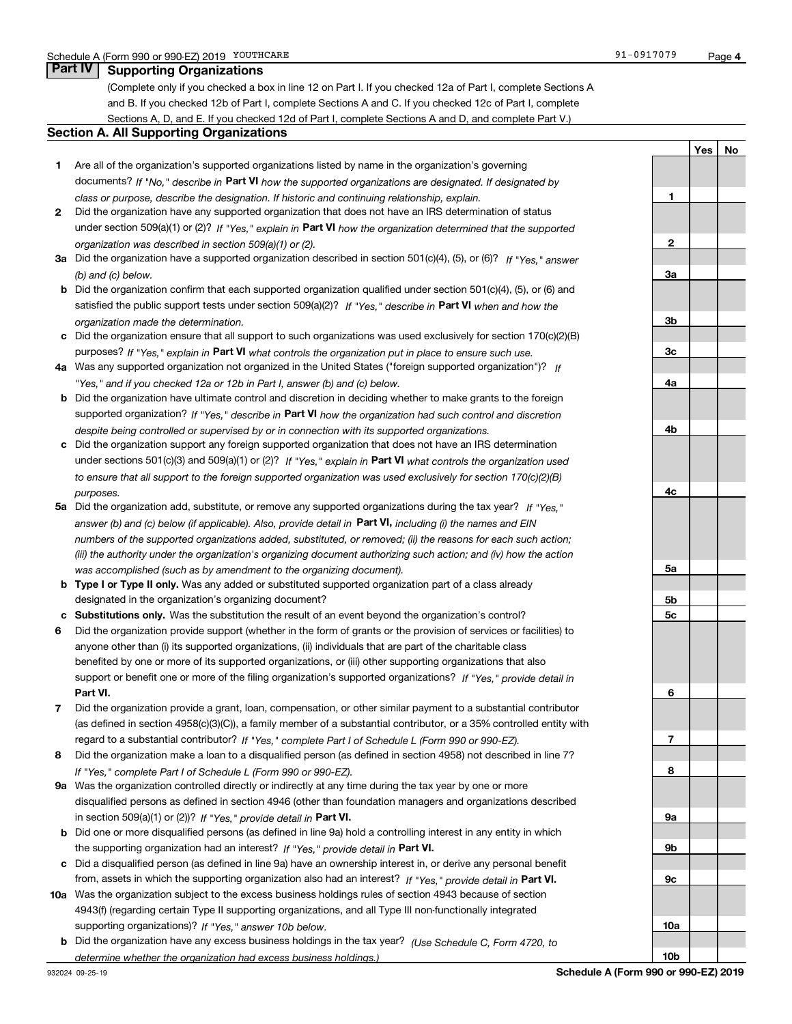**1**

**2**

**3a**

**3b**

**3c**

**4a**

**4b**

**4c**

**5a**

**5b5c**

**6**

**7**

**8**

**9a**

**9b**

**9c**

**10a**

**10b**

**YesNo**

## **Part IV Supporting Organizations**

(Complete only if you checked a box in line 12 on Part I. If you checked 12a of Part I, complete Sections A and B. If you checked 12b of Part I, complete Sections A and C. If you checked 12c of Part I, complete Sections A, D, and E. If you checked 12d of Part I, complete Sections A and D, and complete Part V.)

#### **Section A. All Supporting Organizations**

- **1** Are all of the organization's supported organizations listed by name in the organization's governing documents? If "No," describe in **Part VI** how the supported organizations are designated. If designated by *class or purpose, describe the designation. If historic and continuing relationship, explain.*
- **2** Did the organization have any supported organization that does not have an IRS determination of status under section 509(a)(1) or (2)? If "Yes," explain in Part VI how the organization determined that the supported *organization was described in section 509(a)(1) or (2).*
- **3a** Did the organization have a supported organization described in section 501(c)(4), (5), or (6)? If "Yes," answer *(b) and (c) below.*
- **b** Did the organization confirm that each supported organization qualified under section 501(c)(4), (5), or (6) and satisfied the public support tests under section 509(a)(2)? If "Yes," describe in **Part VI** when and how the *organization made the determination.*
- **c**Did the organization ensure that all support to such organizations was used exclusively for section 170(c)(2)(B) purposes? If "Yes," explain in **Part VI** what controls the organization put in place to ensure such use.
- **4a***If* Was any supported organization not organized in the United States ("foreign supported organization")? *"Yes," and if you checked 12a or 12b in Part I, answer (b) and (c) below.*
- **b** Did the organization have ultimate control and discretion in deciding whether to make grants to the foreign supported organization? If "Yes," describe in **Part VI** how the organization had such control and discretion *despite being controlled or supervised by or in connection with its supported organizations.*
- **c** Did the organization support any foreign supported organization that does not have an IRS determination under sections 501(c)(3) and 509(a)(1) or (2)? If "Yes," explain in **Part VI** what controls the organization used *to ensure that all support to the foreign supported organization was used exclusively for section 170(c)(2)(B) purposes.*
- **5a***If "Yes,"* Did the organization add, substitute, or remove any supported organizations during the tax year? answer (b) and (c) below (if applicable). Also, provide detail in **Part VI,** including (i) the names and EIN *numbers of the supported organizations added, substituted, or removed; (ii) the reasons for each such action; (iii) the authority under the organization's organizing document authorizing such action; and (iv) how the action was accomplished (such as by amendment to the organizing document).*
- **b** Type I or Type II only. Was any added or substituted supported organization part of a class already designated in the organization's organizing document?
- **cSubstitutions only.**  Was the substitution the result of an event beyond the organization's control?
- **6** Did the organization provide support (whether in the form of grants or the provision of services or facilities) to **Part VI.** *If "Yes," provide detail in* support or benefit one or more of the filing organization's supported organizations? anyone other than (i) its supported organizations, (ii) individuals that are part of the charitable class benefited by one or more of its supported organizations, or (iii) other supporting organizations that also
- **7**Did the organization provide a grant, loan, compensation, or other similar payment to a substantial contributor *If "Yes," complete Part I of Schedule L (Form 990 or 990-EZ).* regard to a substantial contributor? (as defined in section 4958(c)(3)(C)), a family member of a substantial contributor, or a 35% controlled entity with
- **8** Did the organization make a loan to a disqualified person (as defined in section 4958) not described in line 7? *If "Yes," complete Part I of Schedule L (Form 990 or 990-EZ).*
- **9a** Was the organization controlled directly or indirectly at any time during the tax year by one or more in section 509(a)(1) or (2))? If "Yes," *provide detail in* <code>Part VI.</code> disqualified persons as defined in section 4946 (other than foundation managers and organizations described
- **b** Did one or more disqualified persons (as defined in line 9a) hold a controlling interest in any entity in which the supporting organization had an interest? If "Yes," provide detail in P**art VI**.
- **c**Did a disqualified person (as defined in line 9a) have an ownership interest in, or derive any personal benefit from, assets in which the supporting organization also had an interest? If "Yes," provide detail in P**art VI.**
- **10a** Was the organization subject to the excess business holdings rules of section 4943 because of section supporting organizations)? If "Yes," answer 10b below. 4943(f) (regarding certain Type II supporting organizations, and all Type III non-functionally integrated
- **b** Did the organization have any excess business holdings in the tax year? (Use Schedule C, Form 4720, to *determine whether the organization had excess business holdings.)*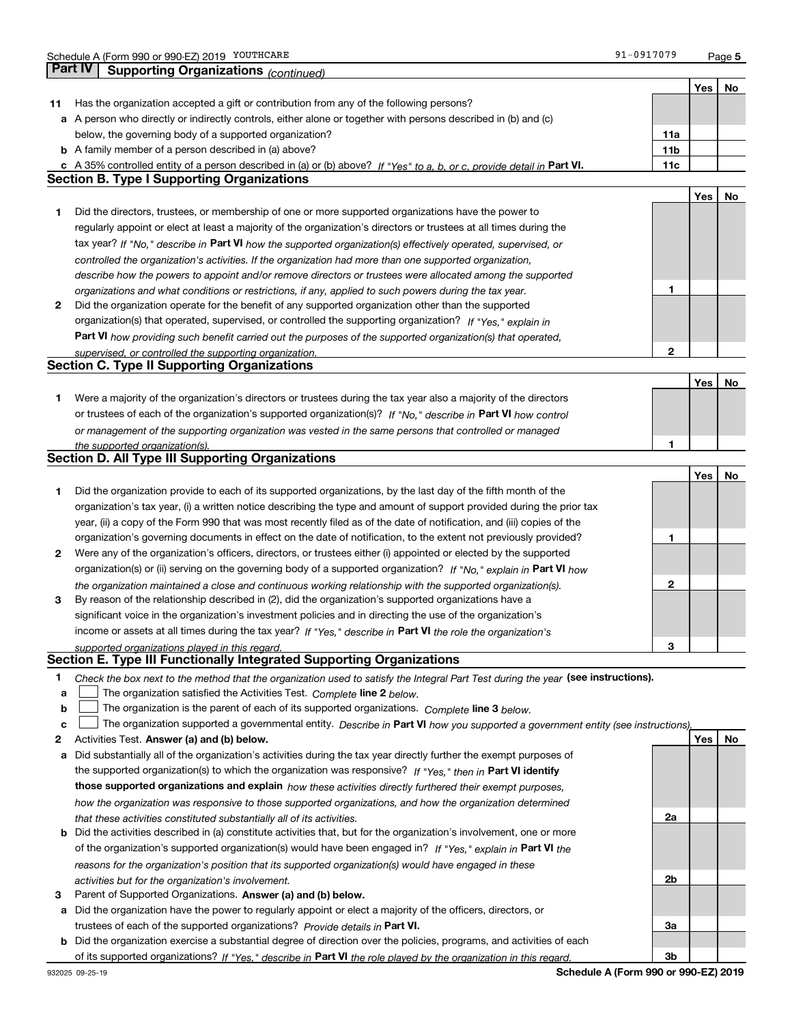|    |                                                                                                                                   |     | Yes $ $ | No |
|----|-----------------------------------------------------------------------------------------------------------------------------------|-----|---------|----|
| 11 | Has the organization accepted a gift or contribution from any of the following persons?                                           |     |         |    |
|    | a A person who directly or indirectly controls, either alone or together with persons described in (b) and (c)                    |     |         |    |
|    | below, the governing body of a supported organization?                                                                            | 11a |         |    |
|    | <b>b</b> A family member of a person described in (a) above?                                                                      | 11b |         |    |
|    | c A 35% controlled entity of a person described in (a) or (b) above? If "Yes" to a, b, or c, provide detail in Part VI.           | 11c |         |    |
|    | <b>Section B. Type I Supporting Organizations</b>                                                                                 |     |         |    |
|    |                                                                                                                                   |     | Yes     | No |
| 1  | Did the directors, trustees, or membership of one or more supported organizations have the power to                               |     |         |    |
|    | regularly appoint or elect at least a majority of the organization's directors or trustees at all times during the                |     |         |    |
|    | tax year? If "No," describe in Part VI how the supported organization(s) effectively operated, supervised, or                     |     |         |    |
|    | controlled the organization's activities. If the organization had more than one supported organization,                           |     |         |    |
|    | describe how the powers to appoint and/or remove directors or trustees were allocated among the supported                         |     |         |    |
|    | organizations and what conditions or restrictions, if any, applied to such powers during the tax year.                            | 1   |         |    |
| 2  | Did the organization operate for the benefit of any supported organization other than the supported                               |     |         |    |
|    | organization(s) that operated, supervised, or controlled the supporting organization? If "Yes," explain in                        |     |         |    |
|    | Part VI how providing such benefit carried out the purposes of the supported organization(s) that operated,                       |     |         |    |
|    |                                                                                                                                   | 2   |         |    |
|    | supervised, or controlled the supporting organization.<br><b>Section C. Type II Supporting Organizations</b>                      |     |         |    |
|    |                                                                                                                                   |     | Yes     | No |
|    |                                                                                                                                   |     |         |    |
| 1  | Were a majority of the organization's directors or trustees during the tax year also a majority of the directors                  |     |         |    |
|    | or trustees of each of the organization's supported organization(s)? If "No." describe in Part VI how control                     |     |         |    |
|    | or management of the supporting organization was vested in the same persons that controlled or managed                            |     |         |    |
|    | the supported organization(s).<br>Section D. All Type III Supporting Organizations                                                | 1   |         |    |
|    |                                                                                                                                   |     |         |    |
|    |                                                                                                                                   |     | Yes     | No |
| 1  | Did the organization provide to each of its supported organizations, by the last day of the fifth month of the                    |     |         |    |
|    | organization's tax year, (i) a written notice describing the type and amount of support provided during the prior tax             |     |         |    |
|    | year, (ii) a copy of the Form 990 that was most recently filed as of the date of notification, and (iii) copies of the            |     |         |    |
|    | organization's governing documents in effect on the date of notification, to the extent not previously provided?                  | 1   |         |    |
| 2  | Were any of the organization's officers, directors, or trustees either (i) appointed or elected by the supported                  |     |         |    |
|    | organization(s) or (ii) serving on the governing body of a supported organization? If "No," explain in Part VI how                |     |         |    |
|    | the organization maintained a close and continuous working relationship with the supported organization(s).                       | 2   |         |    |
| 3  | By reason of the relationship described in (2), did the organization's supported organizations have a                             |     |         |    |
|    | significant voice in the organization's investment policies and in directing the use of the organization's                        |     |         |    |
|    | income or assets at all times during the tax year? If "Yes," describe in Part VI the role the organization's                      |     |         |    |
|    | supported organizations played in this regard.                                                                                    | З   |         |    |
|    | Section E. Type III Functionally Integrated Supporting Organizations                                                              |     |         |    |
| 1  | Check the box next to the method that the organization used to satisfy the Integral Part Test during the year (see instructions). |     |         |    |
| a  | The organization satisfied the Activities Test. Complete line 2 below.                                                            |     |         |    |
| b  | The organization is the parent of each of its supported organizations. Complete line 3 below.                                     |     |         |    |
| c  | The organization supported a governmental entity. Describe in Part VI how you supported a government entity (see instructions)    |     |         |    |
| 2  | Activities Test. Answer (a) and (b) below.                                                                                        |     | Yes     | No |
| a  | Did substantially all of the organization's activities during the tax year directly further the exempt purposes of                |     |         |    |
|    | the supported organization(s) to which the organization was responsive? If "Yes," then in Part VI identify                        |     |         |    |
|    | those supported organizations and explain how these activities directly furthered their exempt purposes,                          |     |         |    |
|    | how the organization was responsive to those supported organizations, and how the organization determined                         |     |         |    |
|    | that these activities constituted substantially all of its activities.                                                            | 2a  |         |    |
|    | <b>b</b> Did the activities described in (a) constitute activities that, but for the organization's involvement, one or more      |     |         |    |
|    | of the organization's supported organization(s) would have been engaged in? If "Yes," explain in Part VI the                      |     |         |    |
|    | reasons for the organization's position that its supported organization(s) would have engaged in these                            |     |         |    |
|    | activities but for the organization's involvement.                                                                                | 2b  |         |    |
| З  | Parent of Supported Organizations. Answer (a) and (b) below.                                                                      |     |         |    |
| а  | Did the organization have the power to regularly appoint or elect a majority of the officers, directors, or                       |     |         |    |
|    | trustees of each of the supported organizations? Provide details in Part VI.                                                      | За  |         |    |
|    | b Did the organization exercise a substantial degree of direction over the policies, programs, and activities of each             |     |         |    |
|    | of its supported organizations? If "Yes." describe in Part VI the role played by the organization in this regard.                 | 3b  |         |    |
|    |                                                                                                                                   |     |         |    |

**Schedule A (Form 990 or 990-EZ) 2019**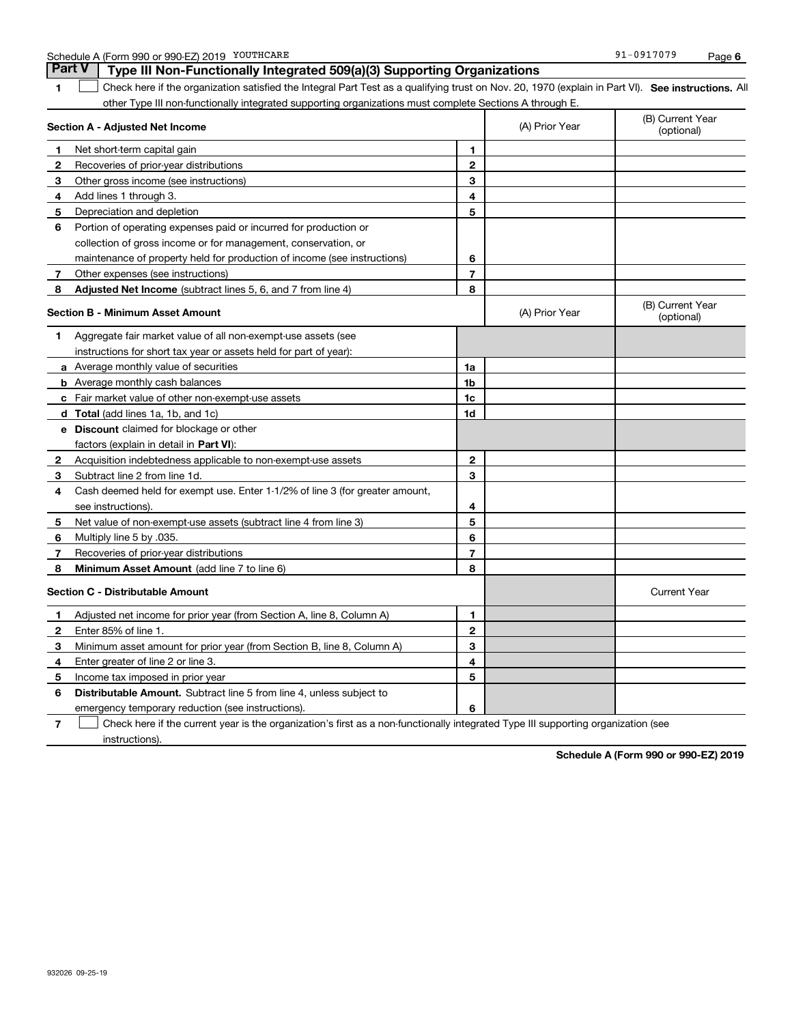| 0917079<br>YOUTHCARE<br>۰ ه<br>e A (Form 990 or 990-EZ) 2019<br>Schedule A | Page |  |
|----------------------------------------------------------------------------|------|--|
|----------------------------------------------------------------------------|------|--|

|              | <b>Part V</b><br>Type III Non-Functionally Integrated 509(a)(3) Supporting Organizations                                                          |                |                |                                |
|--------------|---------------------------------------------------------------------------------------------------------------------------------------------------|----------------|----------------|--------------------------------|
| 1.           | Check here if the organization satisfied the Integral Part Test as a qualifying trust on Nov. 20, 1970 (explain in Part VI). See instructions. Al |                |                |                                |
|              | other Type III non-functionally integrated supporting organizations must complete Sections A through E.                                           |                |                |                                |
|              | Section A - Adjusted Net Income                                                                                                                   |                | (A) Prior Year | (B) Current Year<br>(optional) |
| 1            | Net short-term capital gain                                                                                                                       | 1              |                |                                |
| $\mathbf{2}$ | Recoveries of prior-year distributions                                                                                                            | $\mathbf{2}$   |                |                                |
| 3            | Other gross income (see instructions)                                                                                                             | 3              |                |                                |
| 4            | Add lines 1 through 3.                                                                                                                            | 4              |                |                                |
| 5            | Depreciation and depletion                                                                                                                        | 5              |                |                                |
| 6            | Portion of operating expenses paid or incurred for production or                                                                                  |                |                |                                |
|              | collection of gross income or for management, conservation, or                                                                                    |                |                |                                |
|              | maintenance of property held for production of income (see instructions)                                                                          | 6              |                |                                |
| 7            | Other expenses (see instructions)                                                                                                                 | $\overline{7}$ |                |                                |
| 8            | <b>Adjusted Net Income</b> (subtract lines 5, 6, and 7 from line 4)                                                                               | 8              |                |                                |
|              | <b>Section B - Minimum Asset Amount</b>                                                                                                           |                | (A) Prior Year | (B) Current Year<br>(optional) |
| 1            | Aggregate fair market value of all non-exempt-use assets (see                                                                                     |                |                |                                |
|              | instructions for short tax year or assets held for part of year):                                                                                 |                |                |                                |
|              | a Average monthly value of securities                                                                                                             | 1a             |                |                                |
|              | <b>b</b> Average monthly cash balances                                                                                                            | 1b             |                |                                |
|              | c Fair market value of other non-exempt-use assets                                                                                                | 1 <sub>c</sub> |                |                                |
|              | <b>d</b> Total (add lines 1a, 1b, and 1c)                                                                                                         | 1d             |                |                                |
|              | <b>e</b> Discount claimed for blockage or other                                                                                                   |                |                |                                |
|              | factors (explain in detail in Part VI):                                                                                                           |                |                |                                |
| $\mathbf{2}$ | Acquisition indebtedness applicable to non-exempt-use assets                                                                                      | $\mathbf{2}$   |                |                                |
| 3            | Subtract line 2 from line 1d.                                                                                                                     | 3              |                |                                |
| 4            | Cash deemed held for exempt use. Enter 1-1/2% of line 3 (for greater amount,                                                                      |                |                |                                |
|              | see instructions).                                                                                                                                | 4              |                |                                |
| 5            | Net value of non-exempt-use assets (subtract line 4 from line 3)                                                                                  | 5              |                |                                |
| 6            | Multiply line 5 by .035.                                                                                                                          | 6              |                |                                |
| 7            | Recoveries of prior-year distributions                                                                                                            | $\overline{7}$ |                |                                |
| 8            | Minimum Asset Amount (add line 7 to line 6)                                                                                                       | 8              |                |                                |
|              | <b>Section C - Distributable Amount</b>                                                                                                           |                |                | <b>Current Year</b>            |
| 1            | Adjusted net income for prior year (from Section A, line 8, Column A)                                                                             | 1              |                |                                |
| 2            | Enter 85% of line 1.                                                                                                                              | $\mathbf{2}$   |                |                                |
| з            | Minimum asset amount for prior year (from Section B, line 8, Column A)                                                                            | 3              |                |                                |
| 4            | Enter greater of line 2 or line 3.                                                                                                                | 4              |                |                                |
| 5            | Income tax imposed in prior year                                                                                                                  | 5              |                |                                |
| 6            | <b>Distributable Amount.</b> Subtract line 5 from line 4, unless subject to                                                                       |                |                |                                |
|              | emergency temporary reduction (see instructions).                                                                                                 | 6              |                |                                |

**7**Check here if the current year is the organization's first as a non-functionally integrated Type III supporting organization (see instructions).

**Schedule A (Form 990 or 990-EZ) 2019**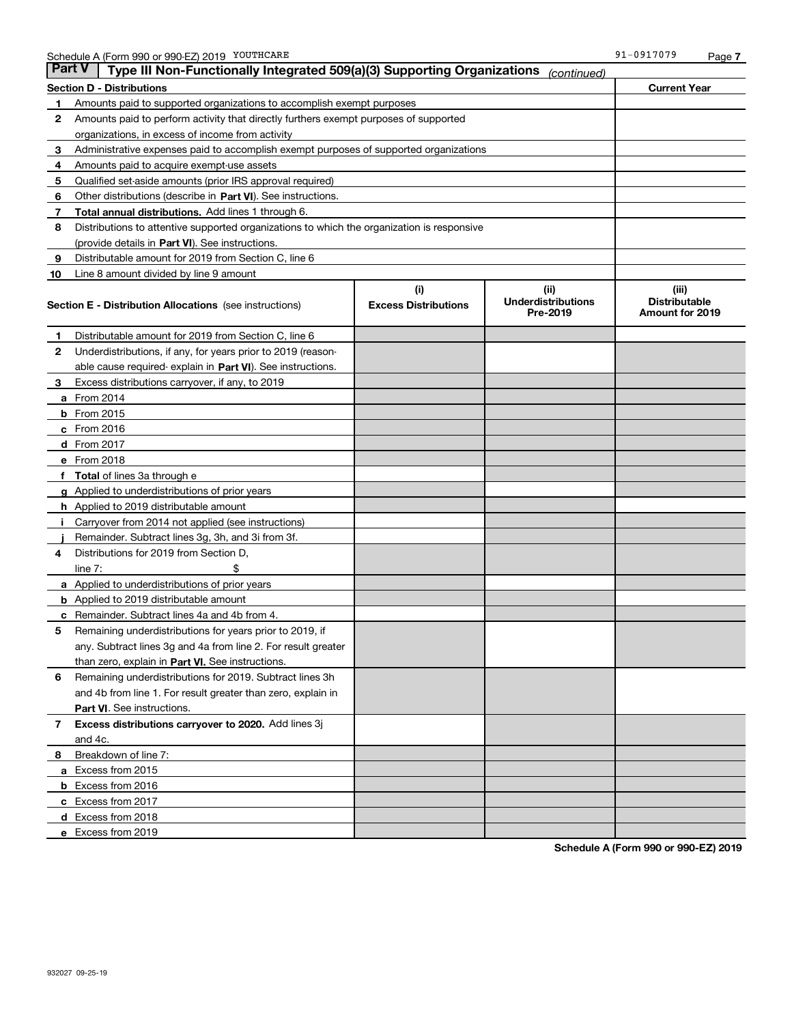| Part V | Type III Non-Functionally Integrated 509(a)(3) Supporting Organizations                    |                             | (continued)                           |                                                |  |  |  |  |
|--------|--------------------------------------------------------------------------------------------|-----------------------------|---------------------------------------|------------------------------------------------|--|--|--|--|
|        | Section D - Distributions                                                                  |                             |                                       | <b>Current Year</b>                            |  |  |  |  |
| 1      | Amounts paid to supported organizations to accomplish exempt purposes                      |                             |                                       |                                                |  |  |  |  |
| 2      | Amounts paid to perform activity that directly furthers exempt purposes of supported       |                             |                                       |                                                |  |  |  |  |
|        | organizations, in excess of income from activity                                           |                             |                                       |                                                |  |  |  |  |
| З      | Administrative expenses paid to accomplish exempt purposes of supported organizations      |                             |                                       |                                                |  |  |  |  |
| 4      | Amounts paid to acquire exempt-use assets                                                  |                             |                                       |                                                |  |  |  |  |
| 5      | Qualified set-aside amounts (prior IRS approval required)                                  |                             |                                       |                                                |  |  |  |  |
| 6      | Other distributions (describe in Part VI). See instructions.                               |                             |                                       |                                                |  |  |  |  |
| 7      | Total annual distributions. Add lines 1 through 6.                                         |                             |                                       |                                                |  |  |  |  |
| 8      | Distributions to attentive supported organizations to which the organization is responsive |                             |                                       |                                                |  |  |  |  |
|        | (provide details in Part VI). See instructions.                                            |                             |                                       |                                                |  |  |  |  |
| 9      | Distributable amount for 2019 from Section C, line 6                                       |                             |                                       |                                                |  |  |  |  |
| 10     | Line 8 amount divided by line 9 amount                                                     |                             |                                       |                                                |  |  |  |  |
|        |                                                                                            | (i)                         | (ii)                                  | (iii)                                          |  |  |  |  |
|        | <b>Section E - Distribution Allocations</b> (see instructions)                             | <b>Excess Distributions</b> | <b>Underdistributions</b><br>Pre-2019 | <b>Distributable</b><br><b>Amount for 2019</b> |  |  |  |  |
| 1.     | Distributable amount for 2019 from Section C, line 6                                       |                             |                                       |                                                |  |  |  |  |
| 2      | Underdistributions, if any, for years prior to 2019 (reason-                               |                             |                                       |                                                |  |  |  |  |
|        | able cause required-explain in Part VI). See instructions.                                 |                             |                                       |                                                |  |  |  |  |
| з      | Excess distributions carryover, if any, to 2019                                            |                             |                                       |                                                |  |  |  |  |
|        | <b>a</b> From 2014                                                                         |                             |                                       |                                                |  |  |  |  |
|        | <b>b</b> From 2015                                                                         |                             |                                       |                                                |  |  |  |  |
|        | $c$ From 2016                                                                              |                             |                                       |                                                |  |  |  |  |
|        | d From 2017                                                                                |                             |                                       |                                                |  |  |  |  |
|        | e From 2018                                                                                |                             |                                       |                                                |  |  |  |  |
| f      | <b>Total</b> of lines 3a through e                                                         |                             |                                       |                                                |  |  |  |  |
|        | <b>g</b> Applied to underdistributions of prior years                                      |                             |                                       |                                                |  |  |  |  |
|        | <b>h</b> Applied to 2019 distributable amount                                              |                             |                                       |                                                |  |  |  |  |
|        | Carryover from 2014 not applied (see instructions)                                         |                             |                                       |                                                |  |  |  |  |
|        | Remainder. Subtract lines 3g, 3h, and 3i from 3f.                                          |                             |                                       |                                                |  |  |  |  |
| 4      | Distributions for 2019 from Section D,                                                     |                             |                                       |                                                |  |  |  |  |
|        | line $7:$                                                                                  |                             |                                       |                                                |  |  |  |  |
|        | <b>a</b> Applied to underdistributions of prior years                                      |                             |                                       |                                                |  |  |  |  |
|        | <b>b</b> Applied to 2019 distributable amount                                              |                             |                                       |                                                |  |  |  |  |
| c      | Remainder. Subtract lines 4a and 4b from 4.                                                |                             |                                       |                                                |  |  |  |  |
| 5      | Remaining underdistributions for years prior to 2019, if                                   |                             |                                       |                                                |  |  |  |  |
|        | any. Subtract lines 3g and 4a from line 2. For result greater                              |                             |                                       |                                                |  |  |  |  |
|        | than zero, explain in Part VI. See instructions.                                           |                             |                                       |                                                |  |  |  |  |
| 6      | Remaining underdistributions for 2019. Subtract lines 3h                                   |                             |                                       |                                                |  |  |  |  |
|        | and 4b from line 1. For result greater than zero, explain in                               |                             |                                       |                                                |  |  |  |  |
|        | Part VI. See instructions.                                                                 |                             |                                       |                                                |  |  |  |  |
|        | Excess distributions carryover to 2020. Add lines 3j                                       |                             |                                       |                                                |  |  |  |  |
| 7      | and 4c.                                                                                    |                             |                                       |                                                |  |  |  |  |
|        |                                                                                            |                             |                                       |                                                |  |  |  |  |
| 8      | Breakdown of line 7:<br>a Excess from 2015                                                 |                             |                                       |                                                |  |  |  |  |
|        |                                                                                            |                             |                                       |                                                |  |  |  |  |
|        | b Excess from 2016                                                                         |                             |                                       |                                                |  |  |  |  |
|        | c Excess from 2017                                                                         |                             |                                       |                                                |  |  |  |  |
|        | d Excess from 2018                                                                         |                             |                                       |                                                |  |  |  |  |
|        | e Excess from 2019                                                                         |                             |                                       |                                                |  |  |  |  |

**Schedule A (Form 990 or 990-EZ) 2019**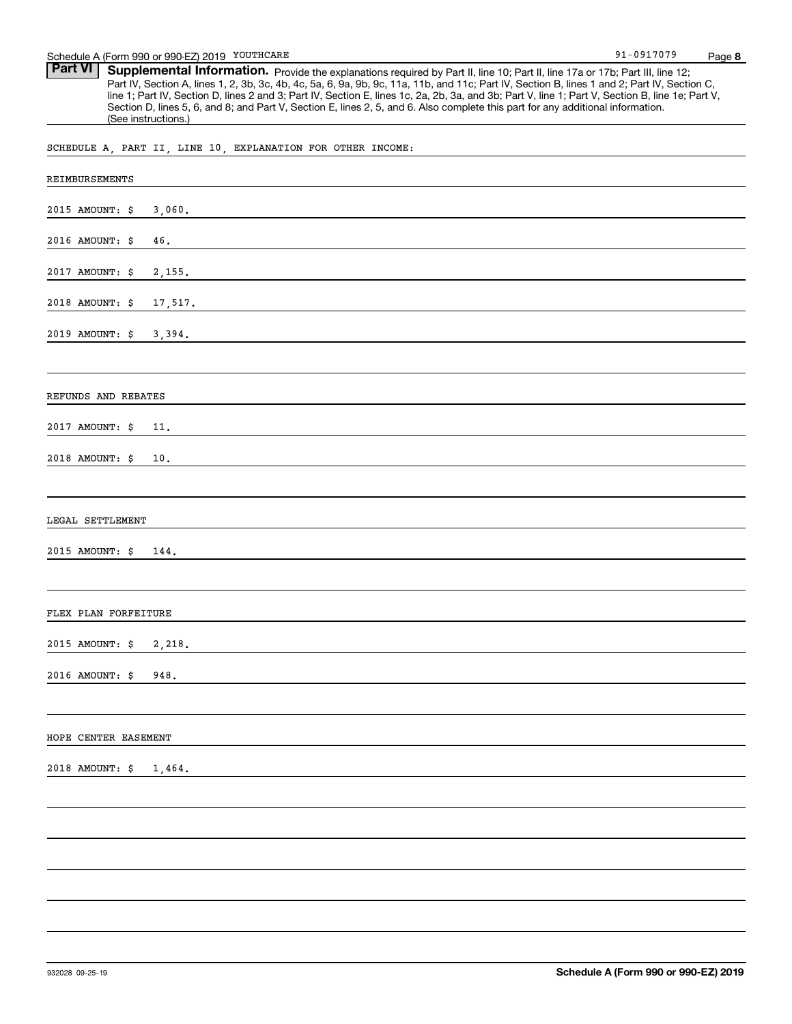Part VI | Supplemental Information. Provide the explanations required by Part II, line 10; Part II, line 17a or 17b; Part III, line 12; Part IV, Section A, lines 1, 2, 3b, 3c, 4b, 4c, 5a, 6, 9a, 9b, 9c, 11a, 11b, and 11c; Part IV, Section B, lines 1 and 2; Part IV, Section C, line 1; Part IV, Section D, lines 2 and 3; Part IV, Section E, lines 1c, 2a, 2b, 3a, and 3b; Part V, line 1; Part V, Section B, line 1e; Part V, Section D, lines 5, 6, and 8; and Part V, Section E, lines 2, 5, and 6. Also complete this part for any additional information. (See instructions.)

SCHEDULE A, PART II, LINE 10, EXPLANATION FOR OTHER INCOME:

| REIMBURSEMENTS             |
|----------------------------|
| 2015 AMOUNT: \$<br>3,060.  |
| 2016 AMOUNT: \$<br>46.     |
| 2017 AMOUNT: \$<br>2,155.  |
| 2018 AMOUNT: \$<br>17,517. |
| 2019 AMOUNT: \$<br>3,394.  |
|                            |
| REFUNDS AND REBATES        |
| 2017 AMOUNT: \$<br>11.     |
| 2018 AMOUNT: \$<br>10.     |
|                            |
| LEGAL SETTLEMENT           |
| 2015 AMOUNT: \$<br>144.    |
|                            |
| FLEX PLAN FORFEITURE       |
| 2015 AMOUNT: \$<br>2,218.  |
| 2016 AMOUNT: \$<br>948.    |
|                            |
| HOPE CENTER EASEMENT       |
| 2018 AMOUNT: \$<br>1,464.  |
|                            |
|                            |
|                            |
|                            |
|                            |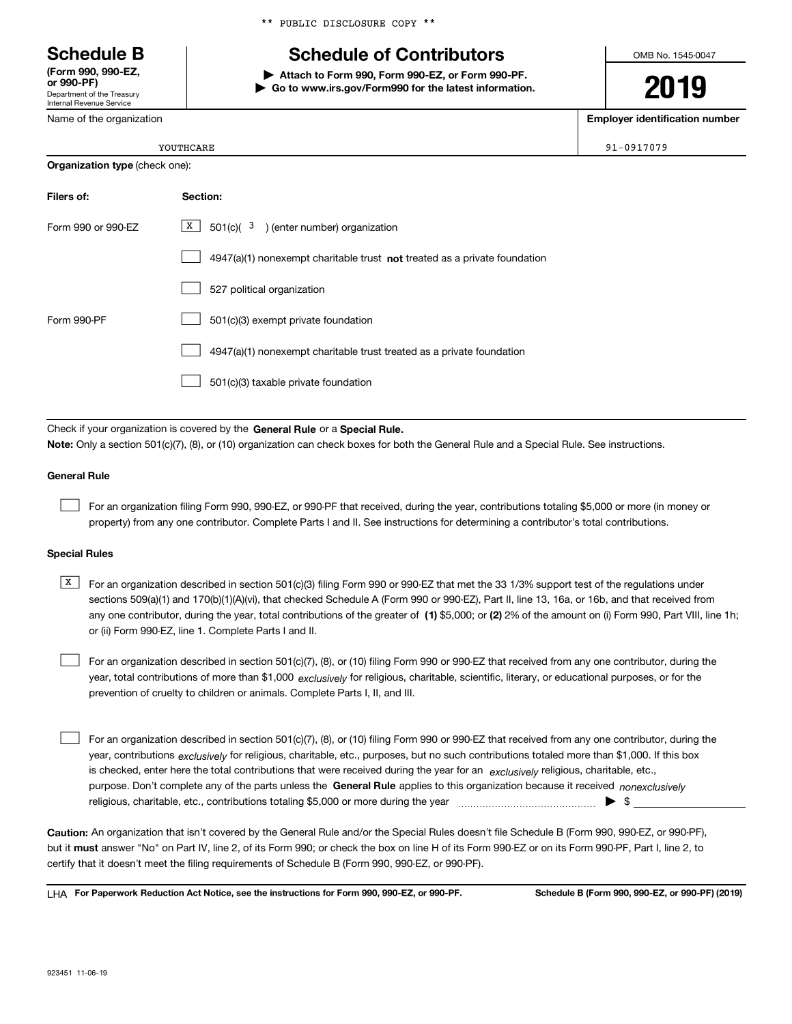Department of the Treasury Internal Revenue Service **(Form 990, 990-EZ, or 990-PF)**

Name of the organization

**Organization type** (check one):

\*\* PUBLIC DISCLOSURE COPY \*\*

# **Schedule B Schedule of Contributors**

**| Attach to Form 990, Form 990-EZ, or Form 990-PF. | Go to www.irs.gov/Form990 for the latest information.** OMB No. 1545-0047

**2019**

**Employer identification number**

| ₹E | 91-0917079 |
|----|------------|

| ' ¤اس<br>CΖ<br>L<br>r<br>. . |
|------------------------------|
|                              |

| Filers of:         | Section:                                                                  |  |
|--------------------|---------------------------------------------------------------------------|--|
| Form 990 or 990-FZ | X  <br>$501(c)$ ( $3$ ) (enter number) organization                       |  |
|                    | 4947(a)(1) nonexempt charitable trust not treated as a private foundation |  |
|                    | 527 political organization                                                |  |
| Form 990-PF        | 501(c)(3) exempt private foundation                                       |  |
|                    | 4947(a)(1) nonexempt charitable trust treated as a private foundation     |  |
|                    | 501(c)(3) taxable private foundation                                      |  |

Check if your organization is covered by the **General Rule** or a **Special Rule. Note:**  Only a section 501(c)(7), (8), or (10) organization can check boxes for both the General Rule and a Special Rule. See instructions.

#### **General Rule**

 $\mathcal{L}^{\text{max}}$ 

For an organization filing Form 990, 990-EZ, or 990-PF that received, during the year, contributions totaling \$5,000 or more (in money or property) from any one contributor. Complete Parts I and II. See instructions for determining a contributor's total contributions.

#### **Special Rules**

any one contributor, during the year, total contributions of the greater of  $\,$  (1) \$5,000; or **(2)** 2% of the amount on (i) Form 990, Part VIII, line 1h;  $\overline{X}$  For an organization described in section 501(c)(3) filing Form 990 or 990-EZ that met the 33 1/3% support test of the regulations under sections 509(a)(1) and 170(b)(1)(A)(vi), that checked Schedule A (Form 990 or 990-EZ), Part II, line 13, 16a, or 16b, and that received from or (ii) Form 990-EZ, line 1. Complete Parts I and II.

year, total contributions of more than \$1,000 *exclusively* for religious, charitable, scientific, literary, or educational purposes, or for the For an organization described in section 501(c)(7), (8), or (10) filing Form 990 or 990-EZ that received from any one contributor, during the prevention of cruelty to children or animals. Complete Parts I, II, and III.  $\mathcal{L}^{\text{max}}$ 

purpose. Don't complete any of the parts unless the **General Rule** applies to this organization because it received *nonexclusively* year, contributions <sub>exclusively</sub> for religious, charitable, etc., purposes, but no such contributions totaled more than \$1,000. If this box is checked, enter here the total contributions that were received during the year for an  $\;$ exclusively religious, charitable, etc., For an organization described in section 501(c)(7), (8), or (10) filing Form 990 or 990-EZ that received from any one contributor, during the religious, charitable, etc., contributions totaling \$5,000 or more during the year  $\Box$ — $\Box$   $\Box$  $\mathcal{L}^{\text{max}}$ 

**Caution:**  An organization that isn't covered by the General Rule and/or the Special Rules doesn't file Schedule B (Form 990, 990-EZ, or 990-PF),  **must** but it answer "No" on Part IV, line 2, of its Form 990; or check the box on line H of its Form 990-EZ or on its Form 990-PF, Part I, line 2, to certify that it doesn't meet the filing requirements of Schedule B (Form 990, 990-EZ, or 990-PF).

**For Paperwork Reduction Act Notice, see the instructions for Form 990, 990-EZ, or 990-PF. Schedule B (Form 990, 990-EZ, or 990-PF) (2019)** LHA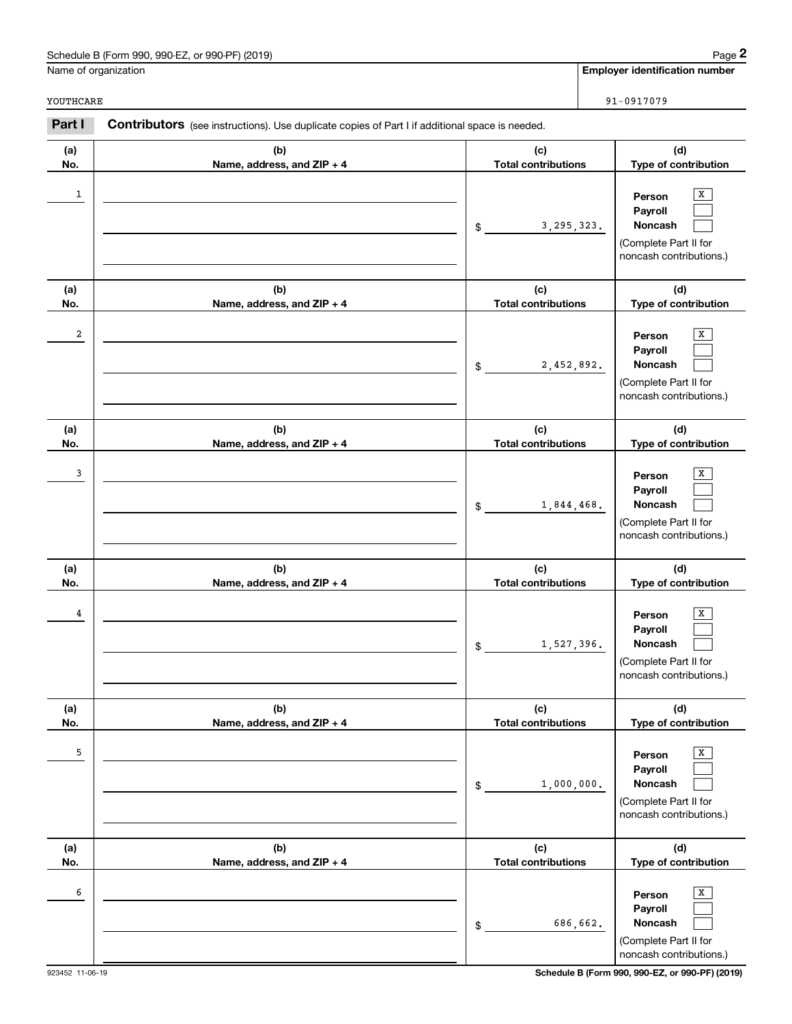| . 990-EZ. or 990-PF) (2019)<br>Schedule B (Form 990, | Page |
|------------------------------------------------------|------|
|------------------------------------------------------|------|

**YOUTHCARE** 

| o esta | U'I'HCA<br>. . |  |
|--------|----------------|--|
|        |                |  |

|                | Schedule B (Form 990, 990-EZ, or 990-PF) (2019)                                                |                                   | Page 2                                                                                |
|----------------|------------------------------------------------------------------------------------------------|-----------------------------------|---------------------------------------------------------------------------------------|
|                | Name of organization                                                                           |                                   | <b>Employer identification number</b>                                                 |
| YOUTHCARE      |                                                                                                |                                   | 91-0917079                                                                            |
| Part I         | Contributors (see instructions). Use duplicate copies of Part I if additional space is needed. |                                   |                                                                                       |
| (a)<br>No.     | (b)<br>Name, address, and ZIP + 4                                                              | (c)<br><b>Total contributions</b> | (d)<br>Type of contribution                                                           |
| $\mathbf{1}$   |                                                                                                | 3, 295, 323.<br>\$                | X<br>Person<br>Payroll<br>Noncash<br>(Complete Part II for<br>noncash contributions.) |
| (a)<br>No.     | (b)<br>Name, address, and ZIP + 4                                                              | (c)<br><b>Total contributions</b> | (d)<br>Type of contribution                                                           |
| $\overline{a}$ |                                                                                                | 2,452,892.<br>\$                  | х<br>Person<br>Payroll<br>Noncash<br>(Complete Part II for<br>noncash contributions.) |
| (a)<br>No.     | (b)<br>Name, address, and ZIP + 4                                                              | (c)<br><b>Total contributions</b> | (d)<br>Type of contribution                                                           |
| 3              |                                                                                                | 1,844,468.<br>\$                  | x<br>Person<br>Payroll<br>Noncash<br>(Complete Part II for<br>noncash contributions.) |
| (a)<br>No.     | (b)<br>Name, address, and ZIP + 4                                                              | (c)<br><b>Total contributions</b> | (d)<br>Type of contribution                                                           |
| 4              |                                                                                                | 1,527,396.<br>\$                  | х<br>Person<br>Payroll<br>Noncash<br>(Complete Part II for<br>noncash contributions.) |
| (a)<br>No.     | (b)<br>Name, address, and ZIP + 4                                                              | (c)<br><b>Total contributions</b> | (d)<br>Type of contribution                                                           |
| 5              |                                                                                                | 1,000,000.<br>\$                  | x<br>Person<br>Payroll<br>Noncash<br>(Complete Part II for<br>noncash contributions.) |
| (a)<br>No.     | (b)<br>Name, address, and ZIP + 4                                                              | (c)<br><b>Total contributions</b> | (d)<br>Type of contribution                                                           |
| 6              |                                                                                                | 686,662.<br>\$                    | x<br>Person<br>Payroll<br>Noncash<br>(Complete Part II for<br>noncash contributions.) |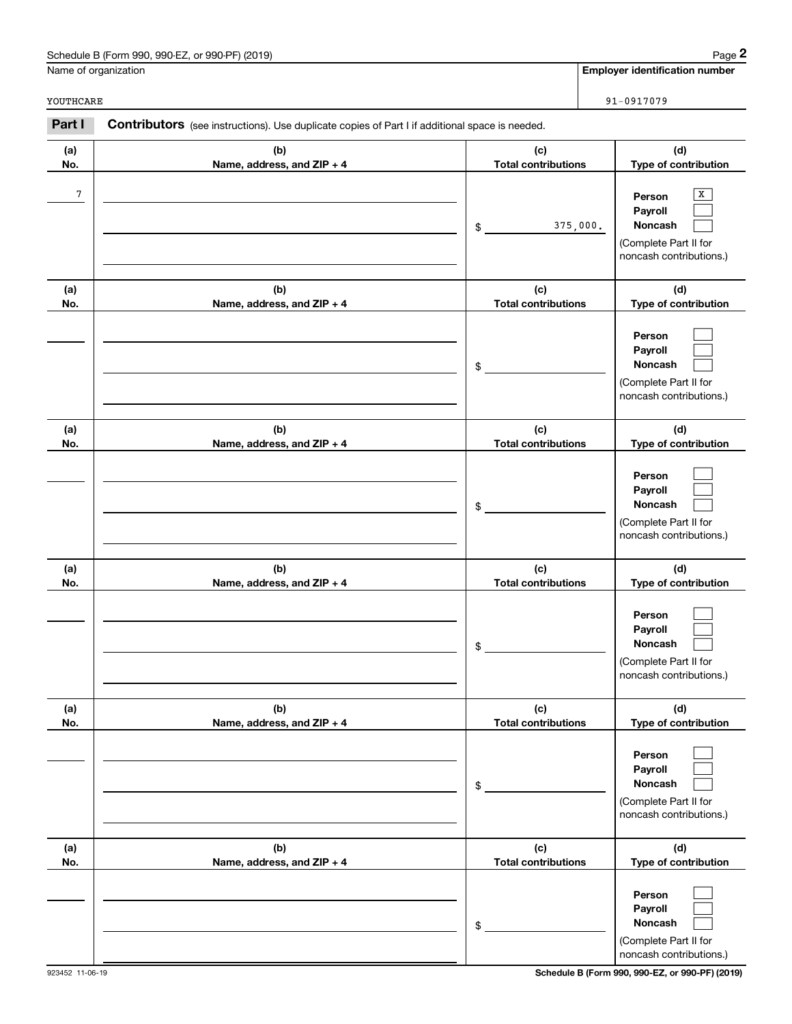| Schedule B (Form 990, 990-EZ, or 990-PF) (2019) | Page |
|-------------------------------------------------|------|
|-------------------------------------------------|------|

|            | Schedule B (Form 990, 990-EZ, or 990-PF) (2019)                                                |                                   | Page 2                                                                                                   |
|------------|------------------------------------------------------------------------------------------------|-----------------------------------|----------------------------------------------------------------------------------------------------------|
|            | Name of organization                                                                           |                                   | <b>Employer identification number</b>                                                                    |
| YOUTHCARE  |                                                                                                |                                   | 91-0917079                                                                                               |
| Part I     | Contributors (see instructions). Use duplicate copies of Part I if additional space is needed. |                                   |                                                                                                          |
| (a)<br>No. | (b)<br>Name, address, and ZIP + 4                                                              | (c)<br><b>Total contributions</b> | (d)<br>Type of contribution                                                                              |
| 7          |                                                                                                | 375,000.<br>\$                    | х<br>Person<br>Payroll<br>Noncash<br>(Complete Part II for<br>noncash contributions.)                    |
| (a)        | (b)                                                                                            | (c)                               | (d)                                                                                                      |
| No.        | Name, address, and ZIP + 4                                                                     | <b>Total contributions</b><br>\$  | Type of contribution<br>Person<br>Payroll<br>Noncash<br>(Complete Part II for<br>noncash contributions.) |
| (a)<br>No. | (b)<br>Name, address, and ZIP + 4                                                              | (c)<br><b>Total contributions</b> | (d)<br>Type of contribution                                                                              |
|            |                                                                                                | \$                                | Person<br>Payroll<br>Noncash<br>(Complete Part II for<br>noncash contributions.)                         |
| (a)<br>No. | (b)<br>Name, address, and ZIP + 4                                                              | (c)<br><b>Total contributions</b> | (d)<br>Type of contribution                                                                              |
|            |                                                                                                | \$                                | Person<br>Payroll<br>Noncash<br>(Complete Part II for<br>noncash contributions.)                         |
| (a)<br>No. | (b)<br>Name, address, and ZIP + 4                                                              | (c)<br><b>Total contributions</b> | (d)<br>Type of contribution                                                                              |
|            |                                                                                                | \$                                | Person<br>Payroll<br>Noncash<br>(Complete Part II for<br>noncash contributions.)                         |
| (a)<br>No. | (b)<br>Name, address, and ZIP + 4                                                              | (c)<br><b>Total contributions</b> | (d)<br>Type of contribution                                                                              |
|            |                                                                                                | \$                                | Person<br>Payroll<br>Noncash<br>(Complete Part II for<br>noncash contributions.)                         |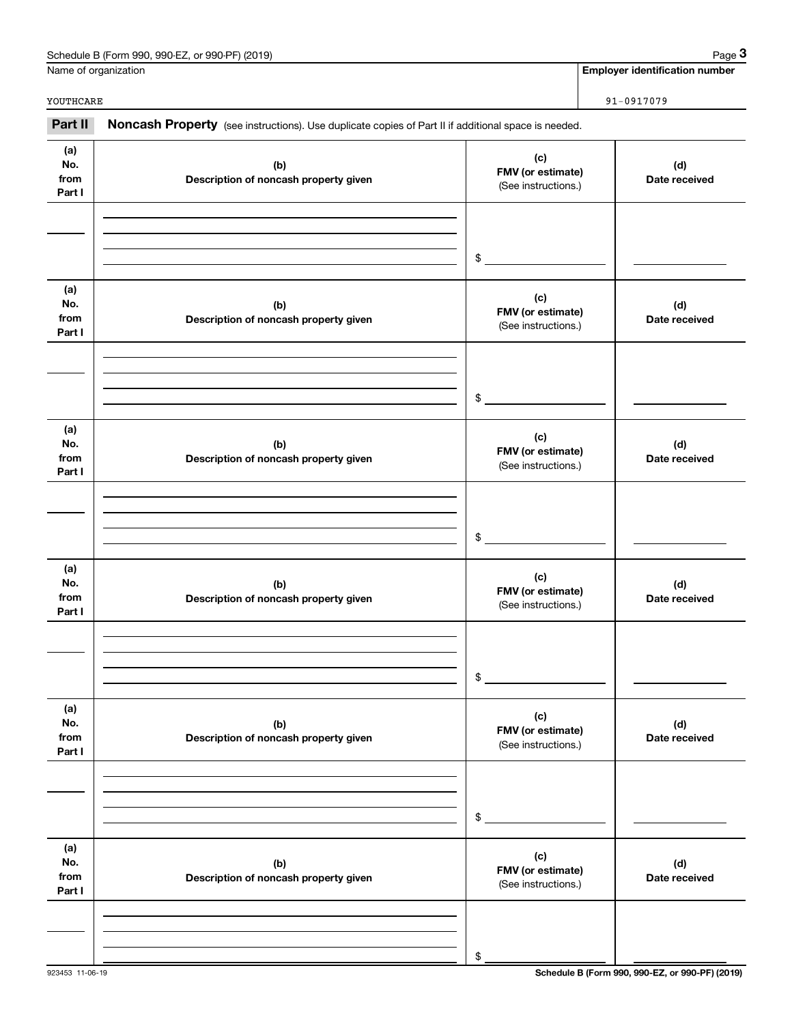| Schedule B (Form 990, 990-EZ, or 990-PF) (2019) | Page |
|-------------------------------------------------|------|
|-------------------------------------------------|------|

|                              | Schedule B (Form 990, 990-EZ, or 990-PF) (2019)                                                     |                                                 | Page 3                                |
|------------------------------|-----------------------------------------------------------------------------------------------------|-------------------------------------------------|---------------------------------------|
|                              | Name of organization                                                                                |                                                 | <b>Employer identification number</b> |
| YOUTHCARE                    |                                                                                                     |                                                 | 91-0917079                            |
| Part II                      | Noncash Property (see instructions). Use duplicate copies of Part II if additional space is needed. |                                                 |                                       |
| (a)<br>No.<br>from<br>Part I | (b)<br>Description of noncash property given                                                        | (c)<br>FMV (or estimate)<br>(See instructions.) | (d)<br>Date received                  |
|                              |                                                                                                     | \$                                              |                                       |
| (a)<br>No.<br>from<br>Part I | (b)<br>Description of noncash property given                                                        | (c)<br>FMV (or estimate)<br>(See instructions.) | (d)<br>Date received                  |
|                              |                                                                                                     | \$                                              |                                       |
| (a)<br>No.<br>from<br>Part I | (b)<br>Description of noncash property given                                                        | (c)<br>FMV (or estimate)<br>(See instructions.) | (d)<br>Date received                  |
|                              |                                                                                                     | \$                                              |                                       |
| (a)<br>No.<br>from<br>Part I | (b)<br>Description of noncash property given                                                        | (c)<br>FMV (or estimate)<br>(See instructions.) | (d)<br>Date received                  |
|                              |                                                                                                     | \$                                              |                                       |
| (a)<br>No.<br>from<br>Part I | (b)<br>Description of noncash property given                                                        | (c)<br>FMV (or estimate)<br>(See instructions.) | (d)<br>Date received                  |
|                              |                                                                                                     | \$                                              |                                       |
| (a)<br>No.<br>from<br>Part I | (b)<br>Description of noncash property given                                                        | (c)<br>FMV (or estimate)<br>(See instructions.) | (d)<br>Date received                  |
|                              |                                                                                                     |                                                 |                                       |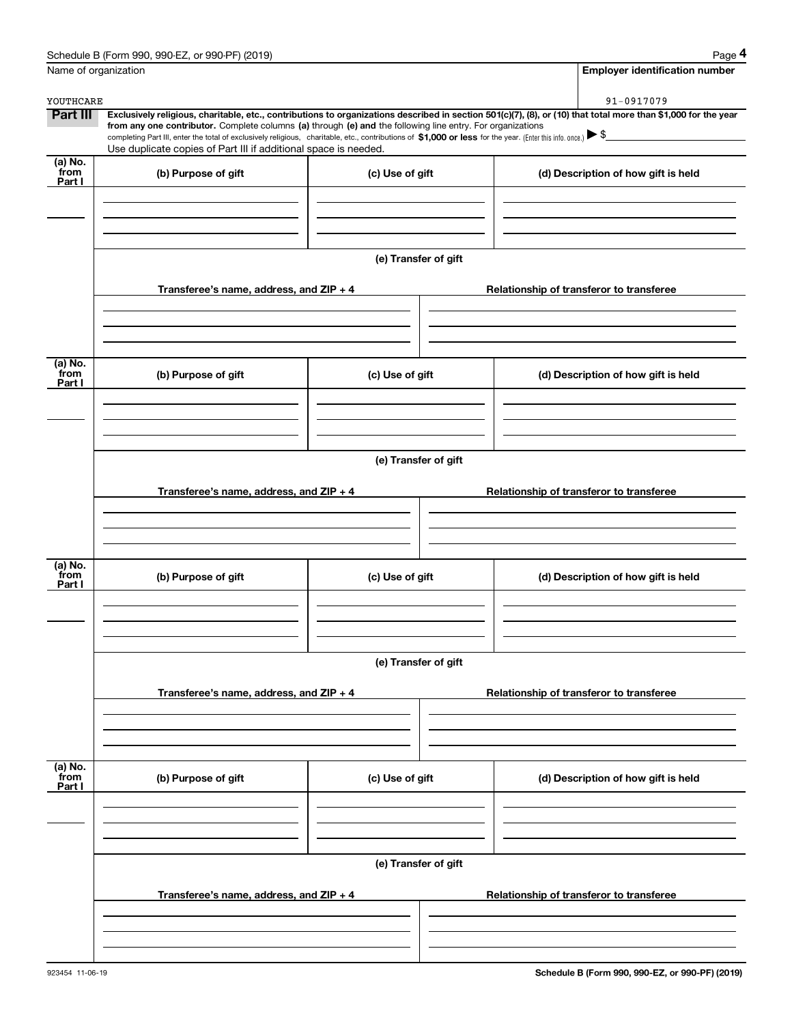|                           | Schedule B (Form 990, 990-EZ, or 990-PF) (2019)                                                                                                                                                                                                      |                      | Page 4                                                                                                                                                                       |  |
|---------------------------|------------------------------------------------------------------------------------------------------------------------------------------------------------------------------------------------------------------------------------------------------|----------------------|------------------------------------------------------------------------------------------------------------------------------------------------------------------------------|--|
| Name of organization      |                                                                                                                                                                                                                                                      |                      | <b>Employer identification number</b>                                                                                                                                        |  |
|                           |                                                                                                                                                                                                                                                      |                      |                                                                                                                                                                              |  |
| YOUTHCARE<br>Part III     |                                                                                                                                                                                                                                                      |                      | 91-0917079<br>Exclusively religious, charitable, etc., contributions to organizations described in section 501(c)(7), (8), or (10) that total more than \$1,000 for the year |  |
|                           | from any one contributor. Complete columns (a) through (e) and the following line entry. For organizations                                                                                                                                           |                      |                                                                                                                                                                              |  |
|                           | completing Part III, enter the total of exclusively religious, charitable, etc., contributions of \$1,000 or less for the year. (Enter this info. once.) $\blacktriangleright$ \$<br>Use duplicate copies of Part III if additional space is needed. |                      |                                                                                                                                                                              |  |
| (a) No.<br>from<br>Part I | (b) Purpose of gift                                                                                                                                                                                                                                  | (c) Use of gift      | (d) Description of how gift is held                                                                                                                                          |  |
|                           |                                                                                                                                                                                                                                                      |                      |                                                                                                                                                                              |  |
|                           |                                                                                                                                                                                                                                                      |                      |                                                                                                                                                                              |  |
|                           |                                                                                                                                                                                                                                                      | (e) Transfer of gift |                                                                                                                                                                              |  |
|                           | Transferee's name, address, and $ZIP + 4$                                                                                                                                                                                                            |                      | Relationship of transferor to transferee                                                                                                                                     |  |
|                           |                                                                                                                                                                                                                                                      |                      |                                                                                                                                                                              |  |
|                           |                                                                                                                                                                                                                                                      |                      |                                                                                                                                                                              |  |
| (a) No.<br>from<br>Part I | (b) Purpose of gift                                                                                                                                                                                                                                  | (c) Use of gift      | (d) Description of how gift is held                                                                                                                                          |  |
|                           |                                                                                                                                                                                                                                                      |                      |                                                                                                                                                                              |  |
|                           |                                                                                                                                                                                                                                                      |                      |                                                                                                                                                                              |  |
|                           | (e) Transfer of gift                                                                                                                                                                                                                                 |                      |                                                                                                                                                                              |  |
|                           | Transferee's name, address, and $ZIP + 4$                                                                                                                                                                                                            |                      | Relationship of transferor to transferee                                                                                                                                     |  |
|                           |                                                                                                                                                                                                                                                      |                      |                                                                                                                                                                              |  |
|                           |                                                                                                                                                                                                                                                      |                      |                                                                                                                                                                              |  |
| (a) No.<br>from           |                                                                                                                                                                                                                                                      |                      |                                                                                                                                                                              |  |
| Part I                    | (b) Purpose of gift                                                                                                                                                                                                                                  | (c) Use of gift      | (d) Description of how gift is held                                                                                                                                          |  |
|                           |                                                                                                                                                                                                                                                      |                      |                                                                                                                                                                              |  |
|                           |                                                                                                                                                                                                                                                      |                      |                                                                                                                                                                              |  |
|                           | (e) Transfer of gift                                                                                                                                                                                                                                 |                      |                                                                                                                                                                              |  |
|                           |                                                                                                                                                                                                                                                      |                      |                                                                                                                                                                              |  |
|                           | Transferee's name, address, and ZIP + 4                                                                                                                                                                                                              |                      | Relationship of transferor to transferee                                                                                                                                     |  |
|                           |                                                                                                                                                                                                                                                      |                      |                                                                                                                                                                              |  |
|                           |                                                                                                                                                                                                                                                      |                      |                                                                                                                                                                              |  |
| (a) No.<br>from<br>Part I | (b) Purpose of gift                                                                                                                                                                                                                                  | (c) Use of gift      | (d) Description of how gift is held                                                                                                                                          |  |
|                           |                                                                                                                                                                                                                                                      |                      |                                                                                                                                                                              |  |
|                           |                                                                                                                                                                                                                                                      |                      |                                                                                                                                                                              |  |
|                           | (e) Transfer of gift                                                                                                                                                                                                                                 |                      |                                                                                                                                                                              |  |
|                           | Transferee's name, address, and $ZIP + 4$                                                                                                                                                                                                            |                      | Relationship of transferor to transferee                                                                                                                                     |  |
|                           |                                                                                                                                                                                                                                                      |                      |                                                                                                                                                                              |  |
|                           |                                                                                                                                                                                                                                                      |                      |                                                                                                                                                                              |  |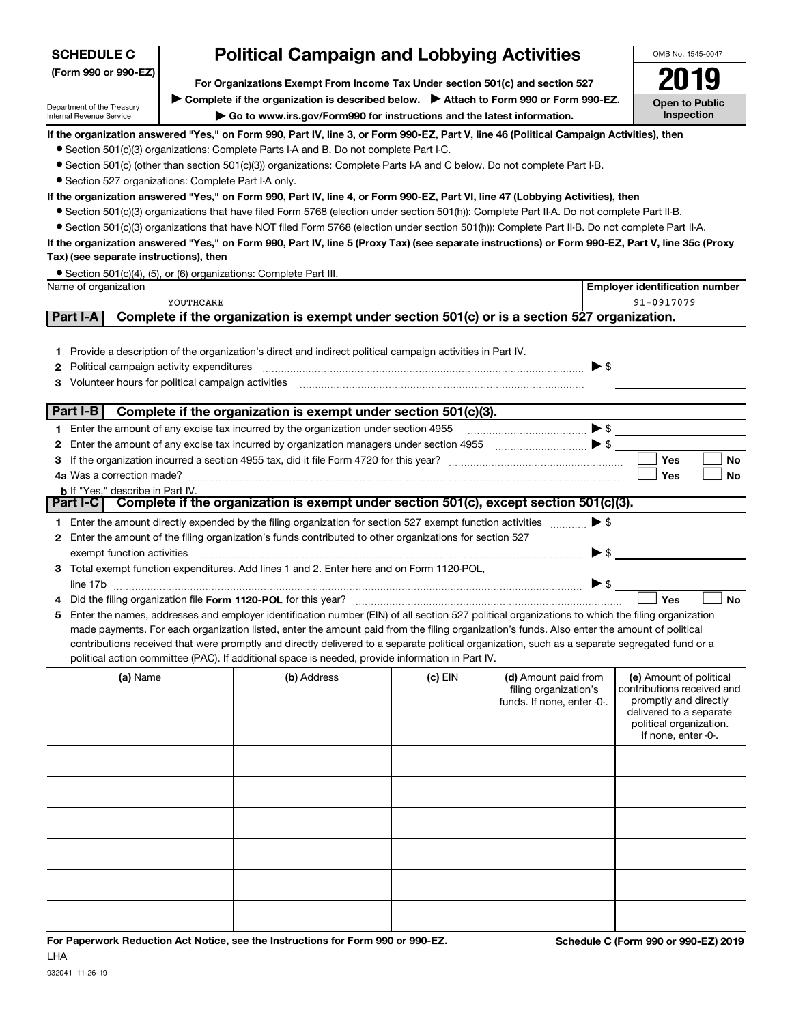### **SCHEDULE C**

**(Form 990 or 990-EZ)**

# **Political Campaign and Lobbying Activities**

**For Organizations Exempt From Income Tax Under section 501(c) and section 527** ▶ Complete if the organization is described below. ▶ Attach to Form 990 or Form 990-EZ.

Department of the Treasury Internal Revenue Service

**| Go to www.irs.gov/Form990 for instructions and the latest information.**

**Open to Public Inspection2019**

OMB No. 1545-0047

#### **If the organization answered "Yes," on Form 990, Part IV, line 3, or Form 990-EZ, Part V, line 46 (Political Campaign Activities), then**

- Section 501(c)(3) organizations: Complete Parts I-A and B. Do not complete Part I-C.
- ¥ Section 501(c) (other than section 501(c)(3)) organizations: Complete Parts I-A and C below. Do not complete Part I-B.
- Section 527 organizations: Complete Part I-A only.

#### **If the organization answered "Yes," on Form 990, Part IV, line 4, or Form 990-EZ, Part VI, line 47 (Lobbying Activities), then**

- Section 501(c)(3) organizations that have filed Form 5768 (election under section 501(h)): Complete Part II-A. Do not complete Part II-B.
- ¥ Section 501(c)(3) organizations that have NOT filed Form 5768 (election under section 501(h)): Complete Part II-B. Do not complete Part II-A.

#### **If the organization answered "Yes," on Form 990, Part IV, line 5 (Proxy Tax) (see separate instructions) or Form 990-EZ, Part V, line 35c (Proxy Tax) (see separate instructions), then**

● Section 501(c)(4), (5), or (6) organizations: Complete Part III.

| Name of organization                                                                                                                                                                                                          |                                                                                                                                                                                                                                                                                                                                                                                                   |           |                                                                             | <b>Employer identification number</b>                                                                                                                       |
|-------------------------------------------------------------------------------------------------------------------------------------------------------------------------------------------------------------------------------|---------------------------------------------------------------------------------------------------------------------------------------------------------------------------------------------------------------------------------------------------------------------------------------------------------------------------------------------------------------------------------------------------|-----------|-----------------------------------------------------------------------------|-------------------------------------------------------------------------------------------------------------------------------------------------------------|
| YOUTHCARE                                                                                                                                                                                                                     |                                                                                                                                                                                                                                                                                                                                                                                                   |           |                                                                             | 91-0917079                                                                                                                                                  |
| Part I-A                                                                                                                                                                                                                      | Complete if the organization is exempt under section 501(c) or is a section 527 organization.                                                                                                                                                                                                                                                                                                     |           |                                                                             |                                                                                                                                                             |
| 1 Provide a description of the organization's direct and indirect political campaign activities in Part IV.<br>3 Volunteer hours for political campaign activities [11] [12] Content and Marian Marian Ann Marian Marian Mari |                                                                                                                                                                                                                                                                                                                                                                                                   |           |                                                                             |                                                                                                                                                             |
| Part I-B                                                                                                                                                                                                                      | Complete if the organization is exempt under section 501(c)(3).                                                                                                                                                                                                                                                                                                                                   |           |                                                                             |                                                                                                                                                             |
| <b>b</b> If "Yes," describe in Part IV.                                                                                                                                                                                       |                                                                                                                                                                                                                                                                                                                                                                                                   |           |                                                                             | Yes<br>No<br>Yes<br><b>No</b>                                                                                                                               |
| Part I-C   Complete if the organization is exempt under section 501(c), except section 501(c)(3).                                                                                                                             |                                                                                                                                                                                                                                                                                                                                                                                                   |           |                                                                             |                                                                                                                                                             |
| 2 Enter the amount of the filing organization's funds contributed to other organizations for section 527<br>3 Total exempt function expenditures. Add lines 1 and 2. Enter here and on Form 1120-POL,                         |                                                                                                                                                                                                                                                                                                                                                                                                   |           |                                                                             | $\blacktriangleright$ \$                                                                                                                                    |
|                                                                                                                                                                                                                               |                                                                                                                                                                                                                                                                                                                                                                                                   |           |                                                                             |                                                                                                                                                             |
| 4 Did the filing organization file Form 1120-POL for this year?                                                                                                                                                               |                                                                                                                                                                                                                                                                                                                                                                                                   |           |                                                                             | Yes<br><b>No</b>                                                                                                                                            |
| 5 Enter the names, addresses and employer identification number (EIN) of all section 527 political organizations to which the filing organization                                                                             | made payments. For each organization listed, enter the amount paid from the filing organization's funds. Also enter the amount of political<br>contributions received that were promptly and directly delivered to a separate political organization, such as a separate segregated fund or a<br>political action committee (PAC). If additional space is needed, provide information in Part IV. |           |                                                                             |                                                                                                                                                             |
| (a) Name                                                                                                                                                                                                                      | (b) Address                                                                                                                                                                                                                                                                                                                                                                                       | $(c)$ EIN | (d) Amount paid from<br>filing organization's<br>funds. If none, enter -0-. | (e) Amount of political<br>contributions received and<br>promptly and directly<br>delivered to a separate<br>political organization.<br>If none, enter -0-. |
|                                                                                                                                                                                                                               |                                                                                                                                                                                                                                                                                                                                                                                                   |           |                                                                             |                                                                                                                                                             |
|                                                                                                                                                                                                                               |                                                                                                                                                                                                                                                                                                                                                                                                   |           |                                                                             |                                                                                                                                                             |
|                                                                                                                                                                                                                               |                                                                                                                                                                                                                                                                                                                                                                                                   |           |                                                                             |                                                                                                                                                             |
|                                                                                                                                                                                                                               |                                                                                                                                                                                                                                                                                                                                                                                                   |           |                                                                             |                                                                                                                                                             |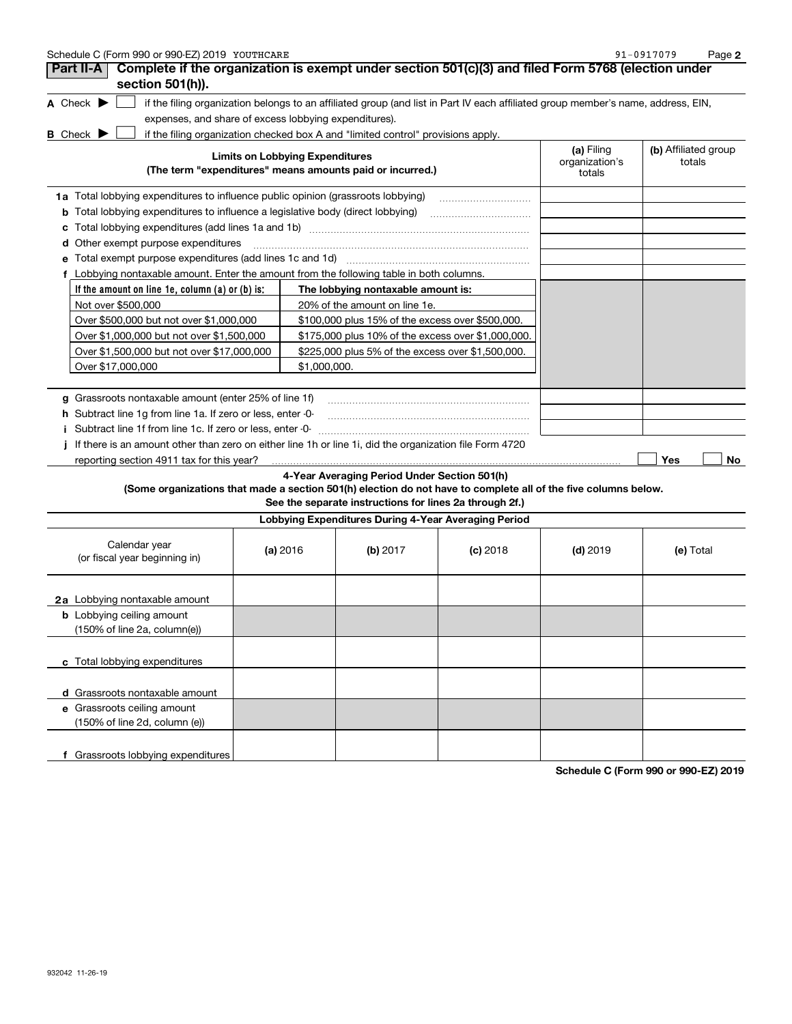| Schedule C (Form 990 or 990-EZ) 2019 YOUTHCARE                                                                           |          |                                        |                                                           |                                                                                                                                   |                          | 91-0917079           | Page 2 |
|--------------------------------------------------------------------------------------------------------------------------|----------|----------------------------------------|-----------------------------------------------------------|-----------------------------------------------------------------------------------------------------------------------------------|--------------------------|----------------------|--------|
| Complete if the organization is exempt under section 501(c)(3) and filed Form 5768 (election under<br>Part II-A          |          |                                        |                                                           |                                                                                                                                   |                          |                      |        |
| section 501(h)).                                                                                                         |          |                                        |                                                           |                                                                                                                                   |                          |                      |        |
| A Check $\blacktriangleright$                                                                                            |          |                                        |                                                           | if the filing organization belongs to an affiliated group (and list in Part IV each affiliated group member's name, address, EIN, |                          |                      |        |
| expenses, and share of excess lobbying expenditures).                                                                    |          |                                        |                                                           |                                                                                                                                   |                          |                      |        |
| if the filing organization checked box A and "limited control" provisions apply.<br><b>B</b> Check $\blacktriangleright$ |          |                                        |                                                           |                                                                                                                                   |                          |                      |        |
|                                                                                                                          |          | <b>Limits on Lobbying Expenditures</b> |                                                           |                                                                                                                                   | (a) Filing               | (b) Affiliated group |        |
|                                                                                                                          |          |                                        | (The term "expenditures" means amounts paid or incurred.) |                                                                                                                                   | organization's<br>totals | totals               |        |
| 1a Total lobbying expenditures to influence public opinion (grassroots lobbying)                                         |          |                                        |                                                           |                                                                                                                                   |                          |                      |        |
| <b>b</b> Total lobbying expenditures to influence a legislative body (direct lobbying)                                   |          |                                        |                                                           |                                                                                                                                   |                          |                      |        |
|                                                                                                                          |          |                                        |                                                           |                                                                                                                                   |                          |                      |        |
| d Other exempt purpose expenditures                                                                                      |          |                                        |                                                           |                                                                                                                                   |                          |                      |        |
|                                                                                                                          |          |                                        |                                                           |                                                                                                                                   |                          |                      |        |
| f Lobbying nontaxable amount. Enter the amount from the following table in both columns.                                 |          |                                        |                                                           |                                                                                                                                   |                          |                      |        |
| If the amount on line 1e, column $(a)$ or $(b)$ is:                                                                      |          |                                        | The lobbying nontaxable amount is:                        |                                                                                                                                   |                          |                      |        |
| Not over \$500,000                                                                                                       |          |                                        | 20% of the amount on line 1e.                             |                                                                                                                                   |                          |                      |        |
| Over \$500,000 but not over \$1,000,000                                                                                  |          |                                        | \$100,000 plus 15% of the excess over \$500,000.          |                                                                                                                                   |                          |                      |        |
| Over \$1,000,000 but not over \$1,500,000                                                                                |          |                                        | \$175,000 plus 10% of the excess over \$1,000,000.        |                                                                                                                                   |                          |                      |        |
| Over \$1,500,000 but not over \$17,000,000                                                                               |          |                                        | \$225,000 plus 5% of the excess over \$1,500,000.         |                                                                                                                                   |                          |                      |        |
| Over \$17,000,000                                                                                                        |          | \$1.000.000.                           |                                                           |                                                                                                                                   |                          |                      |        |
|                                                                                                                          |          |                                        |                                                           |                                                                                                                                   |                          |                      |        |
| g Grassroots nontaxable amount (enter 25% of line 1f)                                                                    |          |                                        |                                                           |                                                                                                                                   |                          |                      |        |
| <b>h</b> Subtract line 1g from line 1a. If zero or less, enter 0-                                                        |          |                                        |                                                           |                                                                                                                                   |                          |                      |        |
| i Subtract line 1f from line 1c. If zero or less, enter 0                                                                |          |                                        |                                                           |                                                                                                                                   |                          |                      |        |
| If there is an amount other than zero on either line 1h or line 1i, did the organization file Form 4720                  |          |                                        |                                                           |                                                                                                                                   |                          |                      |        |
| reporting section 4911 tax for this year?                                                                                |          |                                        |                                                           |                                                                                                                                   |                          | Yes                  | No     |
|                                                                                                                          |          |                                        | 4-Year Averaging Period Under Section 501(h)              |                                                                                                                                   |                          |                      |        |
| (Some organizations that made a section 501(h) election do not have to complete all of the five columns below.           |          |                                        | See the separate instructions for lines 2a through 2f.)   |                                                                                                                                   |                          |                      |        |
|                                                                                                                          |          |                                        | Lobbying Expenditures During 4-Year Averaging Period      |                                                                                                                                   |                          |                      |        |
|                                                                                                                          |          |                                        |                                                           |                                                                                                                                   |                          |                      |        |
| Calendar year<br>(or fiscal year beginning in)                                                                           | (a) 2016 |                                        | (b) $2017$                                                | $(c)$ 2018                                                                                                                        | $(d)$ 2019               | (e) Total            |        |
|                                                                                                                          |          |                                        |                                                           |                                                                                                                                   |                          |                      |        |
|                                                                                                                          |          |                                        |                                                           |                                                                                                                                   |                          |                      |        |
| 2a Lobbying nontaxable amount                                                                                            |          |                                        |                                                           |                                                                                                                                   |                          |                      |        |
| <b>b</b> Lobbying ceiling amount                                                                                         |          |                                        |                                                           |                                                                                                                                   |                          |                      |        |
| (150% of line 2a, column(e))                                                                                             |          |                                        |                                                           |                                                                                                                                   |                          |                      |        |
|                                                                                                                          |          |                                        |                                                           |                                                                                                                                   |                          |                      |        |
| c Total lobbying expenditures                                                                                            |          |                                        |                                                           |                                                                                                                                   |                          |                      |        |
|                                                                                                                          |          |                                        |                                                           |                                                                                                                                   |                          |                      |        |
| d Grassroots nontaxable amount                                                                                           |          |                                        |                                                           |                                                                                                                                   |                          |                      |        |
| e Grassroots ceiling amount<br>(150% of line 2d, column (e))                                                             |          |                                        |                                                           |                                                                                                                                   |                          |                      |        |
|                                                                                                                          |          |                                        |                                                           |                                                                                                                                   |                          |                      |        |
|                                                                                                                          |          |                                        |                                                           |                                                                                                                                   |                          |                      |        |
| f Grassroots lobbying expenditures                                                                                       |          |                                        |                                                           |                                                                                                                                   |                          |                      |        |

**Schedule C (Form 990 or 990-EZ) 2019**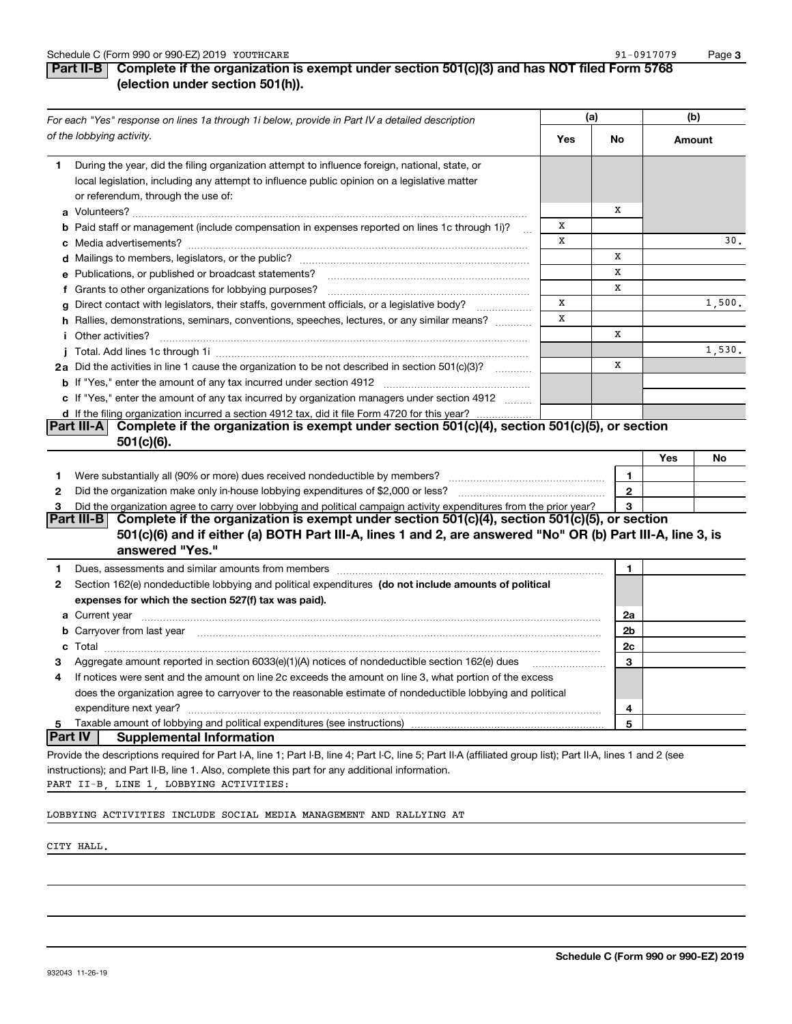### **Part II-B Complete if the organization is exempt under section 501(c)(3) and has NOT filed Form 5768 (election under section 501(h)).**

| For each "Yes" response on lines 1a through 1i below, provide in Part IV a detailed description |                                                                                                                                                                                                                                                  | (a) |                | (b)    |        |
|-------------------------------------------------------------------------------------------------|--------------------------------------------------------------------------------------------------------------------------------------------------------------------------------------------------------------------------------------------------|-----|----------------|--------|--------|
|                                                                                                 | of the lobbying activity.                                                                                                                                                                                                                        | Yes | No             | Amount |        |
| 1                                                                                               | During the year, did the filing organization attempt to influence foreign, national, state, or<br>local legislation, including any attempt to influence public opinion on a legislative matter<br>or referendum, through the use of:             |     |                |        |        |
|                                                                                                 |                                                                                                                                                                                                                                                  |     | х              |        |        |
|                                                                                                 | <b>b</b> Paid staff or management (include compensation in expenses reported on lines 1c through 1i)?                                                                                                                                            | x   |                |        |        |
|                                                                                                 |                                                                                                                                                                                                                                                  | x   |                |        | 30.    |
|                                                                                                 |                                                                                                                                                                                                                                                  |     | х              |        |        |
|                                                                                                 | e Publications, or published or broadcast statements?                                                                                                                                                                                            |     | X              |        |        |
|                                                                                                 | f Grants to other organizations for lobbying purposes?                                                                                                                                                                                           |     | х              |        |        |
| g                                                                                               | Direct contact with legislators, their staffs, government officials, or a legislative body?                                                                                                                                                      | X   |                |        | 1,500. |
|                                                                                                 | h Rallies, demonstrations, seminars, conventions, speeches, lectures, or any similar means?                                                                                                                                                      | X   |                |        |        |
|                                                                                                 | <i>i</i> Other activities?                                                                                                                                                                                                                       |     | х              |        |        |
|                                                                                                 |                                                                                                                                                                                                                                                  |     |                |        | 1,530. |
|                                                                                                 | 2a Did the activities in line 1 cause the organization to be not described in section 501(c)(3)?                                                                                                                                                 |     | x              |        |        |
|                                                                                                 |                                                                                                                                                                                                                                                  |     |                |        |        |
|                                                                                                 | c If "Yes," enter the amount of any tax incurred by organization managers under section 4912                                                                                                                                                     |     |                |        |        |
|                                                                                                 | d If the filing organization incurred a section 4912 tax, did it file Form 4720 for this year?                                                                                                                                                   |     |                |        |        |
|                                                                                                 | Complete if the organization is exempt under section 501(c)(4), section 501(c)(5), or section<br><b>Part III-A</b>                                                                                                                               |     |                |        |        |
|                                                                                                 | $501(c)(6)$ .                                                                                                                                                                                                                                    |     |                |        |        |
|                                                                                                 |                                                                                                                                                                                                                                                  |     |                | Yes    | No     |
| 1.                                                                                              |                                                                                                                                                                                                                                                  |     | 1              |        |        |
| 2                                                                                               |                                                                                                                                                                                                                                                  |     | $\overline{2}$ |        |        |
| з                                                                                               | Did the organization agree to carry over lobbying and political campaign activity expenditures from the prior year?                                                                                                                              |     | 3              |        |        |
|                                                                                                 | Complete if the organization is exempt under section 501(c)(4), section 501(c)(5), or section<br> Part III-B  <br>501(c)(6) and if either (a) BOTH Part III-A, lines 1 and 2, are answered "No" OR (b) Part III-A, line 3, is<br>answered "Yes." |     |                |        |        |
| 1                                                                                               | Dues, assessments and similar amounts from members [11] matter continuum matter assessments and similar amounts from members [11] matter continuum matter assessments and similar amounts from members [11] matter and the sta                   |     | 1              |        |        |
| 2                                                                                               | Section 162(e) nondeductible lobbying and political expenditures (do not include amounts of political                                                                                                                                            |     |                |        |        |
|                                                                                                 | expenses for which the section 527(f) tax was paid).                                                                                                                                                                                             |     |                |        |        |
|                                                                                                 |                                                                                                                                                                                                                                                  |     | 2a             |        |        |
|                                                                                                 | <b>b</b> Carryover from last year 2000 minimum construction contracts and construct the construction of the construction of the construction of the construction of the construction of the construction of the construction of the              |     | 2b             |        |        |
| c                                                                                               |                                                                                                                                                                                                                                                  |     | 2c             |        |        |
|                                                                                                 | Aggregate amount reported in section 6033(e)(1)(A) notices of nondeductible section 162(e) dues                                                                                                                                                  |     | 3              |        |        |
| 4                                                                                               | If notices were sent and the amount on line 2c exceeds the amount on line 3, what portion of the excess                                                                                                                                          |     |                |        |        |
|                                                                                                 | does the organization agree to carryover to the reasonable estimate of nondeductible lobbying and political                                                                                                                                      |     |                |        |        |
|                                                                                                 | expenditure next year?                                                                                                                                                                                                                           |     | 4              |        |        |
| Taxable amount of lobbying and political expenditures (see instructions)<br>5                   |                                                                                                                                                                                                                                                  |     |                |        |        |
| <b>Part IV</b>                                                                                  | <b>Supplemental Information</b>                                                                                                                                                                                                                  |     | 5              |        |        |
|                                                                                                 | Provide the descriptions required for Part I-A, line 1; Part I-B, line 4; Part I-C, line 5; Part II-A (affiliated group list); Part II-A, lines 1 and 2 (see                                                                                     |     |                |        |        |
|                                                                                                 | instructions); and Part II-B, line 1. Also, complete this part for any additional information.<br>PART II-B, LINE 1, LOBBYING ACTIVITIES:                                                                                                        |     |                |        |        |

#### LOBBYING ACTIVITIES INCLUDE SOCIAL MEDIA MANAGEMENT AND RALLYING AT

CITY HALL.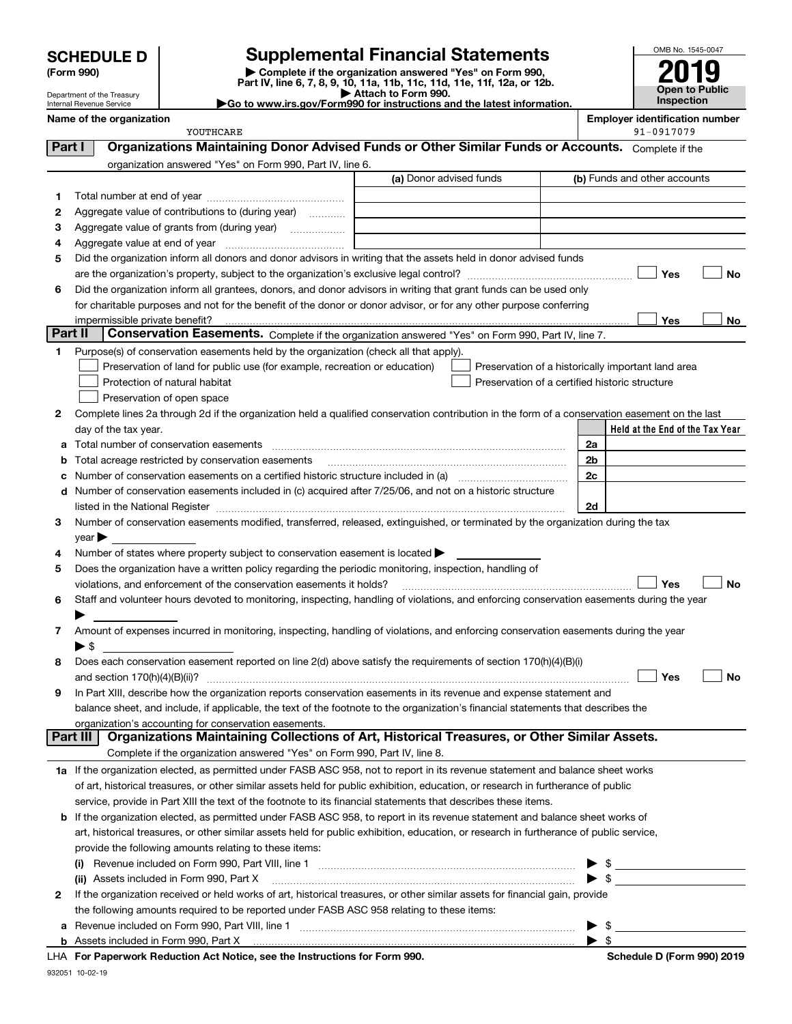Department of the Treasury Internal Revenue Service

# **SCHEDULE D Supplemental Financial Statements**

(Form 990)<br>
Pepartment of the Treasury<br>
Department of the Treasury<br>
Department of the Treasury<br>
Department of the Treasury<br> **Co to www.irs.gov/Form990 for instructions and the latest information.**<br> **Co to www.irs.gov/Form9** 

OMB No. 1545-0047 **Open to Public Inspection 2019**

| Go to www.irs.gov/Form990 for instructions and the latest infor |  |
|-----------------------------------------------------------------|--|
|                                                                 |  |

|                | Name of the organization<br>YOUTHCARE                                                                                                                             |                         | <b>Employer identification number</b><br>91-0917079  |
|----------------|-------------------------------------------------------------------------------------------------------------------------------------------------------------------|-------------------------|------------------------------------------------------|
| Part I         | Organizations Maintaining Donor Advised Funds or Other Similar Funds or Accounts. Complete if the                                                                 |                         |                                                      |
|                | organization answered "Yes" on Form 990, Part IV, line 6.                                                                                                         |                         |                                                      |
|                |                                                                                                                                                                   | (a) Donor advised funds | (b) Funds and other accounts                         |
| 1.             |                                                                                                                                                                   |                         |                                                      |
| 2              | Aggregate value of contributions to (during year)                                                                                                                 |                         |                                                      |
| 3              | Aggregate value of grants from (during year)                                                                                                                      |                         |                                                      |
| 4              |                                                                                                                                                                   |                         |                                                      |
| 5              | Did the organization inform all donors and donor advisors in writing that the assets held in donor advised funds                                                  |                         |                                                      |
|                |                                                                                                                                                                   |                         | Yes<br>No                                            |
| 6              | Did the organization inform all grantees, donors, and donor advisors in writing that grant funds can be used only                                                 |                         |                                                      |
|                | for charitable purposes and not for the benefit of the donor or donor advisor, or for any other purpose conferring                                                |                         |                                                      |
|                |                                                                                                                                                                   |                         | Yes<br>No                                            |
| <b>Part II</b> | Conservation Easements. Complete if the organization answered "Yes" on Form 990, Part IV, line 7.                                                                 |                         |                                                      |
| 1              | Purpose(s) of conservation easements held by the organization (check all that apply).                                                                             |                         |                                                      |
|                | Preservation of land for public use (for example, recreation or education)                                                                                        |                         | Preservation of a historically important land area   |
|                | Protection of natural habitat                                                                                                                                     |                         | Preservation of a certified historic structure       |
|                | Preservation of open space                                                                                                                                        |                         |                                                      |
| 2              | Complete lines 2a through 2d if the organization held a qualified conservation contribution in the form of a conservation easement on the last                    |                         |                                                      |
|                | day of the tax year.                                                                                                                                              |                         | Held at the End of the Tax Year                      |
| a              | Total number of conservation easements                                                                                                                            |                         | 2a                                                   |
|                | <b>b</b> Total acreage restricted by conservation easements                                                                                                       |                         | 2 <sub>b</sub>                                       |
| с              |                                                                                                                                                                   |                         | 2c                                                   |
|                | d Number of conservation easements included in (c) acquired after 7/25/06, and not on a historic structure                                                        |                         |                                                      |
|                |                                                                                                                                                                   |                         | 2d                                                   |
| з              | Number of conservation easements modified, transferred, released, extinguished, or terminated by the organization during the tax                                  |                         |                                                      |
|                | $year \blacktriangleright$                                                                                                                                        |                         |                                                      |
| 4              | Number of states where property subject to conservation easement is located >                                                                                     |                         |                                                      |
| 5              | Does the organization have a written policy regarding the periodic monitoring, inspection, handling of                                                            |                         |                                                      |
|                | violations, and enforcement of the conservation easements it holds?                                                                                               |                         | Yes<br><b>No</b>                                     |
| 6              | Staff and volunteer hours devoted to monitoring, inspecting, handling of violations, and enforcing conservation easements during the year                         |                         |                                                      |
|                |                                                                                                                                                                   |                         |                                                      |
| 7.             | Amount of expenses incurred in monitoring, inspecting, handling of violations, and enforcing conservation easements during the year                               |                         |                                                      |
|                | ▶ \$                                                                                                                                                              |                         |                                                      |
| 8              | Does each conservation easement reported on line 2(d) above satisfy the requirements of section 170(h)(4)(B)(i)                                                   |                         |                                                      |
|                |                                                                                                                                                                   |                         | Yes<br>No                                            |
|                | In Part XIII, describe how the organization reports conservation easements in its revenue and expense statement and                                               |                         |                                                      |
|                | balance sheet, and include, if applicable, the text of the footnote to the organization's financial statements that describes the                                 |                         |                                                      |
|                | organization's accounting for conservation easements.<br>Organizations Maintaining Collections of Art, Historical Treasures, or Other Similar Assets.<br>Part III |                         |                                                      |
|                | Complete if the organization answered "Yes" on Form 990, Part IV, line 8.                                                                                         |                         |                                                      |
|                |                                                                                                                                                                   |                         |                                                      |
|                | 1a If the organization elected, as permitted under FASB ASC 958, not to report in its revenue statement and balance sheet works                                   |                         |                                                      |
|                | of art, historical treasures, or other similar assets held for public exhibition, education, or research in furtherance of public                                 |                         |                                                      |
|                | service, provide in Part XIII the text of the footnote to its financial statements that describes these items.                                                    |                         |                                                      |
|                | <b>b</b> If the organization elected, as permitted under FASB ASC 958, to report in its revenue statement and balance sheet works of                              |                         |                                                      |
|                | art, historical treasures, or other similar assets held for public exhibition, education, or research in furtherance of public service,                           |                         |                                                      |
|                | provide the following amounts relating to these items:                                                                                                            |                         |                                                      |
|                |                                                                                                                                                                   |                         | $\blacktriangleright$ \$                             |
|                | (ii) Assets included in Form 990, Part X                                                                                                                          |                         | $\blacktriangleright$ \$                             |
| 2              | If the organization received or held works of art, historical treasures, or other similar assets for financial gain, provide                                      |                         |                                                      |
|                | the following amounts required to be reported under FASB ASC 958 relating to these items:                                                                         |                         |                                                      |
|                |                                                                                                                                                                   |                         | $\blacktriangleright$ \$<br>$\blacktriangleright$ \$ |
|                |                                                                                                                                                                   |                         |                                                      |

932051 10-02-19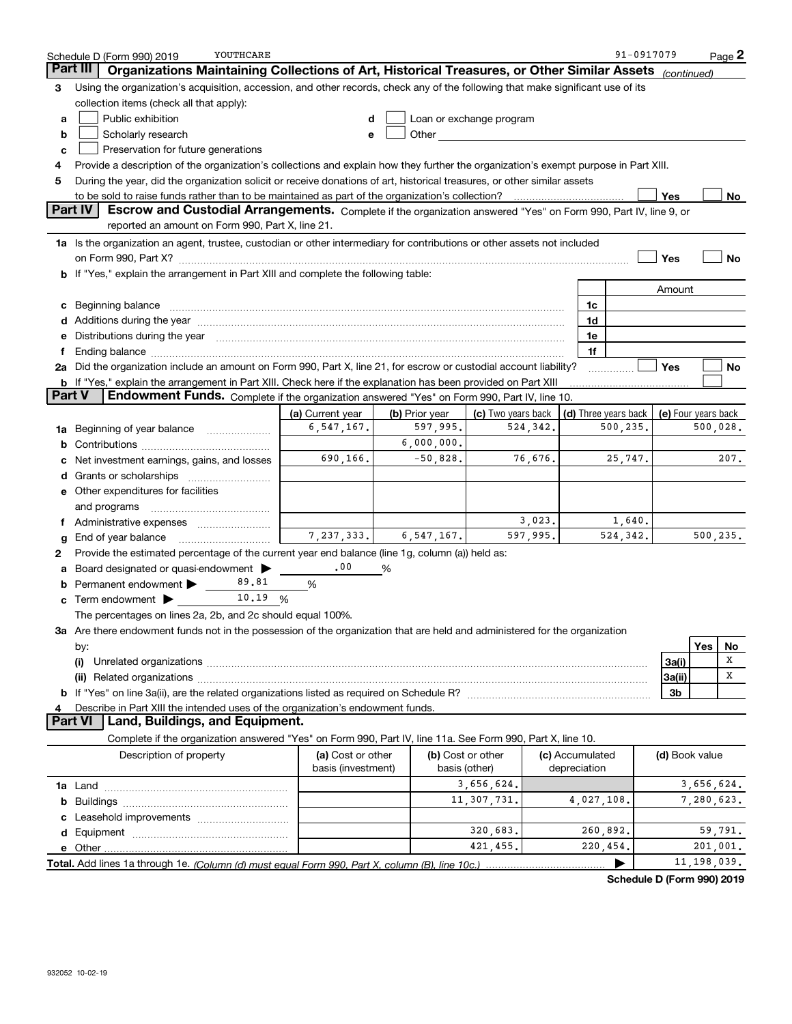| Organizations Maintaining Collections of Art, Historical Treasures, or Other Similar Assets<br>Part II<br>(continued)<br>Using the organization's acquisition, accession, and other records, check any of the following that make significant use of its<br>3<br>collection items (check all that apply):<br>Public exhibition<br>Loan or exchange program<br>a<br>d<br>Scholarly research<br>Other and the control of the control of the control of the control of the control of the control of the control of the control of the control of the control of the control of the control of the control of the control of th<br>b<br>е<br>Preservation for future generations<br>c<br>Provide a description of the organization's collections and explain how they further the organization's exempt purpose in Part XIII.<br>4<br>During the year, did the organization solicit or receive donations of art, historical treasures, or other similar assets<br>5<br>to be sold to raise funds rather than to be maintained as part of the organization's collection?<br>Yes<br><b>Part IV</b><br>Escrow and Custodial Arrangements. Complete if the organization answered "Yes" on Form 990, Part IV, line 9, or<br>reported an amount on Form 990, Part X, line 21.<br>1a Is the organization an agent, trustee, custodian or other intermediary for contributions or other assets not included<br>Yes<br>No<br>b If "Yes," explain the arrangement in Part XIII and complete the following table:<br>Amount<br>Beginning balance <b>contract to the contract of the contract of the contract of the contract of the contract of t</b><br>1c<br>c<br>Additions during the year manufactured and an annual contract of the year manufactured and all the year manufactured and all the year manufactured and all the year manufactured and all the year manufactured and all the yea<br>1d<br>Distributions during the year measurements are all the set of the set of the set of the set of the set of the set of the set of the set of the set of the set of the set of the set of the set of the set of the set of the se<br>1e<br>е<br>1f<br>f<br>2a Did the organization include an amount on Form 990, Part X, line 21, for escrow or custodial account liability?<br><b>Yes</b><br>No<br><b>b</b> If "Yes," explain the arrangement in Part XIII. Check here if the explanation has been provided on Part XIII<br><b>Part V</b><br>Endowment Funds. Complete if the organization answered "Yes" on Form 990, Part IV, line 10.<br>(d) Three years back  <br>(a) Current year<br>(b) Prior year<br>(c) Two years back<br>(e) Four years back<br>500,028.<br>6,547,167.<br>597,995.<br>524,342.<br>500,235.<br>Beginning of year balance <i>manumman</i><br>1a<br>6,000,000.<br>b<br>690,166.<br>$-50,828.$<br>76,676.<br>25,747.<br>207.<br>Net investment earnings, gains, and losses<br>d<br>e Other expenditures for facilities<br>and programs<br>3,023.<br>1,640.<br>Ť.<br>7,237,333.<br>6,547,167.<br>597,995.<br>524,342.<br>500, 235.<br>End of year balance<br>g<br>Provide the estimated percentage of the current year end balance (line 1g, column (a)) held as:<br>2<br>.00<br>Board designated or quasi-endowment ><br>%<br>89.81<br>Permanent endowment ><br>%<br>10.19%<br>Term endowment $\blacktriangleright$<br>c<br>The percentages on lines 2a, 2b, and 2c should equal 100%.<br>3a Are there endowment funds not in the possession of the organization that are held and administered for the organization<br>Yes<br>No<br>by:<br>х<br>(i)<br>3a(i)<br>х<br>3a(ii)<br>3b<br>Describe in Part XIII the intended uses of the organization's endowment funds.<br><b>Part VI</b><br>Land, Buildings, and Equipment.<br>Complete if the organization answered "Yes" on Form 990, Part IV, line 11a. See Form 990, Part X, line 10.<br>Description of property<br>(a) Cost or other<br>(b) Cost or other<br>(c) Accumulated<br>(d) Book value<br>basis (investment)<br>basis (other)<br>depreciation<br>3,656,624.<br>3,656,624.<br>11, 307, 731.<br>4,027,108.<br>7,280,623.<br>b<br>320,683.<br>260,892.<br>59,791.<br>421,455.<br>220,454.<br>201,001.<br>11, 198, 039. | YOUTHCARE<br>Schedule D (Form 990) 2019 |  |  |  | 91-0917079 |  | $Page$ 2 |
|--------------------------------------------------------------------------------------------------------------------------------------------------------------------------------------------------------------------------------------------------------------------------------------------------------------------------------------------------------------------------------------------------------------------------------------------------------------------------------------------------------------------------------------------------------------------------------------------------------------------------------------------------------------------------------------------------------------------------------------------------------------------------------------------------------------------------------------------------------------------------------------------------------------------------------------------------------------------------------------------------------------------------------------------------------------------------------------------------------------------------------------------------------------------------------------------------------------------------------------------------------------------------------------------------------------------------------------------------------------------------------------------------------------------------------------------------------------------------------------------------------------------------------------------------------------------------------------------------------------------------------------------------------------------------------------------------------------------------------------------------------------------------------------------------------------------------------------------------------------------------------------------------------------------------------------------------------------------------------------------------------------------------------------------------------------------------------------------------------------------------------------------------------------------------------------------------------------------------------------------------------------------------------------------------------------------------------------------------------------------------------------------------------------------------------------------------------------------------------------------------------------------------------------------------------------------------------------------------------------------------------------------------------------------------------------------------------------------------------------------------------------------------------------------------------------------------------------------------------------------------------------------------------------------------------------------------------------------------------------------------------------------------------------------------------------------------------------------------------------------------------------------------------------------------------------------------------------------------------------------------------------------------------------------------------------------------------------------------------------------------------------------------------------------------------------------------------------------------------------------------------------------------------------------------------------------------------------------------------------------------------------------------------------------------------------------------------------------------------------------------------------------------------------------------------------------------------------------------------------------------------------------------------------------------------------------------------------------------------------------------------------------------------------------------------------------------------------------------------------------------------------------------------------------------------------------------|-----------------------------------------|--|--|--|------------|--|----------|
|                                                                                                                                                                                                                                                                                                                                                                                                                                                                                                                                                                                                                                                                                                                                                                                                                                                                                                                                                                                                                                                                                                                                                                                                                                                                                                                                                                                                                                                                                                                                                                                                                                                                                                                                                                                                                                                                                                                                                                                                                                                                                                                                                                                                                                                                                                                                                                                                                                                                                                                                                                                                                                                                                                                                                                                                                                                                                                                                                                                                                                                                                                                                                                                                                                                                                                                                                                                                                                                                                                                                                                                                                                                                                                                                                                                                                                                                                                                                                                                                                                                                                                                                                                                                  |                                         |  |  |  |            |  |          |
|                                                                                                                                                                                                                                                                                                                                                                                                                                                                                                                                                                                                                                                                                                                                                                                                                                                                                                                                                                                                                                                                                                                                                                                                                                                                                                                                                                                                                                                                                                                                                                                                                                                                                                                                                                                                                                                                                                                                                                                                                                                                                                                                                                                                                                                                                                                                                                                                                                                                                                                                                                                                                                                                                                                                                                                                                                                                                                                                                                                                                                                                                                                                                                                                                                                                                                                                                                                                                                                                                                                                                                                                                                                                                                                                                                                                                                                                                                                                                                                                                                                                                                                                                                                                  |                                         |  |  |  |            |  |          |
|                                                                                                                                                                                                                                                                                                                                                                                                                                                                                                                                                                                                                                                                                                                                                                                                                                                                                                                                                                                                                                                                                                                                                                                                                                                                                                                                                                                                                                                                                                                                                                                                                                                                                                                                                                                                                                                                                                                                                                                                                                                                                                                                                                                                                                                                                                                                                                                                                                                                                                                                                                                                                                                                                                                                                                                                                                                                                                                                                                                                                                                                                                                                                                                                                                                                                                                                                                                                                                                                                                                                                                                                                                                                                                                                                                                                                                                                                                                                                                                                                                                                                                                                                                                                  |                                         |  |  |  |            |  |          |
|                                                                                                                                                                                                                                                                                                                                                                                                                                                                                                                                                                                                                                                                                                                                                                                                                                                                                                                                                                                                                                                                                                                                                                                                                                                                                                                                                                                                                                                                                                                                                                                                                                                                                                                                                                                                                                                                                                                                                                                                                                                                                                                                                                                                                                                                                                                                                                                                                                                                                                                                                                                                                                                                                                                                                                                                                                                                                                                                                                                                                                                                                                                                                                                                                                                                                                                                                                                                                                                                                                                                                                                                                                                                                                                                                                                                                                                                                                                                                                                                                                                                                                                                                                                                  |                                         |  |  |  |            |  |          |
|                                                                                                                                                                                                                                                                                                                                                                                                                                                                                                                                                                                                                                                                                                                                                                                                                                                                                                                                                                                                                                                                                                                                                                                                                                                                                                                                                                                                                                                                                                                                                                                                                                                                                                                                                                                                                                                                                                                                                                                                                                                                                                                                                                                                                                                                                                                                                                                                                                                                                                                                                                                                                                                                                                                                                                                                                                                                                                                                                                                                                                                                                                                                                                                                                                                                                                                                                                                                                                                                                                                                                                                                                                                                                                                                                                                                                                                                                                                                                                                                                                                                                                                                                                                                  |                                         |  |  |  |            |  |          |
|                                                                                                                                                                                                                                                                                                                                                                                                                                                                                                                                                                                                                                                                                                                                                                                                                                                                                                                                                                                                                                                                                                                                                                                                                                                                                                                                                                                                                                                                                                                                                                                                                                                                                                                                                                                                                                                                                                                                                                                                                                                                                                                                                                                                                                                                                                                                                                                                                                                                                                                                                                                                                                                                                                                                                                                                                                                                                                                                                                                                                                                                                                                                                                                                                                                                                                                                                                                                                                                                                                                                                                                                                                                                                                                                                                                                                                                                                                                                                                                                                                                                                                                                                                                                  |                                         |  |  |  |            |  |          |
|                                                                                                                                                                                                                                                                                                                                                                                                                                                                                                                                                                                                                                                                                                                                                                                                                                                                                                                                                                                                                                                                                                                                                                                                                                                                                                                                                                                                                                                                                                                                                                                                                                                                                                                                                                                                                                                                                                                                                                                                                                                                                                                                                                                                                                                                                                                                                                                                                                                                                                                                                                                                                                                                                                                                                                                                                                                                                                                                                                                                                                                                                                                                                                                                                                                                                                                                                                                                                                                                                                                                                                                                                                                                                                                                                                                                                                                                                                                                                                                                                                                                                                                                                                                                  |                                         |  |  |  |            |  |          |
|                                                                                                                                                                                                                                                                                                                                                                                                                                                                                                                                                                                                                                                                                                                                                                                                                                                                                                                                                                                                                                                                                                                                                                                                                                                                                                                                                                                                                                                                                                                                                                                                                                                                                                                                                                                                                                                                                                                                                                                                                                                                                                                                                                                                                                                                                                                                                                                                                                                                                                                                                                                                                                                                                                                                                                                                                                                                                                                                                                                                                                                                                                                                                                                                                                                                                                                                                                                                                                                                                                                                                                                                                                                                                                                                                                                                                                                                                                                                                                                                                                                                                                                                                                                                  |                                         |  |  |  |            |  |          |
|                                                                                                                                                                                                                                                                                                                                                                                                                                                                                                                                                                                                                                                                                                                                                                                                                                                                                                                                                                                                                                                                                                                                                                                                                                                                                                                                                                                                                                                                                                                                                                                                                                                                                                                                                                                                                                                                                                                                                                                                                                                                                                                                                                                                                                                                                                                                                                                                                                                                                                                                                                                                                                                                                                                                                                                                                                                                                                                                                                                                                                                                                                                                                                                                                                                                                                                                                                                                                                                                                                                                                                                                                                                                                                                                                                                                                                                                                                                                                                                                                                                                                                                                                                                                  |                                         |  |  |  |            |  | No       |
|                                                                                                                                                                                                                                                                                                                                                                                                                                                                                                                                                                                                                                                                                                                                                                                                                                                                                                                                                                                                                                                                                                                                                                                                                                                                                                                                                                                                                                                                                                                                                                                                                                                                                                                                                                                                                                                                                                                                                                                                                                                                                                                                                                                                                                                                                                                                                                                                                                                                                                                                                                                                                                                                                                                                                                                                                                                                                                                                                                                                                                                                                                                                                                                                                                                                                                                                                                                                                                                                                                                                                                                                                                                                                                                                                                                                                                                                                                                                                                                                                                                                                                                                                                                                  |                                         |  |  |  |            |  |          |
|                                                                                                                                                                                                                                                                                                                                                                                                                                                                                                                                                                                                                                                                                                                                                                                                                                                                                                                                                                                                                                                                                                                                                                                                                                                                                                                                                                                                                                                                                                                                                                                                                                                                                                                                                                                                                                                                                                                                                                                                                                                                                                                                                                                                                                                                                                                                                                                                                                                                                                                                                                                                                                                                                                                                                                                                                                                                                                                                                                                                                                                                                                                                                                                                                                                                                                                                                                                                                                                                                                                                                                                                                                                                                                                                                                                                                                                                                                                                                                                                                                                                                                                                                                                                  |                                         |  |  |  |            |  |          |
|                                                                                                                                                                                                                                                                                                                                                                                                                                                                                                                                                                                                                                                                                                                                                                                                                                                                                                                                                                                                                                                                                                                                                                                                                                                                                                                                                                                                                                                                                                                                                                                                                                                                                                                                                                                                                                                                                                                                                                                                                                                                                                                                                                                                                                                                                                                                                                                                                                                                                                                                                                                                                                                                                                                                                                                                                                                                                                                                                                                                                                                                                                                                                                                                                                                                                                                                                                                                                                                                                                                                                                                                                                                                                                                                                                                                                                                                                                                                                                                                                                                                                                                                                                                                  |                                         |  |  |  |            |  |          |
|                                                                                                                                                                                                                                                                                                                                                                                                                                                                                                                                                                                                                                                                                                                                                                                                                                                                                                                                                                                                                                                                                                                                                                                                                                                                                                                                                                                                                                                                                                                                                                                                                                                                                                                                                                                                                                                                                                                                                                                                                                                                                                                                                                                                                                                                                                                                                                                                                                                                                                                                                                                                                                                                                                                                                                                                                                                                                                                                                                                                                                                                                                                                                                                                                                                                                                                                                                                                                                                                                                                                                                                                                                                                                                                                                                                                                                                                                                                                                                                                                                                                                                                                                                                                  |                                         |  |  |  |            |  |          |
|                                                                                                                                                                                                                                                                                                                                                                                                                                                                                                                                                                                                                                                                                                                                                                                                                                                                                                                                                                                                                                                                                                                                                                                                                                                                                                                                                                                                                                                                                                                                                                                                                                                                                                                                                                                                                                                                                                                                                                                                                                                                                                                                                                                                                                                                                                                                                                                                                                                                                                                                                                                                                                                                                                                                                                                                                                                                                                                                                                                                                                                                                                                                                                                                                                                                                                                                                                                                                                                                                                                                                                                                                                                                                                                                                                                                                                                                                                                                                                                                                                                                                                                                                                                                  |                                         |  |  |  |            |  |          |
|                                                                                                                                                                                                                                                                                                                                                                                                                                                                                                                                                                                                                                                                                                                                                                                                                                                                                                                                                                                                                                                                                                                                                                                                                                                                                                                                                                                                                                                                                                                                                                                                                                                                                                                                                                                                                                                                                                                                                                                                                                                                                                                                                                                                                                                                                                                                                                                                                                                                                                                                                                                                                                                                                                                                                                                                                                                                                                                                                                                                                                                                                                                                                                                                                                                                                                                                                                                                                                                                                                                                                                                                                                                                                                                                                                                                                                                                                                                                                                                                                                                                                                                                                                                                  |                                         |  |  |  |            |  |          |
|                                                                                                                                                                                                                                                                                                                                                                                                                                                                                                                                                                                                                                                                                                                                                                                                                                                                                                                                                                                                                                                                                                                                                                                                                                                                                                                                                                                                                                                                                                                                                                                                                                                                                                                                                                                                                                                                                                                                                                                                                                                                                                                                                                                                                                                                                                                                                                                                                                                                                                                                                                                                                                                                                                                                                                                                                                                                                                                                                                                                                                                                                                                                                                                                                                                                                                                                                                                                                                                                                                                                                                                                                                                                                                                                                                                                                                                                                                                                                                                                                                                                                                                                                                                                  |                                         |  |  |  |            |  |          |
|                                                                                                                                                                                                                                                                                                                                                                                                                                                                                                                                                                                                                                                                                                                                                                                                                                                                                                                                                                                                                                                                                                                                                                                                                                                                                                                                                                                                                                                                                                                                                                                                                                                                                                                                                                                                                                                                                                                                                                                                                                                                                                                                                                                                                                                                                                                                                                                                                                                                                                                                                                                                                                                                                                                                                                                                                                                                                                                                                                                                                                                                                                                                                                                                                                                                                                                                                                                                                                                                                                                                                                                                                                                                                                                                                                                                                                                                                                                                                                                                                                                                                                                                                                                                  |                                         |  |  |  |            |  |          |
|                                                                                                                                                                                                                                                                                                                                                                                                                                                                                                                                                                                                                                                                                                                                                                                                                                                                                                                                                                                                                                                                                                                                                                                                                                                                                                                                                                                                                                                                                                                                                                                                                                                                                                                                                                                                                                                                                                                                                                                                                                                                                                                                                                                                                                                                                                                                                                                                                                                                                                                                                                                                                                                                                                                                                                                                                                                                                                                                                                                                                                                                                                                                                                                                                                                                                                                                                                                                                                                                                                                                                                                                                                                                                                                                                                                                                                                                                                                                                                                                                                                                                                                                                                                                  |                                         |  |  |  |            |  |          |
|                                                                                                                                                                                                                                                                                                                                                                                                                                                                                                                                                                                                                                                                                                                                                                                                                                                                                                                                                                                                                                                                                                                                                                                                                                                                                                                                                                                                                                                                                                                                                                                                                                                                                                                                                                                                                                                                                                                                                                                                                                                                                                                                                                                                                                                                                                                                                                                                                                                                                                                                                                                                                                                                                                                                                                                                                                                                                                                                                                                                                                                                                                                                                                                                                                                                                                                                                                                                                                                                                                                                                                                                                                                                                                                                                                                                                                                                                                                                                                                                                                                                                                                                                                                                  |                                         |  |  |  |            |  |          |
|                                                                                                                                                                                                                                                                                                                                                                                                                                                                                                                                                                                                                                                                                                                                                                                                                                                                                                                                                                                                                                                                                                                                                                                                                                                                                                                                                                                                                                                                                                                                                                                                                                                                                                                                                                                                                                                                                                                                                                                                                                                                                                                                                                                                                                                                                                                                                                                                                                                                                                                                                                                                                                                                                                                                                                                                                                                                                                                                                                                                                                                                                                                                                                                                                                                                                                                                                                                                                                                                                                                                                                                                                                                                                                                                                                                                                                                                                                                                                                                                                                                                                                                                                                                                  |                                         |  |  |  |            |  |          |
|                                                                                                                                                                                                                                                                                                                                                                                                                                                                                                                                                                                                                                                                                                                                                                                                                                                                                                                                                                                                                                                                                                                                                                                                                                                                                                                                                                                                                                                                                                                                                                                                                                                                                                                                                                                                                                                                                                                                                                                                                                                                                                                                                                                                                                                                                                                                                                                                                                                                                                                                                                                                                                                                                                                                                                                                                                                                                                                                                                                                                                                                                                                                                                                                                                                                                                                                                                                                                                                                                                                                                                                                                                                                                                                                                                                                                                                                                                                                                                                                                                                                                                                                                                                                  |                                         |  |  |  |            |  |          |
|                                                                                                                                                                                                                                                                                                                                                                                                                                                                                                                                                                                                                                                                                                                                                                                                                                                                                                                                                                                                                                                                                                                                                                                                                                                                                                                                                                                                                                                                                                                                                                                                                                                                                                                                                                                                                                                                                                                                                                                                                                                                                                                                                                                                                                                                                                                                                                                                                                                                                                                                                                                                                                                                                                                                                                                                                                                                                                                                                                                                                                                                                                                                                                                                                                                                                                                                                                                                                                                                                                                                                                                                                                                                                                                                                                                                                                                                                                                                                                                                                                                                                                                                                                                                  |                                         |  |  |  |            |  |          |
|                                                                                                                                                                                                                                                                                                                                                                                                                                                                                                                                                                                                                                                                                                                                                                                                                                                                                                                                                                                                                                                                                                                                                                                                                                                                                                                                                                                                                                                                                                                                                                                                                                                                                                                                                                                                                                                                                                                                                                                                                                                                                                                                                                                                                                                                                                                                                                                                                                                                                                                                                                                                                                                                                                                                                                                                                                                                                                                                                                                                                                                                                                                                                                                                                                                                                                                                                                                                                                                                                                                                                                                                                                                                                                                                                                                                                                                                                                                                                                                                                                                                                                                                                                                                  |                                         |  |  |  |            |  |          |
|                                                                                                                                                                                                                                                                                                                                                                                                                                                                                                                                                                                                                                                                                                                                                                                                                                                                                                                                                                                                                                                                                                                                                                                                                                                                                                                                                                                                                                                                                                                                                                                                                                                                                                                                                                                                                                                                                                                                                                                                                                                                                                                                                                                                                                                                                                                                                                                                                                                                                                                                                                                                                                                                                                                                                                                                                                                                                                                                                                                                                                                                                                                                                                                                                                                                                                                                                                                                                                                                                                                                                                                                                                                                                                                                                                                                                                                                                                                                                                                                                                                                                                                                                                                                  |                                         |  |  |  |            |  |          |
|                                                                                                                                                                                                                                                                                                                                                                                                                                                                                                                                                                                                                                                                                                                                                                                                                                                                                                                                                                                                                                                                                                                                                                                                                                                                                                                                                                                                                                                                                                                                                                                                                                                                                                                                                                                                                                                                                                                                                                                                                                                                                                                                                                                                                                                                                                                                                                                                                                                                                                                                                                                                                                                                                                                                                                                                                                                                                                                                                                                                                                                                                                                                                                                                                                                                                                                                                                                                                                                                                                                                                                                                                                                                                                                                                                                                                                                                                                                                                                                                                                                                                                                                                                                                  |                                         |  |  |  |            |  |          |
|                                                                                                                                                                                                                                                                                                                                                                                                                                                                                                                                                                                                                                                                                                                                                                                                                                                                                                                                                                                                                                                                                                                                                                                                                                                                                                                                                                                                                                                                                                                                                                                                                                                                                                                                                                                                                                                                                                                                                                                                                                                                                                                                                                                                                                                                                                                                                                                                                                                                                                                                                                                                                                                                                                                                                                                                                                                                                                                                                                                                                                                                                                                                                                                                                                                                                                                                                                                                                                                                                                                                                                                                                                                                                                                                                                                                                                                                                                                                                                                                                                                                                                                                                                                                  |                                         |  |  |  |            |  |          |
|                                                                                                                                                                                                                                                                                                                                                                                                                                                                                                                                                                                                                                                                                                                                                                                                                                                                                                                                                                                                                                                                                                                                                                                                                                                                                                                                                                                                                                                                                                                                                                                                                                                                                                                                                                                                                                                                                                                                                                                                                                                                                                                                                                                                                                                                                                                                                                                                                                                                                                                                                                                                                                                                                                                                                                                                                                                                                                                                                                                                                                                                                                                                                                                                                                                                                                                                                                                                                                                                                                                                                                                                                                                                                                                                                                                                                                                                                                                                                                                                                                                                                                                                                                                                  |                                         |  |  |  |            |  |          |
|                                                                                                                                                                                                                                                                                                                                                                                                                                                                                                                                                                                                                                                                                                                                                                                                                                                                                                                                                                                                                                                                                                                                                                                                                                                                                                                                                                                                                                                                                                                                                                                                                                                                                                                                                                                                                                                                                                                                                                                                                                                                                                                                                                                                                                                                                                                                                                                                                                                                                                                                                                                                                                                                                                                                                                                                                                                                                                                                                                                                                                                                                                                                                                                                                                                                                                                                                                                                                                                                                                                                                                                                                                                                                                                                                                                                                                                                                                                                                                                                                                                                                                                                                                                                  |                                         |  |  |  |            |  |          |
|                                                                                                                                                                                                                                                                                                                                                                                                                                                                                                                                                                                                                                                                                                                                                                                                                                                                                                                                                                                                                                                                                                                                                                                                                                                                                                                                                                                                                                                                                                                                                                                                                                                                                                                                                                                                                                                                                                                                                                                                                                                                                                                                                                                                                                                                                                                                                                                                                                                                                                                                                                                                                                                                                                                                                                                                                                                                                                                                                                                                                                                                                                                                                                                                                                                                                                                                                                                                                                                                                                                                                                                                                                                                                                                                                                                                                                                                                                                                                                                                                                                                                                                                                                                                  |                                         |  |  |  |            |  |          |
|                                                                                                                                                                                                                                                                                                                                                                                                                                                                                                                                                                                                                                                                                                                                                                                                                                                                                                                                                                                                                                                                                                                                                                                                                                                                                                                                                                                                                                                                                                                                                                                                                                                                                                                                                                                                                                                                                                                                                                                                                                                                                                                                                                                                                                                                                                                                                                                                                                                                                                                                                                                                                                                                                                                                                                                                                                                                                                                                                                                                                                                                                                                                                                                                                                                                                                                                                                                                                                                                                                                                                                                                                                                                                                                                                                                                                                                                                                                                                                                                                                                                                                                                                                                                  |                                         |  |  |  |            |  |          |
|                                                                                                                                                                                                                                                                                                                                                                                                                                                                                                                                                                                                                                                                                                                                                                                                                                                                                                                                                                                                                                                                                                                                                                                                                                                                                                                                                                                                                                                                                                                                                                                                                                                                                                                                                                                                                                                                                                                                                                                                                                                                                                                                                                                                                                                                                                                                                                                                                                                                                                                                                                                                                                                                                                                                                                                                                                                                                                                                                                                                                                                                                                                                                                                                                                                                                                                                                                                                                                                                                                                                                                                                                                                                                                                                                                                                                                                                                                                                                                                                                                                                                                                                                                                                  |                                         |  |  |  |            |  |          |
|                                                                                                                                                                                                                                                                                                                                                                                                                                                                                                                                                                                                                                                                                                                                                                                                                                                                                                                                                                                                                                                                                                                                                                                                                                                                                                                                                                                                                                                                                                                                                                                                                                                                                                                                                                                                                                                                                                                                                                                                                                                                                                                                                                                                                                                                                                                                                                                                                                                                                                                                                                                                                                                                                                                                                                                                                                                                                                                                                                                                                                                                                                                                                                                                                                                                                                                                                                                                                                                                                                                                                                                                                                                                                                                                                                                                                                                                                                                                                                                                                                                                                                                                                                                                  |                                         |  |  |  |            |  |          |
|                                                                                                                                                                                                                                                                                                                                                                                                                                                                                                                                                                                                                                                                                                                                                                                                                                                                                                                                                                                                                                                                                                                                                                                                                                                                                                                                                                                                                                                                                                                                                                                                                                                                                                                                                                                                                                                                                                                                                                                                                                                                                                                                                                                                                                                                                                                                                                                                                                                                                                                                                                                                                                                                                                                                                                                                                                                                                                                                                                                                                                                                                                                                                                                                                                                                                                                                                                                                                                                                                                                                                                                                                                                                                                                                                                                                                                                                                                                                                                                                                                                                                                                                                                                                  |                                         |  |  |  |            |  |          |
|                                                                                                                                                                                                                                                                                                                                                                                                                                                                                                                                                                                                                                                                                                                                                                                                                                                                                                                                                                                                                                                                                                                                                                                                                                                                                                                                                                                                                                                                                                                                                                                                                                                                                                                                                                                                                                                                                                                                                                                                                                                                                                                                                                                                                                                                                                                                                                                                                                                                                                                                                                                                                                                                                                                                                                                                                                                                                                                                                                                                                                                                                                                                                                                                                                                                                                                                                                                                                                                                                                                                                                                                                                                                                                                                                                                                                                                                                                                                                                                                                                                                                                                                                                                                  |                                         |  |  |  |            |  |          |
|                                                                                                                                                                                                                                                                                                                                                                                                                                                                                                                                                                                                                                                                                                                                                                                                                                                                                                                                                                                                                                                                                                                                                                                                                                                                                                                                                                                                                                                                                                                                                                                                                                                                                                                                                                                                                                                                                                                                                                                                                                                                                                                                                                                                                                                                                                                                                                                                                                                                                                                                                                                                                                                                                                                                                                                                                                                                                                                                                                                                                                                                                                                                                                                                                                                                                                                                                                                                                                                                                                                                                                                                                                                                                                                                                                                                                                                                                                                                                                                                                                                                                                                                                                                                  |                                         |  |  |  |            |  |          |
|                                                                                                                                                                                                                                                                                                                                                                                                                                                                                                                                                                                                                                                                                                                                                                                                                                                                                                                                                                                                                                                                                                                                                                                                                                                                                                                                                                                                                                                                                                                                                                                                                                                                                                                                                                                                                                                                                                                                                                                                                                                                                                                                                                                                                                                                                                                                                                                                                                                                                                                                                                                                                                                                                                                                                                                                                                                                                                                                                                                                                                                                                                                                                                                                                                                                                                                                                                                                                                                                                                                                                                                                                                                                                                                                                                                                                                                                                                                                                                                                                                                                                                                                                                                                  |                                         |  |  |  |            |  |          |
|                                                                                                                                                                                                                                                                                                                                                                                                                                                                                                                                                                                                                                                                                                                                                                                                                                                                                                                                                                                                                                                                                                                                                                                                                                                                                                                                                                                                                                                                                                                                                                                                                                                                                                                                                                                                                                                                                                                                                                                                                                                                                                                                                                                                                                                                                                                                                                                                                                                                                                                                                                                                                                                                                                                                                                                                                                                                                                                                                                                                                                                                                                                                                                                                                                                                                                                                                                                                                                                                                                                                                                                                                                                                                                                                                                                                                                                                                                                                                                                                                                                                                                                                                                                                  |                                         |  |  |  |            |  |          |
|                                                                                                                                                                                                                                                                                                                                                                                                                                                                                                                                                                                                                                                                                                                                                                                                                                                                                                                                                                                                                                                                                                                                                                                                                                                                                                                                                                                                                                                                                                                                                                                                                                                                                                                                                                                                                                                                                                                                                                                                                                                                                                                                                                                                                                                                                                                                                                                                                                                                                                                                                                                                                                                                                                                                                                                                                                                                                                                                                                                                                                                                                                                                                                                                                                                                                                                                                                                                                                                                                                                                                                                                                                                                                                                                                                                                                                                                                                                                                                                                                                                                                                                                                                                                  |                                         |  |  |  |            |  |          |
|                                                                                                                                                                                                                                                                                                                                                                                                                                                                                                                                                                                                                                                                                                                                                                                                                                                                                                                                                                                                                                                                                                                                                                                                                                                                                                                                                                                                                                                                                                                                                                                                                                                                                                                                                                                                                                                                                                                                                                                                                                                                                                                                                                                                                                                                                                                                                                                                                                                                                                                                                                                                                                                                                                                                                                                                                                                                                                                                                                                                                                                                                                                                                                                                                                                                                                                                                                                                                                                                                                                                                                                                                                                                                                                                                                                                                                                                                                                                                                                                                                                                                                                                                                                                  |                                         |  |  |  |            |  |          |
|                                                                                                                                                                                                                                                                                                                                                                                                                                                                                                                                                                                                                                                                                                                                                                                                                                                                                                                                                                                                                                                                                                                                                                                                                                                                                                                                                                                                                                                                                                                                                                                                                                                                                                                                                                                                                                                                                                                                                                                                                                                                                                                                                                                                                                                                                                                                                                                                                                                                                                                                                                                                                                                                                                                                                                                                                                                                                                                                                                                                                                                                                                                                                                                                                                                                                                                                                                                                                                                                                                                                                                                                                                                                                                                                                                                                                                                                                                                                                                                                                                                                                                                                                                                                  |                                         |  |  |  |            |  |          |
|                                                                                                                                                                                                                                                                                                                                                                                                                                                                                                                                                                                                                                                                                                                                                                                                                                                                                                                                                                                                                                                                                                                                                                                                                                                                                                                                                                                                                                                                                                                                                                                                                                                                                                                                                                                                                                                                                                                                                                                                                                                                                                                                                                                                                                                                                                                                                                                                                                                                                                                                                                                                                                                                                                                                                                                                                                                                                                                                                                                                                                                                                                                                                                                                                                                                                                                                                                                                                                                                                                                                                                                                                                                                                                                                                                                                                                                                                                                                                                                                                                                                                                                                                                                                  |                                         |  |  |  |            |  |          |
|                                                                                                                                                                                                                                                                                                                                                                                                                                                                                                                                                                                                                                                                                                                                                                                                                                                                                                                                                                                                                                                                                                                                                                                                                                                                                                                                                                                                                                                                                                                                                                                                                                                                                                                                                                                                                                                                                                                                                                                                                                                                                                                                                                                                                                                                                                                                                                                                                                                                                                                                                                                                                                                                                                                                                                                                                                                                                                                                                                                                                                                                                                                                                                                                                                                                                                                                                                                                                                                                                                                                                                                                                                                                                                                                                                                                                                                                                                                                                                                                                                                                                                                                                                                                  |                                         |  |  |  |            |  |          |
|                                                                                                                                                                                                                                                                                                                                                                                                                                                                                                                                                                                                                                                                                                                                                                                                                                                                                                                                                                                                                                                                                                                                                                                                                                                                                                                                                                                                                                                                                                                                                                                                                                                                                                                                                                                                                                                                                                                                                                                                                                                                                                                                                                                                                                                                                                                                                                                                                                                                                                                                                                                                                                                                                                                                                                                                                                                                                                                                                                                                                                                                                                                                                                                                                                                                                                                                                                                                                                                                                                                                                                                                                                                                                                                                                                                                                                                                                                                                                                                                                                                                                                                                                                                                  |                                         |  |  |  |            |  |          |
|                                                                                                                                                                                                                                                                                                                                                                                                                                                                                                                                                                                                                                                                                                                                                                                                                                                                                                                                                                                                                                                                                                                                                                                                                                                                                                                                                                                                                                                                                                                                                                                                                                                                                                                                                                                                                                                                                                                                                                                                                                                                                                                                                                                                                                                                                                                                                                                                                                                                                                                                                                                                                                                                                                                                                                                                                                                                                                                                                                                                                                                                                                                                                                                                                                                                                                                                                                                                                                                                                                                                                                                                                                                                                                                                                                                                                                                                                                                                                                                                                                                                                                                                                                                                  |                                         |  |  |  |            |  |          |
|                                                                                                                                                                                                                                                                                                                                                                                                                                                                                                                                                                                                                                                                                                                                                                                                                                                                                                                                                                                                                                                                                                                                                                                                                                                                                                                                                                                                                                                                                                                                                                                                                                                                                                                                                                                                                                                                                                                                                                                                                                                                                                                                                                                                                                                                                                                                                                                                                                                                                                                                                                                                                                                                                                                                                                                                                                                                                                                                                                                                                                                                                                                                                                                                                                                                                                                                                                                                                                                                                                                                                                                                                                                                                                                                                                                                                                                                                                                                                                                                                                                                                                                                                                                                  |                                         |  |  |  |            |  |          |
|                                                                                                                                                                                                                                                                                                                                                                                                                                                                                                                                                                                                                                                                                                                                                                                                                                                                                                                                                                                                                                                                                                                                                                                                                                                                                                                                                                                                                                                                                                                                                                                                                                                                                                                                                                                                                                                                                                                                                                                                                                                                                                                                                                                                                                                                                                                                                                                                                                                                                                                                                                                                                                                                                                                                                                                                                                                                                                                                                                                                                                                                                                                                                                                                                                                                                                                                                                                                                                                                                                                                                                                                                                                                                                                                                                                                                                                                                                                                                                                                                                                                                                                                                                                                  |                                         |  |  |  |            |  |          |
|                                                                                                                                                                                                                                                                                                                                                                                                                                                                                                                                                                                                                                                                                                                                                                                                                                                                                                                                                                                                                                                                                                                                                                                                                                                                                                                                                                                                                                                                                                                                                                                                                                                                                                                                                                                                                                                                                                                                                                                                                                                                                                                                                                                                                                                                                                                                                                                                                                                                                                                                                                                                                                                                                                                                                                                                                                                                                                                                                                                                                                                                                                                                                                                                                                                                                                                                                                                                                                                                                                                                                                                                                                                                                                                                                                                                                                                                                                                                                                                                                                                                                                                                                                                                  |                                         |  |  |  |            |  |          |
|                                                                                                                                                                                                                                                                                                                                                                                                                                                                                                                                                                                                                                                                                                                                                                                                                                                                                                                                                                                                                                                                                                                                                                                                                                                                                                                                                                                                                                                                                                                                                                                                                                                                                                                                                                                                                                                                                                                                                                                                                                                                                                                                                                                                                                                                                                                                                                                                                                                                                                                                                                                                                                                                                                                                                                                                                                                                                                                                                                                                                                                                                                                                                                                                                                                                                                                                                                                                                                                                                                                                                                                                                                                                                                                                                                                                                                                                                                                                                                                                                                                                                                                                                                                                  |                                         |  |  |  |            |  |          |
|                                                                                                                                                                                                                                                                                                                                                                                                                                                                                                                                                                                                                                                                                                                                                                                                                                                                                                                                                                                                                                                                                                                                                                                                                                                                                                                                                                                                                                                                                                                                                                                                                                                                                                                                                                                                                                                                                                                                                                                                                                                                                                                                                                                                                                                                                                                                                                                                                                                                                                                                                                                                                                                                                                                                                                                                                                                                                                                                                                                                                                                                                                                                                                                                                                                                                                                                                                                                                                                                                                                                                                                                                                                                                                                                                                                                                                                                                                                                                                                                                                                                                                                                                                                                  |                                         |  |  |  |            |  |          |
|                                                                                                                                                                                                                                                                                                                                                                                                                                                                                                                                                                                                                                                                                                                                                                                                                                                                                                                                                                                                                                                                                                                                                                                                                                                                                                                                                                                                                                                                                                                                                                                                                                                                                                                                                                                                                                                                                                                                                                                                                                                                                                                                                                                                                                                                                                                                                                                                                                                                                                                                                                                                                                                                                                                                                                                                                                                                                                                                                                                                                                                                                                                                                                                                                                                                                                                                                                                                                                                                                                                                                                                                                                                                                                                                                                                                                                                                                                                                                                                                                                                                                                                                                                                                  |                                         |  |  |  |            |  |          |

**Schedule D (Form 990) 2019**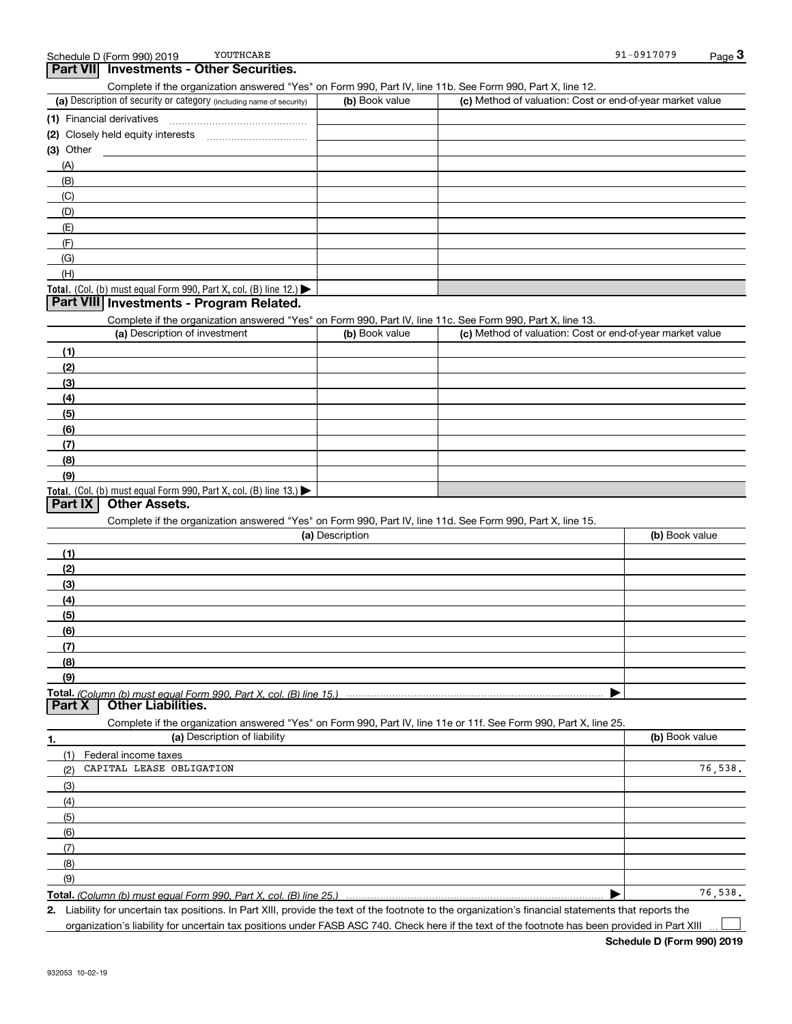### **Part VII Investments - Other Securities.**

Complete if the organization answered "Yes" on Form 990, Part IV, line 11b. See Form 990, Part X, line 12.

| (a) Description of security or category (including name of security)                          | (b) Book value | (c) Method of valuation: Cost or end-of-year market value |
|-----------------------------------------------------------------------------------------------|----------------|-----------------------------------------------------------|
| (1) Financial derivatives                                                                     |                |                                                           |
| (2) Closely held equity interests                                                             |                |                                                           |
| $(3)$ Other                                                                                   |                |                                                           |
| (A)                                                                                           |                |                                                           |
| (B)                                                                                           |                |                                                           |
| (C)                                                                                           |                |                                                           |
| (D)                                                                                           |                |                                                           |
| (E)                                                                                           |                |                                                           |
| (F)                                                                                           |                |                                                           |
| (G)                                                                                           |                |                                                           |
| (H)                                                                                           |                |                                                           |
| <b>Total.</b> (Col. (b) must equal Form 990, Part X, col. (B) line 12.) $\blacktriangleright$ |                |                                                           |

#### **Part VIII Investments - Program Related.**

Complete if the organization answered "Yes" on Form 990, Part IV, line 11c. See Form 990, Part X, line 13.

| (a) Description of investment                                                                 | (b) Book value | (c) Method of valuation: Cost or end-of-year market value |
|-----------------------------------------------------------------------------------------------|----------------|-----------------------------------------------------------|
| (1)                                                                                           |                |                                                           |
| (2)                                                                                           |                |                                                           |
| $\frac{1}{2}$                                                                                 |                |                                                           |
| (4)                                                                                           |                |                                                           |
| $\left(5\right)$                                                                              |                |                                                           |
| (6)                                                                                           |                |                                                           |
| (7)                                                                                           |                |                                                           |
| (8)                                                                                           |                |                                                           |
| (9)                                                                                           |                |                                                           |
| <b>Total.</b> (Col. (b) must equal Form 990, Part X, col. (B) line 13.) $\blacktriangleright$ |                |                                                           |

#### **Part IX Other Assets.**

Complete if the organization answered "Yes" on Form 990, Part IV, line 11d. See Form 990, Part X, line 15.

| (a) Description                                                                                                   | (b) Book value |
|-------------------------------------------------------------------------------------------------------------------|----------------|
| (1)                                                                                                               |                |
| (2)                                                                                                               |                |
| (3)                                                                                                               |                |
| (4)                                                                                                               |                |
| (5)                                                                                                               |                |
| (6)                                                                                                               |                |
| (7)                                                                                                               |                |
| (8)                                                                                                               |                |
| (9)                                                                                                               |                |
|                                                                                                                   |                |
| <b>Other Liabilities.</b><br>Part X                                                                               |                |
| Complete if the organization answered "Yes" on Form 990, Part IV, line 11e or 11f. See Form 990, Part X, line 25. |                |

| 1.  | (a) Description of liability | (b) Book value |
|-----|------------------------------|----------------|
| (1) | Federal income taxes         |                |
| (2) | CAPITAL LEASE OBLIGATION     | 76,538.        |
| (3) |                              |                |
| (4) |                              |                |
| (5) |                              |                |
| (6) |                              |                |
| (7) |                              |                |
| (8) |                              |                |
| (9) |                              |                |
|     |                              | 76,538.        |

**Total.**  *(Column (b) must equal Form 990, Part X, col. (B) line 25.)*

**2.** Liability for uncertain tax positions. In Part XIII, provide the text of the footnote to the organization's financial statements that reports the organization's liability for uncertain tax positions under FASB ASC 740. Check here if the text of the footnote has been provided in Part XIII

 $\mathcal{L}^{\text{max}}$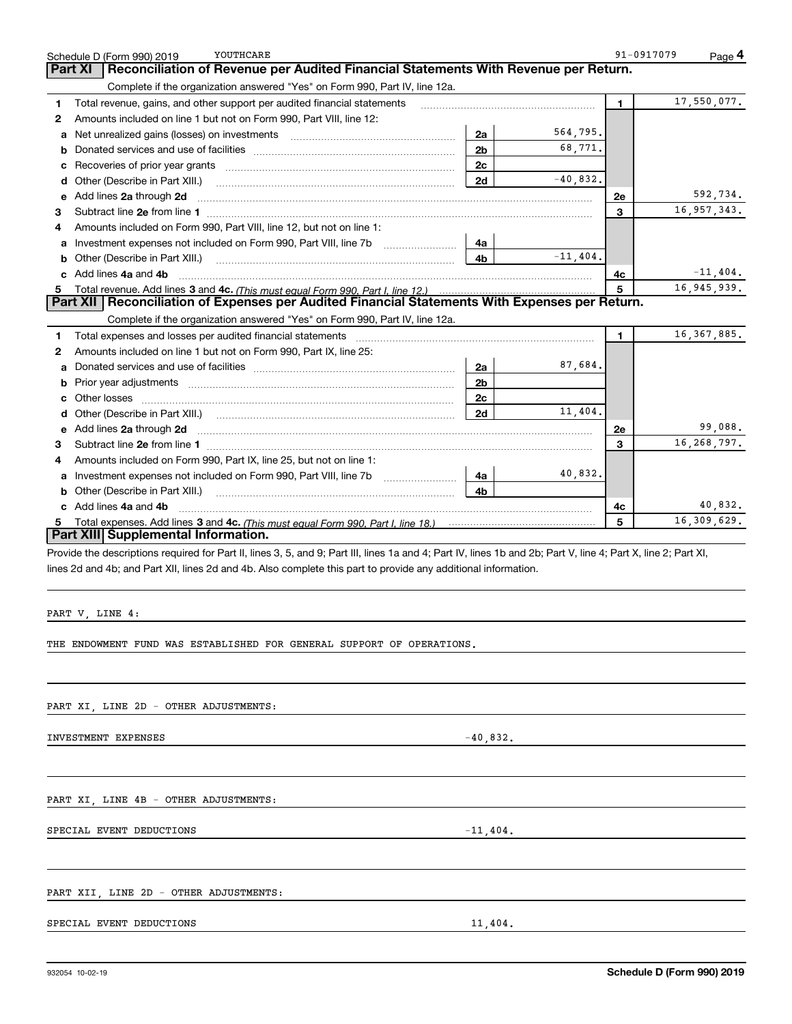|    | a Net unrealized gains (losses) on investments [111] [12] Net unrealized gains (losses) on investments [11] $\cdot$ | 2a             | 564,795.   |                |                            |
|----|---------------------------------------------------------------------------------------------------------------------|----------------|------------|----------------|----------------------------|
| b  |                                                                                                                     | 2 <sub>b</sub> | 68,771.    |                |                            |
| с  |                                                                                                                     | 2c             |            |                |                            |
| d  |                                                                                                                     | 2d             | $-40,832.$ |                |                            |
| е  | Add lines 2a through 2d                                                                                             |                |            | 2e             | 592,734.                   |
| з  |                                                                                                                     |                |            | 3              | 16,957,343.                |
| 4  | Amounts included on Form 990, Part VIII, line 12, but not on line 1:                                                |                |            |                |                            |
| а  |                                                                                                                     | 4a             |            |                |                            |
| b  |                                                                                                                     | 4b             | $-11,404.$ |                |                            |
|    | c Add lines 4a and 4b                                                                                               |                |            | 4c             | $-11,404.$                 |
| 5  |                                                                                                                     |                |            | 5              | 16,945,939.                |
|    | Part XII   Reconciliation of Expenses per Audited Financial Statements With Expenses per Return.                    |                |            |                |                            |
|    | Complete if the organization answered "Yes" on Form 990, Part IV, line 12a.                                         |                |            |                |                            |
| 1  |                                                                                                                     |                |            | $\blacksquare$ | 16,367,885.                |
| 2  | Amounts included on line 1 but not on Form 990, Part IX, line 25:                                                   |                |            |                |                            |
| а  |                                                                                                                     | 2a             | 87,684.    |                |                            |
| b  |                                                                                                                     | 2 <sub>b</sub> |            |                |                            |
| с  |                                                                                                                     | 2 <sub>c</sub> |            |                |                            |
| d  |                                                                                                                     | 2d             | 11,404.    |                |                            |
|    | e Add lines 2a through 2d                                                                                           |                |            | 2e             | 99,088.                    |
| з  |                                                                                                                     |                |            | 3              | 16, 268, 797.              |
| 4  | Amounts included on Form 990, Part IX, line 25, but not on line 1:                                                  |                |            |                |                            |
| а  |                                                                                                                     | 4a             | 40,832.    |                |                            |
| b  | Other (Describe in Part XIII.) <b>Construction Contract Construction</b> [100]                                      | 4b             |            |                |                            |
|    | c Add lines 4a and 4b                                                                                               |                |            | 4c             | 40,832.                    |
| 5. |                                                                                                                     |                |            | 5              | 16,309,629.                |
|    | Part XIII Supplemental Information.                                                                                 |                |            |                |                            |
|    | PART V, LINE 4:<br>THE ENDOWMENT FUND WAS ESTABLISHED FOR GENERAL SUPPORT OF OPERATIONS.                            |                |            |                |                            |
|    | PART XI, LINE 2D - OTHER ADJUSTMENTS:                                                                               |                |            |                |                            |
|    | INVESTMENT EXPENSES                                                                                                 | $-40,832.$     |            |                |                            |
|    | PART XI, LINE 4B - OTHER ADJUSTMENTS:                                                                               |                |            |                |                            |
|    | SPECIAL EVENT DEDUCTIONS                                                                                            | $-11,404.$     |            |                |                            |
|    | PART XII, LINE 2D - OTHER ADJUSTMENTS:                                                                              |                |            |                |                            |
|    | SPECIAL EVENT DEDUCTIONS                                                                                            | 11,404.        |            |                |                            |
|    | 932054 10-02-19                                                                                                     |                |            |                | Schedule D (Form 990) 2019 |
|    |                                                                                                                     |                |            |                |                            |

Schedule D (Form 990) 2019 YOUTHCARE Page 4

**Part XI Reconciliation of Revenue per Audited Financial Statements With Revenue per Return.** 

**1**

91-0917079

17,550,077.

**1**Total revenue, gains, and other support per audited financial statements **2**Amounts included on line 1 but not on Form 990, Part VIII, line 12:

YOUTHCARE

Complete if the organization answered "Yes" on Form 990, Part IV, line 12a.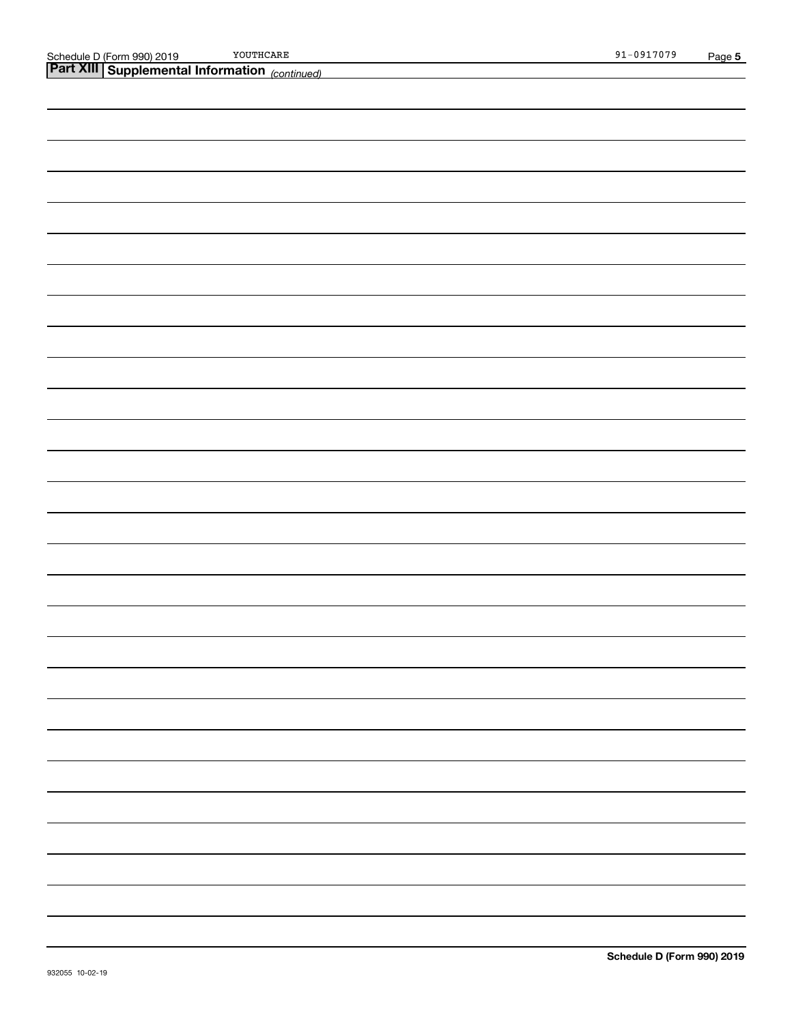| <b>Part XIII Supplemental Information</b> (continued) |  |  |  |
|-------------------------------------------------------|--|--|--|
|                                                       |  |  |  |
|                                                       |  |  |  |
|                                                       |  |  |  |
|                                                       |  |  |  |
|                                                       |  |  |  |
|                                                       |  |  |  |
|                                                       |  |  |  |
|                                                       |  |  |  |
|                                                       |  |  |  |
|                                                       |  |  |  |
|                                                       |  |  |  |
|                                                       |  |  |  |
|                                                       |  |  |  |
|                                                       |  |  |  |
|                                                       |  |  |  |
|                                                       |  |  |  |
|                                                       |  |  |  |
|                                                       |  |  |  |
|                                                       |  |  |  |
|                                                       |  |  |  |
|                                                       |  |  |  |
|                                                       |  |  |  |
|                                                       |  |  |  |
|                                                       |  |  |  |
|                                                       |  |  |  |
|                                                       |  |  |  |
|                                                       |  |  |  |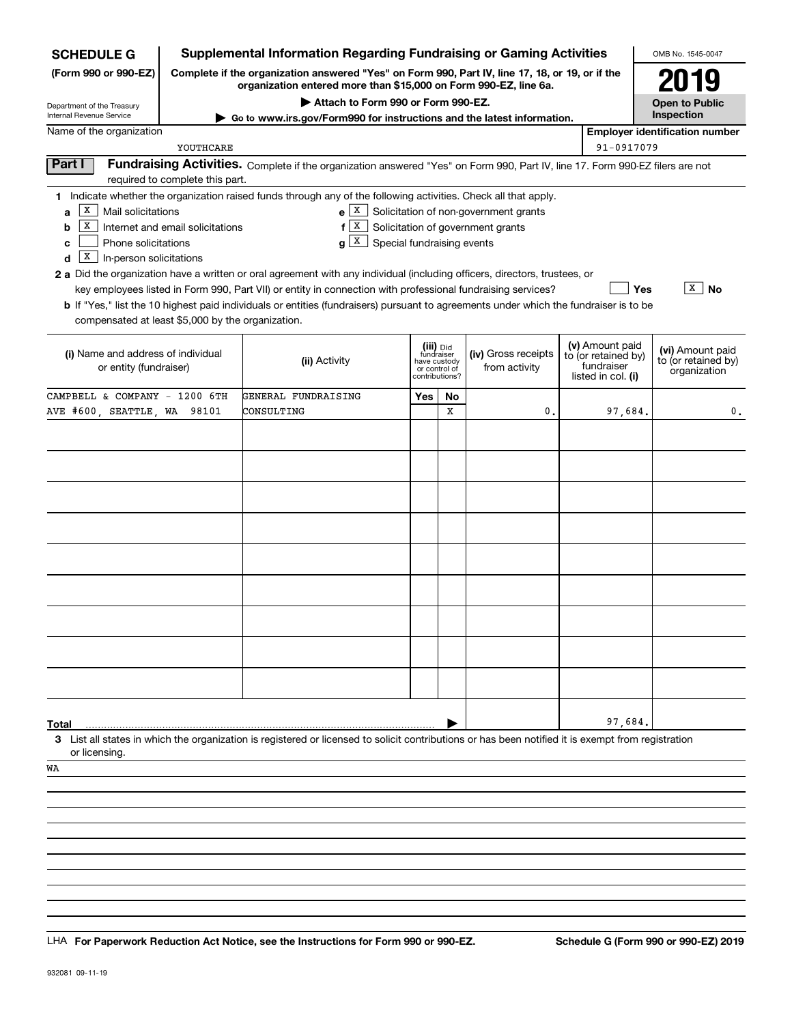| <b>SCHEDULE G</b>                                                                                                                                                |                                                                                                                                                                                                                                                                     | <b>Supplemental Information Regarding Fundraising or Gaming Activities</b>                                                                                                                                                                                                                                                                                                                                                                                                                                                                                               |     |    |                                                                            |                                                         |            | OMB No. 1545-0047                                   |
|------------------------------------------------------------------------------------------------------------------------------------------------------------------|---------------------------------------------------------------------------------------------------------------------------------------------------------------------------------------------------------------------------------------------------------------------|--------------------------------------------------------------------------------------------------------------------------------------------------------------------------------------------------------------------------------------------------------------------------------------------------------------------------------------------------------------------------------------------------------------------------------------------------------------------------------------------------------------------------------------------------------------------------|-----|----|----------------------------------------------------------------------------|---------------------------------------------------------|------------|-----------------------------------------------------|
| (Form 990 or 990-EZ)                                                                                                                                             | Complete if the organization answered "Yes" on Form 990, Part IV, line 17, 18, or 19, or if the<br>organization entered more than \$15,000 on Form 990-EZ, line 6a.                                                                                                 |                                                                                                                                                                                                                                                                                                                                                                                                                                                                                                                                                                          |     |    |                                                                            |                                                         |            |                                                     |
| Department of the Treasury                                                                                                                                       |                                                                                                                                                                                                                                                                     | Attach to Form 990 or Form 990-EZ.                                                                                                                                                                                                                                                                                                                                                                                                                                                                                                                                       |     |    |                                                                            |                                                         |            | <b>Open to Public</b>                               |
| Internal Revenue Service<br>Name of the organization                                                                                                             |                                                                                                                                                                                                                                                                     | Go to www.irs.gov/Form990 for instructions and the latest information.                                                                                                                                                                                                                                                                                                                                                                                                                                                                                                   |     |    |                                                                            |                                                         |            | Inspection<br><b>Employer identification number</b> |
|                                                                                                                                                                  | YOUTHCARE                                                                                                                                                                                                                                                           |                                                                                                                                                                                                                                                                                                                                                                                                                                                                                                                                                                          |     |    |                                                                            |                                                         | 91-0917079 |                                                     |
| Part I                                                                                                                                                           |                                                                                                                                                                                                                                                                     | Fundraising Activities. Complete if the organization answered "Yes" on Form 990, Part IV, line 17. Form 990-EZ filers are not                                                                                                                                                                                                                                                                                                                                                                                                                                            |     |    |                                                                            |                                                         |            |                                                     |
|                                                                                                                                                                  | required to complete this part.                                                                                                                                                                                                                                     |                                                                                                                                                                                                                                                                                                                                                                                                                                                                                                                                                                          |     |    |                                                                            |                                                         |            |                                                     |
| x<br>Mail solicitations<br>a<br>  x<br>b<br>Phone solicitations<br>c<br>  x<br>In-person solicitations<br>d<br>compensated at least \$5,000 by the organization. | Internet and email solicitations                                                                                                                                                                                                                                    | 1 Indicate whether the organization raised funds through any of the following activities. Check all that apply.<br>$e$   X  <br>X<br>f<br>Special fundraising events<br>$g \mid X$<br>2 a Did the organization have a written or oral agreement with any individual (including officers, directors, trustees, or<br>key employees listed in Form 990, Part VII) or entity in connection with professional fundraising services?<br>b If "Yes," list the 10 highest paid individuals or entities (fundraisers) pursuant to agreements under which the fundraiser is to be |     |    | Solicitation of non-government grants<br>Solicitation of government grants |                                                         | Yes        | x<br><b>No</b>                                      |
|                                                                                                                                                                  |                                                                                                                                                                                                                                                                     |                                                                                                                                                                                                                                                                                                                                                                                                                                                                                                                                                                          |     |    |                                                                            |                                                         |            |                                                     |
|                                                                                                                                                                  | (v) Amount paid<br>(iii) Did<br>fundraiser<br>(i) Name and address of individual<br>(iv) Gross receipts<br>to (or retained by)<br>(ii) Activity<br>have custody<br>from activity<br>or entity (fundraiser)<br>or control of<br>listed in col. (i)<br>contributions? |                                                                                                                                                                                                                                                                                                                                                                                                                                                                                                                                                                          |     |    | fundraiser                                                                 | (vi) Amount paid<br>to (or retained by)<br>organization |            |                                                     |
| CAMPBELL & COMPANY - 1200 6TH                                                                                                                                    |                                                                                                                                                                                                                                                                     | GENERAL FUNDRAISING                                                                                                                                                                                                                                                                                                                                                                                                                                                                                                                                                      | Yes | No |                                                                            |                                                         |            |                                                     |
| AVE #600, SEATTLE, WA 98101                                                                                                                                      |                                                                                                                                                                                                                                                                     | CONSULTING                                                                                                                                                                                                                                                                                                                                                                                                                                                                                                                                                               |     | X  | 0                                                                          |                                                         | 97,684.    | 0.                                                  |
|                                                                                                                                                                  |                                                                                                                                                                                                                                                                     |                                                                                                                                                                                                                                                                                                                                                                                                                                                                                                                                                                          |     |    |                                                                            |                                                         |            |                                                     |
|                                                                                                                                                                  |                                                                                                                                                                                                                                                                     |                                                                                                                                                                                                                                                                                                                                                                                                                                                                                                                                                                          |     |    |                                                                            |                                                         |            |                                                     |
|                                                                                                                                                                  |                                                                                                                                                                                                                                                                     |                                                                                                                                                                                                                                                                                                                                                                                                                                                                                                                                                                          |     |    |                                                                            |                                                         |            |                                                     |
|                                                                                                                                                                  |                                                                                                                                                                                                                                                                     |                                                                                                                                                                                                                                                                                                                                                                                                                                                                                                                                                                          |     |    |                                                                            |                                                         |            |                                                     |
|                                                                                                                                                                  |                                                                                                                                                                                                                                                                     |                                                                                                                                                                                                                                                                                                                                                                                                                                                                                                                                                                          |     |    |                                                                            |                                                         |            |                                                     |
|                                                                                                                                                                  |                                                                                                                                                                                                                                                                     |                                                                                                                                                                                                                                                                                                                                                                                                                                                                                                                                                                          |     |    |                                                                            |                                                         |            |                                                     |
|                                                                                                                                                                  |                                                                                                                                                                                                                                                                     |                                                                                                                                                                                                                                                                                                                                                                                                                                                                                                                                                                          |     |    |                                                                            |                                                         |            |                                                     |
|                                                                                                                                                                  |                                                                                                                                                                                                                                                                     |                                                                                                                                                                                                                                                                                                                                                                                                                                                                                                                                                                          |     |    |                                                                            |                                                         |            |                                                     |
|                                                                                                                                                                  |                                                                                                                                                                                                                                                                     |                                                                                                                                                                                                                                                                                                                                                                                                                                                                                                                                                                          |     |    |                                                                            |                                                         |            |                                                     |
|                                                                                                                                                                  |                                                                                                                                                                                                                                                                     |                                                                                                                                                                                                                                                                                                                                                                                                                                                                                                                                                                          |     |    |                                                                            |                                                         |            |                                                     |
|                                                                                                                                                                  |                                                                                                                                                                                                                                                                     |                                                                                                                                                                                                                                                                                                                                                                                                                                                                                                                                                                          |     |    |                                                                            |                                                         |            |                                                     |
|                                                                                                                                                                  |                                                                                                                                                                                                                                                                     |                                                                                                                                                                                                                                                                                                                                                                                                                                                                                                                                                                          |     |    |                                                                            |                                                         |            |                                                     |
|                                                                                                                                                                  |                                                                                                                                                                                                                                                                     |                                                                                                                                                                                                                                                                                                                                                                                                                                                                                                                                                                          |     |    |                                                                            |                                                         |            |                                                     |
|                                                                                                                                                                  |                                                                                                                                                                                                                                                                     |                                                                                                                                                                                                                                                                                                                                                                                                                                                                                                                                                                          |     |    |                                                                            |                                                         |            |                                                     |
| Total                                                                                                                                                            |                                                                                                                                                                                                                                                                     |                                                                                                                                                                                                                                                                                                                                                                                                                                                                                                                                                                          |     |    |                                                                            |                                                         | 97,684.    |                                                     |
| or licensing                                                                                                                                                     |                                                                                                                                                                                                                                                                     | 3 List all states in which the organization is registered or licensed to solicit contributions or has been notified it is exempt from registration                                                                                                                                                                                                                                                                                                                                                                                                                       |     |    |                                                                            |                                                         |            |                                                     |
| WA                                                                                                                                                               |                                                                                                                                                                                                                                                                     |                                                                                                                                                                                                                                                                                                                                                                                                                                                                                                                                                                          |     |    |                                                                            |                                                         |            |                                                     |
|                                                                                                                                                                  |                                                                                                                                                                                                                                                                     |                                                                                                                                                                                                                                                                                                                                                                                                                                                                                                                                                                          |     |    |                                                                            |                                                         |            |                                                     |
|                                                                                                                                                                  |                                                                                                                                                                                                                                                                     |                                                                                                                                                                                                                                                                                                                                                                                                                                                                                                                                                                          |     |    |                                                                            |                                                         |            |                                                     |
|                                                                                                                                                                  |                                                                                                                                                                                                                                                                     |                                                                                                                                                                                                                                                                                                                                                                                                                                                                                                                                                                          |     |    |                                                                            |                                                         |            |                                                     |
|                                                                                                                                                                  |                                                                                                                                                                                                                                                                     |                                                                                                                                                                                                                                                                                                                                                                                                                                                                                                                                                                          |     |    |                                                                            |                                                         |            |                                                     |
|                                                                                                                                                                  |                                                                                                                                                                                                                                                                     |                                                                                                                                                                                                                                                                                                                                                                                                                                                                                                                                                                          |     |    |                                                                            |                                                         |            |                                                     |
|                                                                                                                                                                  |                                                                                                                                                                                                                                                                     |                                                                                                                                                                                                                                                                                                                                                                                                                                                                                                                                                                          |     |    |                                                                            |                                                         |            |                                                     |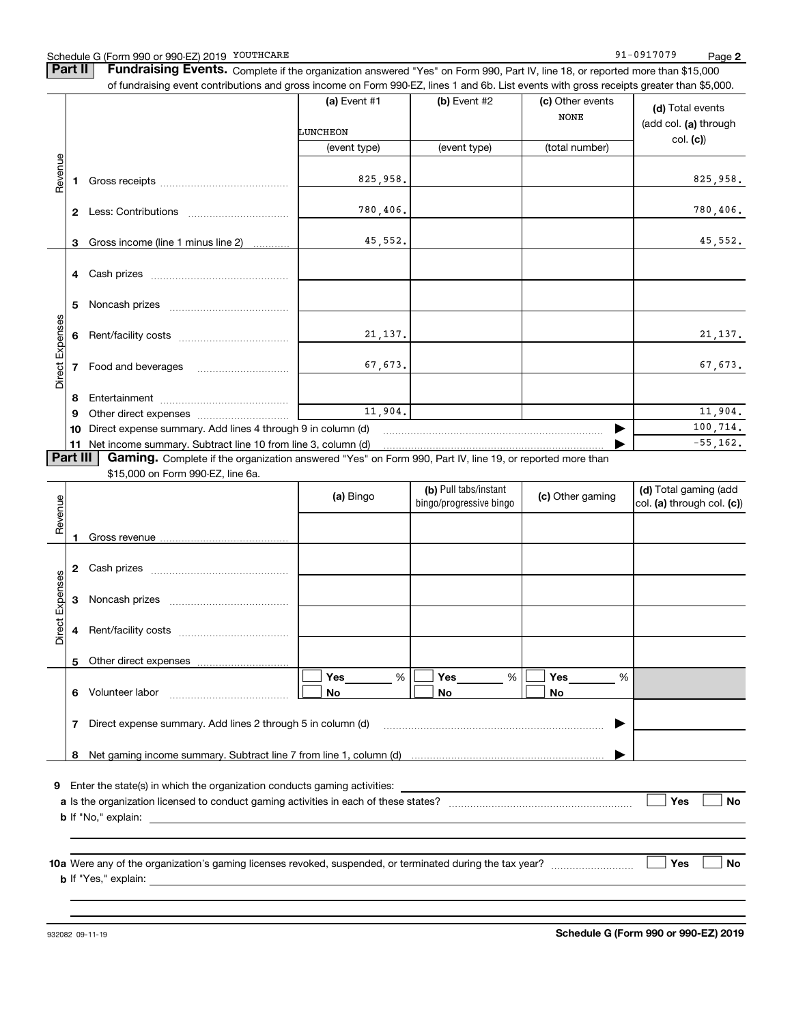#### Schedule G (Form 990 or 990-EZ) 2019 Page YOUTHCARE

**2** 91-0917079

**Part II** | Fundraising Events. Complete if the organization answered "Yes" on Form 990, Part IV, line 18, or reported more than \$15,000 of fundraising event contributions and gross income on Form 990-EZ, lines 1 and 6b. List events with gross receipts greater than \$5,000.

|                 |                                                                                                                      |                                                              | (a) Event #1<br>LUNCHEON | (b) Event $#2$ | (c) Other events<br><b>NONE</b> | (d) Total events<br>(add col. (a) through<br>col. (c) |  |  |
|-----------------|----------------------------------------------------------------------------------------------------------------------|--------------------------------------------------------------|--------------------------|----------------|---------------------------------|-------------------------------------------------------|--|--|
|                 |                                                                                                                      |                                                              | (event type)             | (event type)   | (total number)                  |                                                       |  |  |
| Revenue         |                                                                                                                      |                                                              | 825,958.                 |                |                                 | 825,958.                                              |  |  |
|                 | 2                                                                                                                    | Less: Contributions                                          | 780,406.                 |                |                                 | 780,406.                                              |  |  |
|                 | 3                                                                                                                    | Gross income (line 1 minus line 2)                           | 45,552.                  |                |                                 | 45,552.                                               |  |  |
|                 | 4                                                                                                                    |                                                              |                          |                |                                 |                                                       |  |  |
|                 | 5                                                                                                                    |                                                              |                          |                |                                 |                                                       |  |  |
|                 |                                                                                                                      |                                                              | 21, 137.                 |                |                                 | 21, 137.                                              |  |  |
| Direct Expenses |                                                                                                                      | Food and beverages                                           | 67,673.                  |                |                                 | 67,673.                                               |  |  |
|                 | 8                                                                                                                    |                                                              |                          |                |                                 |                                                       |  |  |
|                 | 9                                                                                                                    |                                                              | 11,904.                  |                |                                 | 11,904.                                               |  |  |
|                 | 10                                                                                                                   | Direct expense summary. Add lines 4 through 9 in column (d)  |                          |                |                                 | 100, 714.                                             |  |  |
|                 | 11                                                                                                                   | Net income summary. Subtract line 10 from line 3, column (d) |                          |                |                                 | $-55, 162.$                                           |  |  |
|                 | Part III<br>Gaming. Complete if the organization answered "Yes" on Form 990, Part IV, line 19, or reported more than |                                                              |                          |                |                                 |                                                       |  |  |

\$15,000 on Form 990-EZ, line 6a.

|                 |    |                                                                                                           | (a) Bingo | (b) Pull tabs/instant<br>bingo/progressive bingo | (c) Other gaming | (d) Total gaming (add<br>col. (a) through col. (c)) |
|-----------------|----|-----------------------------------------------------------------------------------------------------------|-----------|--------------------------------------------------|------------------|-----------------------------------------------------|
| Revenue         | 1. |                                                                                                           |           |                                                  |                  |                                                     |
|                 |    |                                                                                                           |           |                                                  |                  |                                                     |
|                 | 2  |                                                                                                           |           |                                                  |                  |                                                     |
| Direct Expenses | 3  |                                                                                                           |           |                                                  |                  |                                                     |
|                 | 4  |                                                                                                           |           |                                                  |                  |                                                     |
|                 | 5  |                                                                                                           |           |                                                  |                  |                                                     |
|                 |    |                                                                                                           | %         | Yes $\qquad \qquad \qquad$<br>%                  | Yes<br>%         |                                                     |
|                 | 6  |                                                                                                           | <b>No</b> | <b>No</b>                                        | <b>No</b>        |                                                     |
|                 |    | Direct expense summary. Add lines 2 through 5 in column (d)                                               |           |                                                  | ▶                |                                                     |
|                 | 8  |                                                                                                           |           |                                                  |                  |                                                     |
| 9               |    | Enter the state(s) in which the organization conducts gaming activities:                                  |           |                                                  |                  |                                                     |
|                 |    |                                                                                                           |           |                                                  |                  | Yes<br><b>No</b>                                    |
|                 |    |                                                                                                           |           |                                                  |                  |                                                     |
|                 |    |                                                                                                           |           |                                                  |                  |                                                     |
|                 |    | 10a Were any of the organization's gaming licenses revoked, suspended, or terminated during the tax year? |           |                                                  |                  | Yes<br><b>No</b>                                    |
|                 |    |                                                                                                           |           |                                                  |                  |                                                     |
|                 |    |                                                                                                           |           |                                                  |                  |                                                     |
|                 |    |                                                                                                           |           |                                                  |                  |                                                     |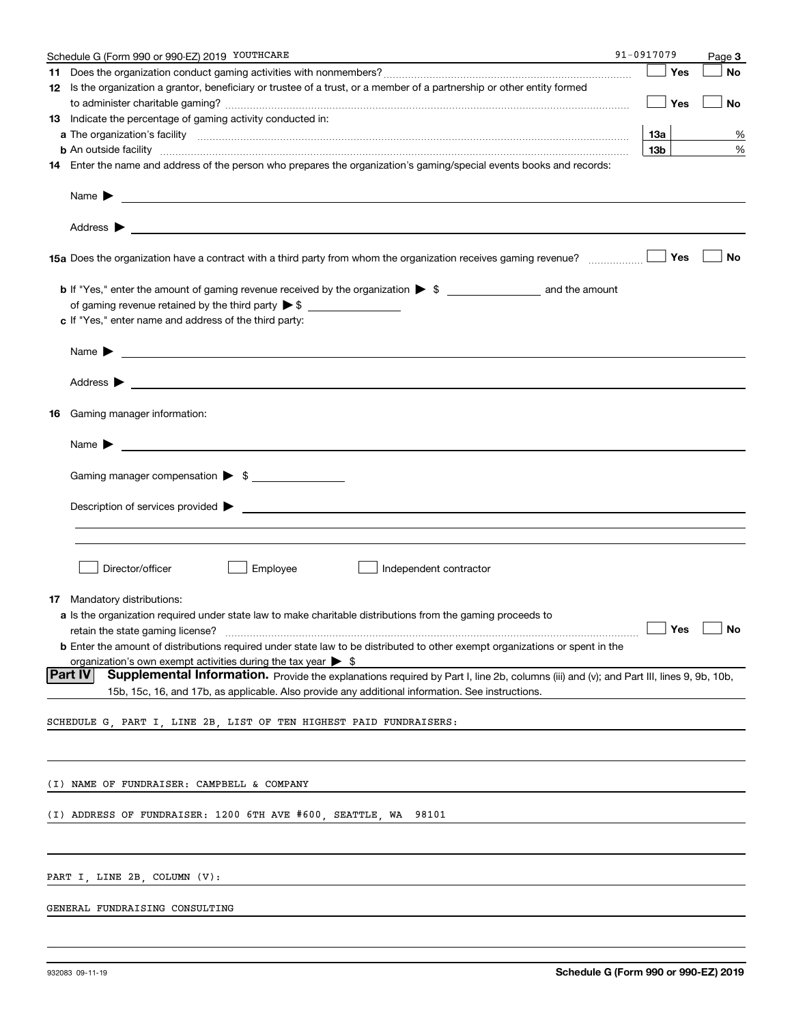| Schedule G (Form 990 or 990-EZ) 2019 YOUTHCARE                                                                                                                                                                                                                                                                 | 91-0917079  |     | Page 3               |
|----------------------------------------------------------------------------------------------------------------------------------------------------------------------------------------------------------------------------------------------------------------------------------------------------------------|-------------|-----|----------------------|
|                                                                                                                                                                                                                                                                                                                | │ Yes       |     | No                   |
| 12 Is the organization a grantor, beneficiary or trustee of a trust, or a member of a partnership or other entity formed                                                                                                                                                                                       |             |     |                      |
|                                                                                                                                                                                                                                                                                                                | $\vert$ Yes |     | No                   |
| 13 Indicate the percentage of gaming activity conducted in:                                                                                                                                                                                                                                                    |             |     |                      |
|                                                                                                                                                                                                                                                                                                                | 13а         |     | %                    |
| <b>b</b> An outside facility <b>contained and the contract of the contract of the contract of the contract of the contract of the contract of the contract of the contract of the contract of the contract of the contract of the con</b>                                                                      | 13b         |     | $\frac{0}{0}$        |
| 14 Enter the name and address of the person who prepares the organization's gaming/special events books and records:                                                                                                                                                                                           |             |     |                      |
| Name $\sum_{n=1}^{\infty}$ and $\sum_{n=1}^{\infty}$ and $\sum_{n=1}^{\infty}$ and $\sum_{n=1}^{\infty}$ and $\sum_{n=1}^{\infty}$ and $\sum_{n=1}^{\infty}$ and $\sum_{n=1}^{\infty}$ and $\sum_{n=1}^{\infty}$ and $\sum_{n=1}^{\infty}$ and $\sum_{n=1}^{\infty}$ and $\sum_{n=1}^{\infty}$ and $\sum_{n=1$ |             |     |                      |
|                                                                                                                                                                                                                                                                                                                |             |     |                      |
| 15a Does the organization have a contract with a third party from whom the organization receives gaming revenue?                                                                                                                                                                                               |             | Yes | No                   |
|                                                                                                                                                                                                                                                                                                                |             |     |                      |
| c If "Yes," enter name and address of the third party:                                                                                                                                                                                                                                                         |             |     |                      |
| Name $\sum_{n=1}^{\infty}$                                                                                                                                                                                                                                                                                     |             |     |                      |
|                                                                                                                                                                                                                                                                                                                |             |     |                      |
| <b>16</b> Gaming manager information:                                                                                                                                                                                                                                                                          |             |     |                      |
|                                                                                                                                                                                                                                                                                                                |             |     |                      |
|                                                                                                                                                                                                                                                                                                                |             |     |                      |
| Gaming manager compensation > \$                                                                                                                                                                                                                                                                               |             |     |                      |
|                                                                                                                                                                                                                                                                                                                |             |     |                      |
|                                                                                                                                                                                                                                                                                                                |             |     |                      |
| Employee<br>Director/officer<br>Independent contractor                                                                                                                                                                                                                                                         |             |     |                      |
| 17 Mandatory distributions:                                                                                                                                                                                                                                                                                    |             |     |                      |
| a Is the organization required under state law to make charitable distributions from the gaming proceeds to                                                                                                                                                                                                    |             |     |                      |
| retain the state gaming license?                                                                                                                                                                                                                                                                               |             |     | $\Box$ Yes $\Box$ No |
| <b>b</b> Enter the amount of distributions required under state law to be distributed to other exempt organizations or spent in the                                                                                                                                                                            |             |     |                      |
| organization's own exempt activities during the tax year $\triangleright$ \$                                                                                                                                                                                                                                   |             |     |                      |
| <b>Part IV</b><br>Supplemental Information. Provide the explanations required by Part I, line 2b, columns (iii) and (v); and Part III, lines 9, 9b, 10b,<br>15b, 15c, 16, and 17b, as applicable. Also provide any additional information. See instructions.                                                   |             |     |                      |
| SCHEDULE G, PART I, LINE 2B, LIST OF TEN HIGHEST PAID FUNDRAISERS:                                                                                                                                                                                                                                             |             |     |                      |
|                                                                                                                                                                                                                                                                                                                |             |     |                      |
|                                                                                                                                                                                                                                                                                                                |             |     |                      |
| (I) NAME OF FUNDRAISER: CAMPBELL & COMPANY                                                                                                                                                                                                                                                                     |             |     |                      |
| (I) ADDRESS OF FUNDRAISER: 1200 6TH AVE #600, SEATTLE, WA<br>98101                                                                                                                                                                                                                                             |             |     |                      |
|                                                                                                                                                                                                                                                                                                                |             |     |                      |
| PART I, LINE 2B, COLUMN (V):                                                                                                                                                                                                                                                                                   |             |     |                      |
| GENERAL FUNDRAISING CONSULTING                                                                                                                                                                                                                                                                                 |             |     |                      |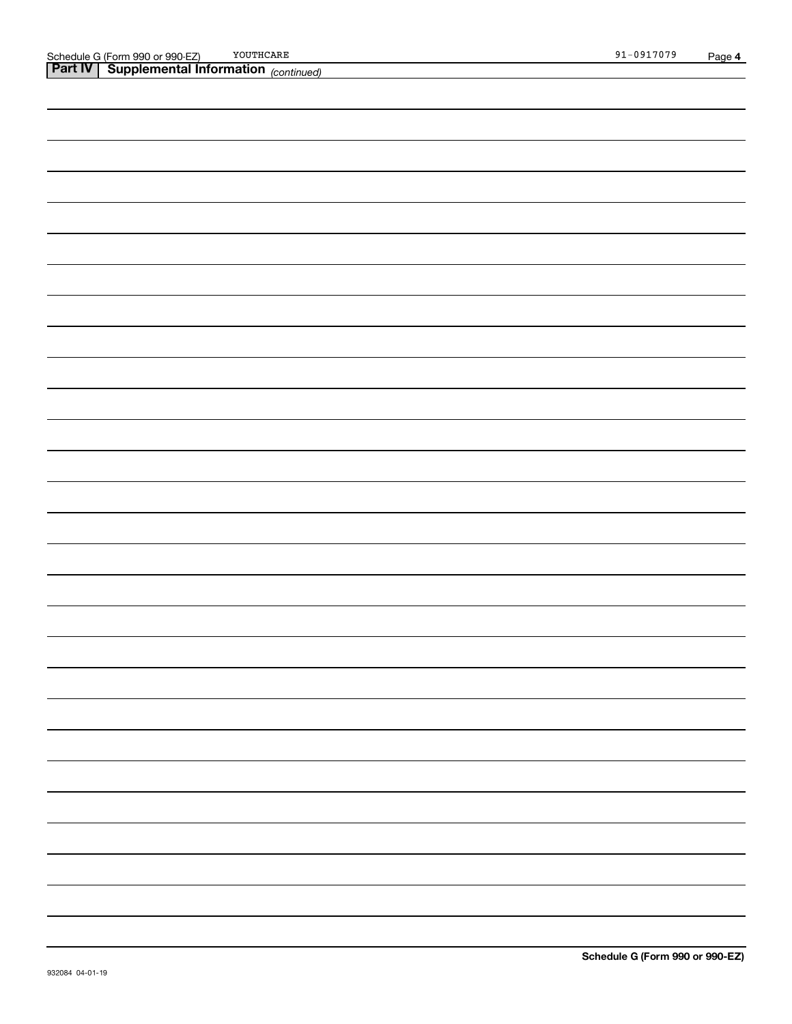| <b>Part IV   Supplemental Information</b> (continued) |
|-------------------------------------------------------|
|                                                       |
|                                                       |
|                                                       |
|                                                       |
|                                                       |
|                                                       |
|                                                       |
|                                                       |
|                                                       |
|                                                       |
|                                                       |
|                                                       |
|                                                       |
|                                                       |
|                                                       |
|                                                       |
|                                                       |
|                                                       |
|                                                       |
|                                                       |
|                                                       |
|                                                       |
|                                                       |
|                                                       |
|                                                       |
|                                                       |
|                                                       |
|                                                       |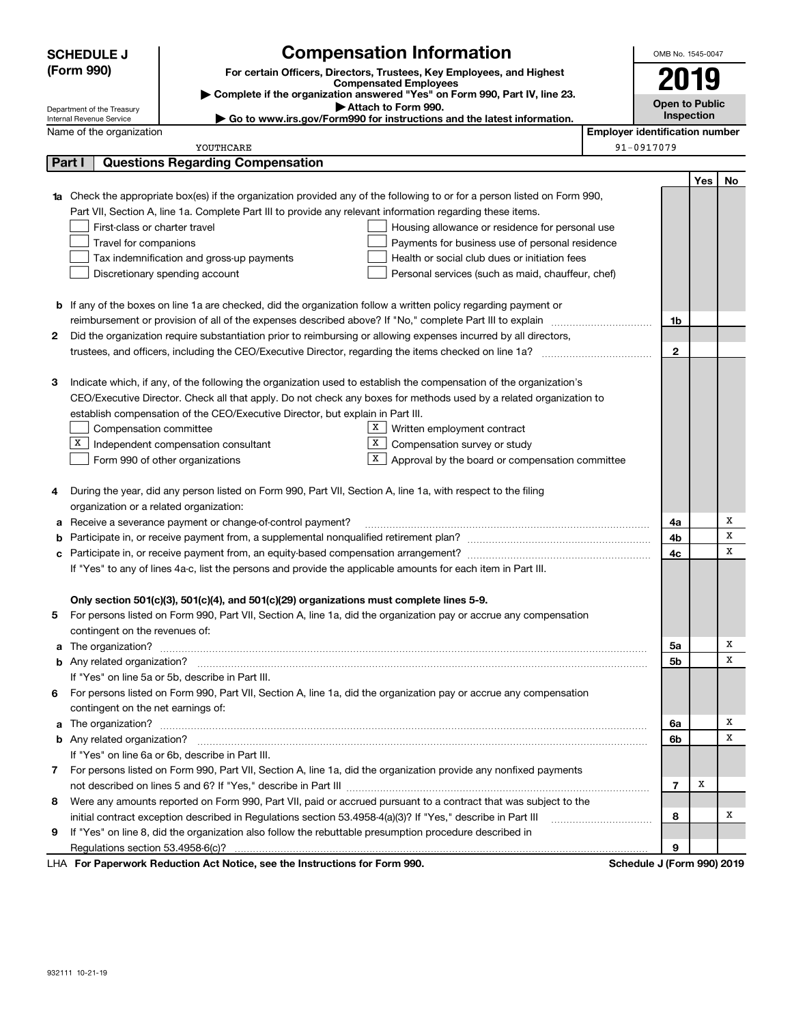|    | <b>Compensation Information</b><br><b>SCHEDULE J</b>                                                                                                                                                 |                                                                                                              |                                                                                                                                                                                                                                      |                                       | OMB No. 1545-0047          |     |    |  |  |
|----|------------------------------------------------------------------------------------------------------------------------------------------------------------------------------------------------------|--------------------------------------------------------------------------------------------------------------|--------------------------------------------------------------------------------------------------------------------------------------------------------------------------------------------------------------------------------------|---------------------------------------|----------------------------|-----|----|--|--|
|    | (Form 990)                                                                                                                                                                                           |                                                                                                              | For certain Officers, Directors, Trustees, Key Employees, and Highest                                                                                                                                                                |                                       | 2019                       |     |    |  |  |
|    |                                                                                                                                                                                                      |                                                                                                              | <b>Compensated Employees</b>                                                                                                                                                                                                         |                                       |                            |     |    |  |  |
|    | Department of the Treasury                                                                                                                                                                           |                                                                                                              | Complete if the organization answered "Yes" on Form 990, Part IV, line 23.<br>Attach to Form 990.                                                                                                                                    |                                       | <b>Open to Public</b>      |     |    |  |  |
|    | Internal Revenue Service                                                                                                                                                                             |                                                                                                              | ► Go to www.irs.gov/Form990 for instructions and the latest information.                                                                                                                                                             |                                       | Inspection                 |     |    |  |  |
|    | Name of the organization                                                                                                                                                                             |                                                                                                              |                                                                                                                                                                                                                                      | <b>Employer identification number</b> |                            |     |    |  |  |
|    |                                                                                                                                                                                                      | YOUTHCARE                                                                                                    |                                                                                                                                                                                                                                      |                                       | 91-0917079                 |     |    |  |  |
|    | Part I                                                                                                                                                                                               | <b>Questions Regarding Compensation</b>                                                                      |                                                                                                                                                                                                                                      |                                       |                            |     |    |  |  |
|    |                                                                                                                                                                                                      |                                                                                                              |                                                                                                                                                                                                                                      |                                       |                            | Yes | No |  |  |
|    |                                                                                                                                                                                                      |                                                                                                              | Check the appropriate box(es) if the organization provided any of the following to or for a person listed on Form 990,                                                                                                               |                                       |                            |     |    |  |  |
|    |                                                                                                                                                                                                      | Part VII, Section A, line 1a. Complete Part III to provide any relevant information regarding these items.   |                                                                                                                                                                                                                                      |                                       |                            |     |    |  |  |
|    | First-class or charter travel<br>Housing allowance or residence for personal use                                                                                                                     |                                                                                                              |                                                                                                                                                                                                                                      |                                       |                            |     |    |  |  |
|    | Travel for companions<br>Payments for business use of personal residence                                                                                                                             |                                                                                                              |                                                                                                                                                                                                                                      |                                       |                            |     |    |  |  |
|    |                                                                                                                                                                                                      | Tax indemnification and gross-up payments                                                                    | Health or social club dues or initiation fees                                                                                                                                                                                        |                                       |                            |     |    |  |  |
|    |                                                                                                                                                                                                      | Discretionary spending account                                                                               | Personal services (such as maid, chauffeur, chef)                                                                                                                                                                                    |                                       |                            |     |    |  |  |
|    |                                                                                                                                                                                                      |                                                                                                              |                                                                                                                                                                                                                                      |                                       |                            |     |    |  |  |
|    |                                                                                                                                                                                                      |                                                                                                              | <b>b</b> If any of the boxes on line 1a are checked, did the organization follow a written policy regarding payment or                                                                                                               |                                       |                            |     |    |  |  |
|    |                                                                                                                                                                                                      |                                                                                                              | reimbursement or provision of all of the expenses described above? If "No," complete Part III to explain                                                                                                                             |                                       | 1b                         |     |    |  |  |
| 2  |                                                                                                                                                                                                      |                                                                                                              | Did the organization require substantiation prior to reimbursing or allowing expenses incurred by all directors,                                                                                                                     |                                       |                            |     |    |  |  |
|    |                                                                                                                                                                                                      |                                                                                                              |                                                                                                                                                                                                                                      |                                       | $\mathbf{2}$               |     |    |  |  |
|    |                                                                                                                                                                                                      |                                                                                                              |                                                                                                                                                                                                                                      |                                       |                            |     |    |  |  |
| з  | Indicate which, if any, of the following the organization used to establish the compensation of the organization's                                                                                   |                                                                                                              |                                                                                                                                                                                                                                      |                                       |                            |     |    |  |  |
|    | CEO/Executive Director. Check all that apply. Do not check any boxes for methods used by a related organization to<br>establish compensation of the CEO/Executive Director, but explain in Part III. |                                                                                                              |                                                                                                                                                                                                                                      |                                       |                            |     |    |  |  |
|    | Compensation committee<br>X  <br>Written employment contract                                                                                                                                         |                                                                                                              |                                                                                                                                                                                                                                      |                                       |                            |     |    |  |  |
|    | х<br>X                                                                                                                                                                                               |                                                                                                              |                                                                                                                                                                                                                                      |                                       |                            |     |    |  |  |
|    | Compensation survey or study<br>Independent compensation consultant<br>Form 990 of other organizations<br>Approval by the board or compensation committee                                            |                                                                                                              |                                                                                                                                                                                                                                      |                                       |                            |     |    |  |  |
|    |                                                                                                                                                                                                      |                                                                                                              |                                                                                                                                                                                                                                      |                                       |                            |     |    |  |  |
| 4  |                                                                                                                                                                                                      | During the year, did any person listed on Form 990, Part VII, Section A, line 1a, with respect to the filing |                                                                                                                                                                                                                                      |                                       |                            |     |    |  |  |
|    | organization or a related organization:                                                                                                                                                              |                                                                                                              |                                                                                                                                                                                                                                      |                                       |                            |     |    |  |  |
| а  |                                                                                                                                                                                                      | Receive a severance payment or change-of-control payment?                                                    |                                                                                                                                                                                                                                      |                                       | 4a                         |     | Х  |  |  |
| b  |                                                                                                                                                                                                      |                                                                                                              |                                                                                                                                                                                                                                      |                                       | 4b                         |     | х  |  |  |
|    |                                                                                                                                                                                                      |                                                                                                              |                                                                                                                                                                                                                                      |                                       | 4c                         |     | х  |  |  |
|    | If "Yes" to any of lines 4a-c, list the persons and provide the applicable amounts for each item in Part III.                                                                                        |                                                                                                              |                                                                                                                                                                                                                                      |                                       |                            |     |    |  |  |
|    |                                                                                                                                                                                                      |                                                                                                              |                                                                                                                                                                                                                                      |                                       |                            |     |    |  |  |
|    |                                                                                                                                                                                                      | Only section 501(c)(3), 501(c)(4), and 501(c)(29) organizations must complete lines 5-9.                     |                                                                                                                                                                                                                                      |                                       |                            |     |    |  |  |
| 5  |                                                                                                                                                                                                      |                                                                                                              | For persons listed on Form 990, Part VII, Section A, line 1a, did the organization pay or accrue any compensation                                                                                                                    |                                       |                            |     |    |  |  |
|    | contingent on the revenues of:                                                                                                                                                                       |                                                                                                              |                                                                                                                                                                                                                                      |                                       |                            |     |    |  |  |
| a  |                                                                                                                                                                                                      |                                                                                                              | The organization? <b>With the contract of the contract of the contract of the contract of the contract of the contract of the contract of the contract of the contract of the contract of the contract of the contract of the co</b> |                                       | 5a                         |     | Х  |  |  |
|    |                                                                                                                                                                                                      |                                                                                                              |                                                                                                                                                                                                                                      |                                       | 5b                         |     | X  |  |  |
|    |                                                                                                                                                                                                      | If "Yes" on line 5a or 5b, describe in Part III.                                                             |                                                                                                                                                                                                                                      |                                       |                            |     |    |  |  |
| 6. |                                                                                                                                                                                                      |                                                                                                              | For persons listed on Form 990, Part VII, Section A, line 1a, did the organization pay or accrue any compensation                                                                                                                    |                                       |                            |     |    |  |  |
|    | contingent on the net earnings of:                                                                                                                                                                   |                                                                                                              |                                                                                                                                                                                                                                      |                                       |                            |     |    |  |  |
| a  |                                                                                                                                                                                                      |                                                                                                              |                                                                                                                                                                                                                                      |                                       | 6a                         |     | Х  |  |  |
|    |                                                                                                                                                                                                      |                                                                                                              |                                                                                                                                                                                                                                      |                                       | 6b                         |     | X  |  |  |
|    |                                                                                                                                                                                                      | If "Yes" on line 6a or 6b, describe in Part III.                                                             |                                                                                                                                                                                                                                      |                                       |                            |     |    |  |  |
|    |                                                                                                                                                                                                      |                                                                                                              | 7 For persons listed on Form 990, Part VII, Section A, line 1a, did the organization provide any nonfixed payments                                                                                                                   |                                       |                            |     |    |  |  |
|    |                                                                                                                                                                                                      |                                                                                                              |                                                                                                                                                                                                                                      |                                       | 7                          | Х   |    |  |  |
| 8  |                                                                                                                                                                                                      |                                                                                                              | Were any amounts reported on Form 990, Part VII, paid or accrued pursuant to a contract that was subject to the                                                                                                                      |                                       |                            |     |    |  |  |
|    |                                                                                                                                                                                                      | initial contract exception described in Regulations section 53.4958-4(a)(3)? If "Yes," describe in Part III  |                                                                                                                                                                                                                                      |                                       | 8                          |     | х  |  |  |
| 9  |                                                                                                                                                                                                      | If "Yes" on line 8, did the organization also follow the rebuttable presumption procedure described in       |                                                                                                                                                                                                                                      |                                       |                            |     |    |  |  |
|    |                                                                                                                                                                                                      |                                                                                                              |                                                                                                                                                                                                                                      |                                       | 9                          |     |    |  |  |
|    |                                                                                                                                                                                                      | LHA For Paperwork Reduction Act Notice, see the Instructions for Form 990.                                   |                                                                                                                                                                                                                                      |                                       | Schedule J (Form 990) 2019 |     |    |  |  |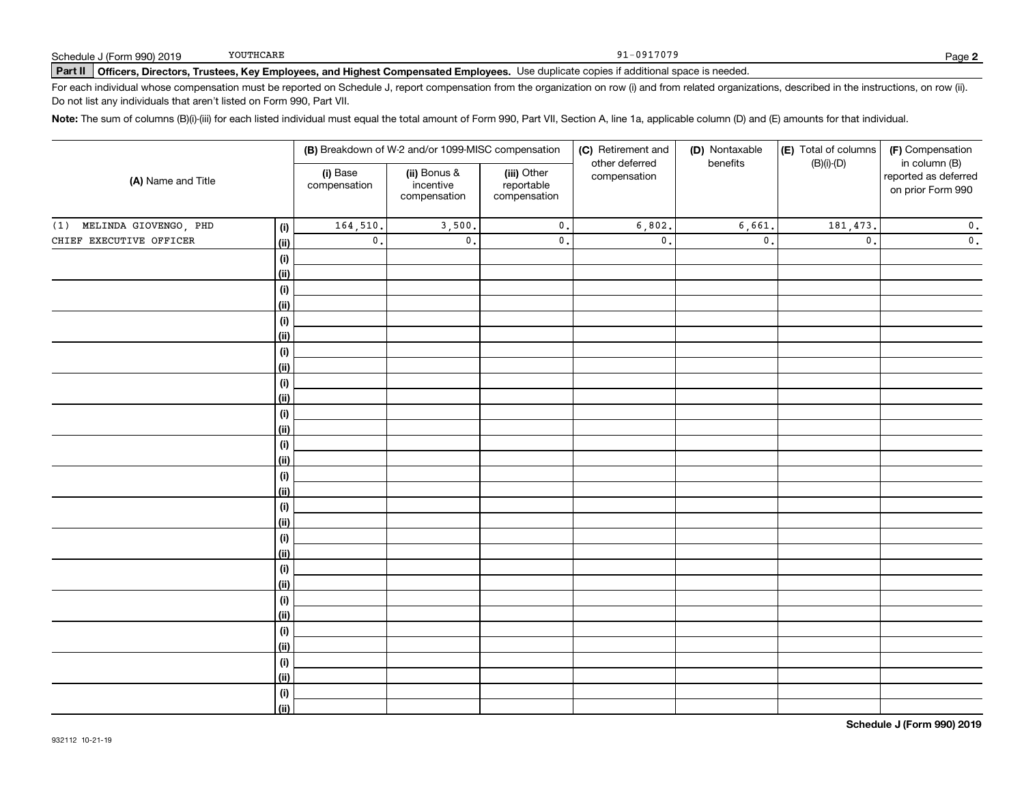#### 91-0917079

# **Part II Officers, Directors, Trustees, Key Employees, and Highest Compensated Employees.**  Schedule J (Form 990) 2019 Page Use duplicate copies if additional space is needed.

For each individual whose compensation must be reported on Schedule J, report compensation from the organization on row (i) and from related organizations, described in the instructions, on row (ii). Do not list any individuals that aren't listed on Form 990, Part VII.

**Note:**  The sum of columns (B)(i)-(iii) for each listed individual must equal the total amount of Form 990, Part VII, Section A, line 1a, applicable column (D) and (E) amounts for that individual.

| (A) Name and Title           |                              |                                                                                                    | (B) Breakdown of W-2 and/or 1099-MISC compensation |               | (C) Retirement and             | (D) Nontaxable  | (E) Total of columns | (F) Compensation                                           |  |
|------------------------------|------------------------------|----------------------------------------------------------------------------------------------------|----------------------------------------------------|---------------|--------------------------------|-----------------|----------------------|------------------------------------------------------------|--|
|                              |                              | (i) Base<br>(ii) Bonus &<br>(iii) Other<br>incentive<br>reportable<br>compensation<br>compensation |                                                    | compensation  | other deferred<br>compensation | benefits        | $(B)(i)-(D)$         | in column (B)<br>reported as deferred<br>on prior Form 990 |  |
| MELINDA GIOVENGO, PHD<br>(1) | (i)                          | 164,510.                                                                                           | 3,500.                                             | $\mathbf 0$ . | 6,802.                         | 6,661.          | 181,473.             | $\mathbf 0$ .                                              |  |
| CHIEF EXECUTIVE OFFICER      | <u>(ii)</u>                  | $\mathbf 0$ .                                                                                      | $\mathsf{0}$ .                                     | $\mathbf 0$ . | $\mathfrak o$ .                | $\mathfrak o$ . | $\mathfrak o$ .      | $\mathbf 0$ .                                              |  |
|                              | $\qquad \qquad \textbf{(i)}$ |                                                                                                    |                                                    |               |                                |                 |                      |                                                            |  |
|                              | <u>(ii)</u>                  |                                                                                                    |                                                    |               |                                |                 |                      |                                                            |  |
|                              | $(\sf{i})$                   |                                                                                                    |                                                    |               |                                |                 |                      |                                                            |  |
|                              | (ii)                         |                                                                                                    |                                                    |               |                                |                 |                      |                                                            |  |
|                              | (i)                          |                                                                                                    |                                                    |               |                                |                 |                      |                                                            |  |
|                              | <u>(ii)</u>                  |                                                                                                    |                                                    |               |                                |                 |                      |                                                            |  |
|                              | (i)                          |                                                                                                    |                                                    |               |                                |                 |                      |                                                            |  |
|                              | <u>(ii)</u>                  |                                                                                                    |                                                    |               |                                |                 |                      |                                                            |  |
|                              | (i)                          |                                                                                                    |                                                    |               |                                |                 |                      |                                                            |  |
|                              | <u>(ii)</u>                  |                                                                                                    |                                                    |               |                                |                 |                      |                                                            |  |
|                              | (i)                          |                                                                                                    |                                                    |               |                                |                 |                      |                                                            |  |
|                              | (ii)                         |                                                                                                    |                                                    |               |                                |                 |                      |                                                            |  |
|                              | (i)                          |                                                                                                    |                                                    |               |                                |                 |                      |                                                            |  |
|                              | <u>(ii)</u>                  |                                                                                                    |                                                    |               |                                |                 |                      |                                                            |  |
|                              | (i)                          |                                                                                                    |                                                    |               |                                |                 |                      |                                                            |  |
|                              | <u>(ii)</u>                  |                                                                                                    |                                                    |               |                                |                 |                      |                                                            |  |
|                              | (i)                          |                                                                                                    |                                                    |               |                                |                 |                      |                                                            |  |
|                              | <u>(ii)</u>                  |                                                                                                    |                                                    |               |                                |                 |                      |                                                            |  |
|                              | (i)                          |                                                                                                    |                                                    |               |                                |                 |                      |                                                            |  |
|                              | <u>(ii)</u>                  |                                                                                                    |                                                    |               |                                |                 |                      |                                                            |  |
|                              | (i)<br>(ii)                  |                                                                                                    |                                                    |               |                                |                 |                      |                                                            |  |
|                              | (i)                          |                                                                                                    |                                                    |               |                                |                 |                      |                                                            |  |
|                              | <u>(ii)</u>                  |                                                                                                    |                                                    |               |                                |                 |                      |                                                            |  |
|                              | (i)                          |                                                                                                    |                                                    |               |                                |                 |                      |                                                            |  |
|                              | <u>(ii)</u>                  |                                                                                                    |                                                    |               |                                |                 |                      |                                                            |  |
|                              | (i)                          |                                                                                                    |                                                    |               |                                |                 |                      |                                                            |  |
|                              | <u>(ii)</u>                  |                                                                                                    |                                                    |               |                                |                 |                      |                                                            |  |
|                              | (i)                          |                                                                                                    |                                                    |               |                                |                 |                      |                                                            |  |
|                              | $\overline{}}$               |                                                                                                    |                                                    |               |                                |                 |                      |                                                            |  |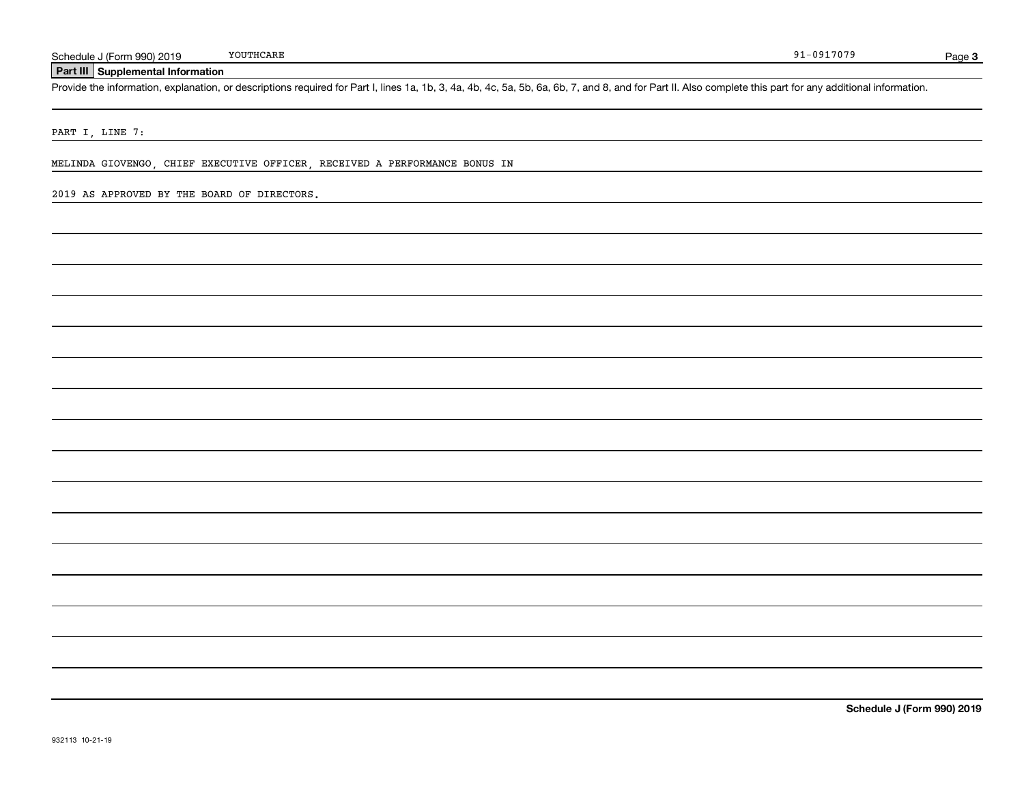## **Part III Supplemental Information**

Schedule J (Form 990) 2019 YOUTHCARE<br>Part III Supplemental Information<br>Provide the information, explanation, or descriptions required for Part I, lines 1a, 1b, 3, 4a, 4b, 4c, 5a, 5b, 6a, 6b, 7, and 8, and for Part II. Also

PART I, LINE 7:

MELINDA GIOVENGO, CHIEF EXECUTIVE OFFICER, RECEIVED A PERFORMANCE BONUS IN

2019 AS APPROVED BY THE BOARD OF DIRECTORS.

**Schedule J (Form 990) 2019**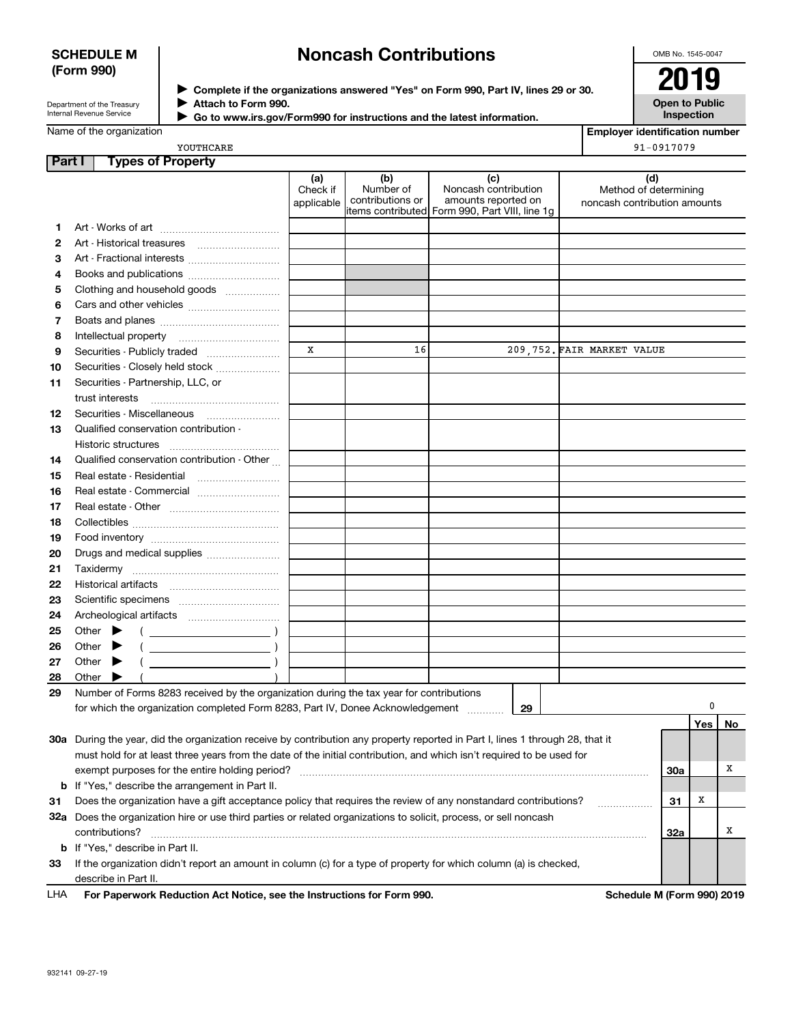### **SCHEDULE M (Form 990)**

# **Noncash Contributions**

OMB No. 1545-0047

Department of the Treasury Internal Revenue Service

**Complete if the organizations answered "Yes" on Form 990, Part IV, lines 29 or 30.** <sup>J</sup>**2019 Attach to Form 990.** J

 **Go to www.irs.gov/Form990 for instructions and the latest information.** J



| Name of the organization |  |
|--------------------------|--|
|                          |  |

**Employer identification number**

|        | YOUTHCARE<br>91-0917079                                                                                                                                                                                                                                                                                                                                                                                                    |                               |                                      |                                                                                                       |                                                              |            |             |    |
|--------|----------------------------------------------------------------------------------------------------------------------------------------------------------------------------------------------------------------------------------------------------------------------------------------------------------------------------------------------------------------------------------------------------------------------------|-------------------------------|--------------------------------------|-------------------------------------------------------------------------------------------------------|--------------------------------------------------------------|------------|-------------|----|
| Part I | <b>Types of Property</b>                                                                                                                                                                                                                                                                                                                                                                                                   |                               |                                      |                                                                                                       |                                                              |            |             |    |
|        |                                                                                                                                                                                                                                                                                                                                                                                                                            | (a)<br>Check if<br>applicable | (b)<br>Number of<br>contributions or | (c)<br>Noncash contribution<br>amounts reported on<br>litems contributed Form 990, Part VIII, line 1g | (d)<br>Method of determining<br>noncash contribution amounts |            |             |    |
| 1.     |                                                                                                                                                                                                                                                                                                                                                                                                                            |                               |                                      |                                                                                                       |                                                              |            |             |    |
| 2      |                                                                                                                                                                                                                                                                                                                                                                                                                            |                               |                                      |                                                                                                       |                                                              |            |             |    |
| 3      | Art - Fractional interests                                                                                                                                                                                                                                                                                                                                                                                                 |                               |                                      |                                                                                                       |                                                              |            |             |    |
| 4      |                                                                                                                                                                                                                                                                                                                                                                                                                            |                               |                                      |                                                                                                       |                                                              |            |             |    |
| 5      | Clothing and household goods                                                                                                                                                                                                                                                                                                                                                                                               |                               |                                      |                                                                                                       |                                                              |            |             |    |
| 6      |                                                                                                                                                                                                                                                                                                                                                                                                                            |                               |                                      |                                                                                                       |                                                              |            |             |    |
| 7      |                                                                                                                                                                                                                                                                                                                                                                                                                            |                               |                                      |                                                                                                       |                                                              |            |             |    |
| 8      |                                                                                                                                                                                                                                                                                                                                                                                                                            |                               |                                      |                                                                                                       |                                                              |            |             |    |
| 9      | Securities - Publicly traded                                                                                                                                                                                                                                                                                                                                                                                               | X                             | 16                                   |                                                                                                       | 209,752. FAIR MARKET VALUE                                   |            |             |    |
| 10     | Securities - Closely held stock                                                                                                                                                                                                                                                                                                                                                                                            |                               |                                      |                                                                                                       |                                                              |            |             |    |
| 11     | Securities - Partnership, LLC, or                                                                                                                                                                                                                                                                                                                                                                                          |                               |                                      |                                                                                                       |                                                              |            |             |    |
|        |                                                                                                                                                                                                                                                                                                                                                                                                                            |                               |                                      |                                                                                                       |                                                              |            |             |    |
| 12     | Securities - Miscellaneous                                                                                                                                                                                                                                                                                                                                                                                                 |                               |                                      |                                                                                                       |                                                              |            |             |    |
| 13     | Qualified conservation contribution -                                                                                                                                                                                                                                                                                                                                                                                      |                               |                                      |                                                                                                       |                                                              |            |             |    |
|        |                                                                                                                                                                                                                                                                                                                                                                                                                            |                               |                                      |                                                                                                       |                                                              |            |             |    |
| 14     | Qualified conservation contribution - Other                                                                                                                                                                                                                                                                                                                                                                                |                               |                                      |                                                                                                       |                                                              |            |             |    |
| 15     | Real estate - Residential                                                                                                                                                                                                                                                                                                                                                                                                  |                               |                                      |                                                                                                       |                                                              |            |             |    |
| 16     |                                                                                                                                                                                                                                                                                                                                                                                                                            |                               |                                      |                                                                                                       |                                                              |            |             |    |
| 17     |                                                                                                                                                                                                                                                                                                                                                                                                                            |                               |                                      |                                                                                                       |                                                              |            |             |    |
| 18     |                                                                                                                                                                                                                                                                                                                                                                                                                            |                               |                                      |                                                                                                       |                                                              |            |             |    |
| 19     |                                                                                                                                                                                                                                                                                                                                                                                                                            |                               |                                      |                                                                                                       |                                                              |            |             |    |
| 20     | Drugs and medical supplies                                                                                                                                                                                                                                                                                                                                                                                                 |                               |                                      |                                                                                                       |                                                              |            |             |    |
| 21     |                                                                                                                                                                                                                                                                                                                                                                                                                            |                               |                                      |                                                                                                       |                                                              |            |             |    |
| 22     |                                                                                                                                                                                                                                                                                                                                                                                                                            |                               |                                      |                                                                                                       |                                                              |            |             |    |
| 23     |                                                                                                                                                                                                                                                                                                                                                                                                                            |                               |                                      |                                                                                                       |                                                              |            |             |    |
| 24     |                                                                                                                                                                                                                                                                                                                                                                                                                            |                               |                                      |                                                                                                       |                                                              |            |             |    |
| 25     | Other $\blacktriangleright$<br>$\left(\begin{array}{ccc}\n&\n&\n\end{array}\right)$                                                                                                                                                                                                                                                                                                                                        |                               |                                      |                                                                                                       |                                                              |            |             |    |
| 26     | $\left(\begin{array}{ccc} \rule{0pt}{2.5ex} & \rule{0pt}{2.5ex} & \rule{0pt}{2.5ex} & \rule{0pt}{2.5ex} & \rule{0pt}{2.5ex} & \rule{0pt}{2.5ex} & \rule{0pt}{2.5ex} & \rule{0pt}{2.5ex} & \rule{0pt}{2.5ex} & \rule{0pt}{2.5ex} & \rule{0pt}{2.5ex} & \rule{0pt}{2.5ex} & \rule{0pt}{2.5ex} & \rule{0pt}{2.5ex} & \rule{0pt}{2.5ex} & \rule{0pt}{2.5ex} & \rule{0pt}{2.5ex} & \rule{0pt}{2$<br>Other $\blacktriangleright$ |                               |                                      |                                                                                                       |                                                              |            |             |    |
| 27     | $($ $)$<br>Other $\blacktriangleright$                                                                                                                                                                                                                                                                                                                                                                                     |                               |                                      |                                                                                                       |                                                              |            |             |    |
| 28     | Other $\blacktriangleright$                                                                                                                                                                                                                                                                                                                                                                                                |                               |                                      |                                                                                                       |                                                              |            |             |    |
| 29     | Number of Forms 8283 received by the organization during the tax year for contributions                                                                                                                                                                                                                                                                                                                                    |                               |                                      |                                                                                                       |                                                              |            |             |    |
|        | for which the organization completed Form 8283, Part IV, Donee Acknowledgement                                                                                                                                                                                                                                                                                                                                             |                               |                                      | 29                                                                                                    |                                                              |            | 0           |    |
|        |                                                                                                                                                                                                                                                                                                                                                                                                                            |                               |                                      |                                                                                                       |                                                              |            | $Yes \vert$ | No |
|        | 30a During the year, did the organization receive by contribution any property reported in Part I, lines 1 through 28, that it                                                                                                                                                                                                                                                                                             |                               |                                      |                                                                                                       |                                                              |            |             |    |
|        | must hold for at least three years from the date of the initial contribution, and which isn't required to be used for                                                                                                                                                                                                                                                                                                      |                               |                                      |                                                                                                       |                                                              |            |             |    |
|        | exempt purposes for the entire holding period?                                                                                                                                                                                                                                                                                                                                                                             |                               |                                      |                                                                                                       |                                                              | <b>30a</b> |             | х  |
|        | <b>b</b> If "Yes," describe the arrangement in Part II.                                                                                                                                                                                                                                                                                                                                                                    |                               |                                      |                                                                                                       |                                                              |            |             |    |
| 31     | Does the organization have a gift acceptance policy that requires the review of any nonstandard contributions?                                                                                                                                                                                                                                                                                                             |                               |                                      |                                                                                                       |                                                              | 31         | Х           |    |
|        | 32a Does the organization hire or use third parties or related organizations to solicit, process, or sell noncash                                                                                                                                                                                                                                                                                                          |                               |                                      |                                                                                                       |                                                              |            |             |    |
|        | contributions?                                                                                                                                                                                                                                                                                                                                                                                                             |                               |                                      |                                                                                                       |                                                              | 32a        |             | х  |
|        | b If "Yes," describe in Part II.                                                                                                                                                                                                                                                                                                                                                                                           |                               |                                      |                                                                                                       |                                                              |            |             |    |
| 33     | If the organization didn't report an amount in column (c) for a type of property for which column (a) is checked,                                                                                                                                                                                                                                                                                                          |                               |                                      |                                                                                                       |                                                              |            |             |    |
|        | describe in Part II.                                                                                                                                                                                                                                                                                                                                                                                                       |                               |                                      |                                                                                                       |                                                              |            |             |    |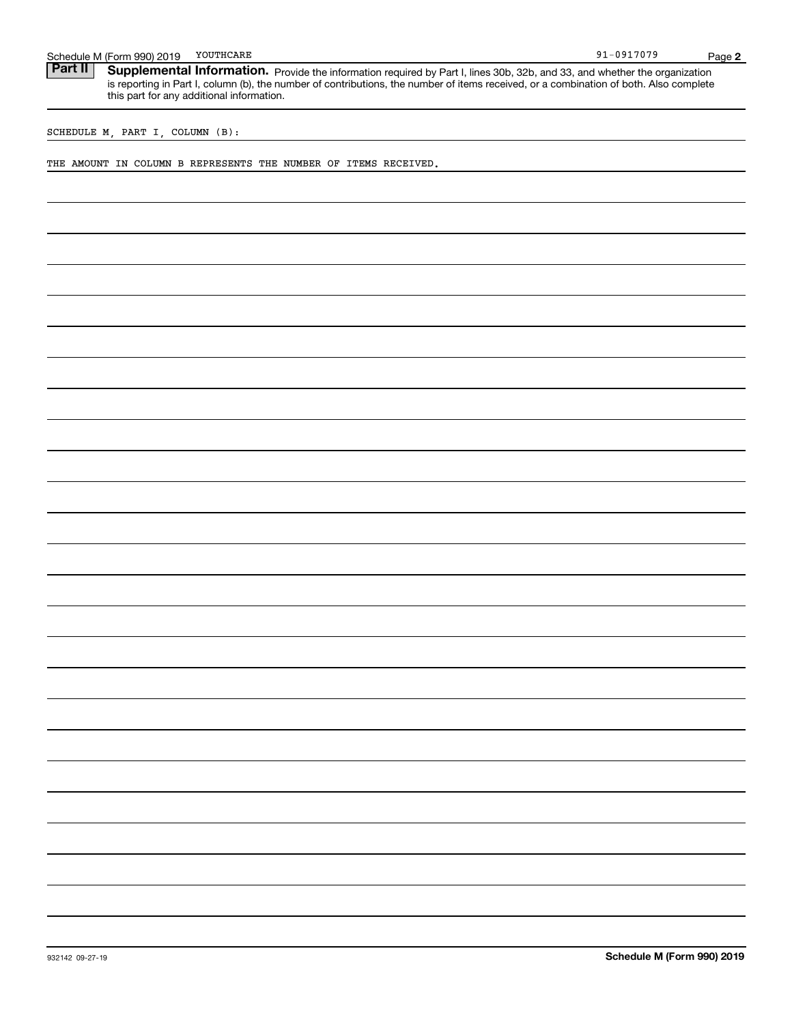Part II | Supplemental Information. Provide the information required by Part I, lines 30b, 32b, and 33, and whether the organization is reporting in Part I, column (b), the number of contributions, the number of items received, or a combination of both. Also complete this part for any additional information.

SCHEDULE M, PART I, COLUMN (B):

THE AMOUNT IN COLUMN B REPRESENTS THE NUMBER OF ITEMS RECEIVED.

**2**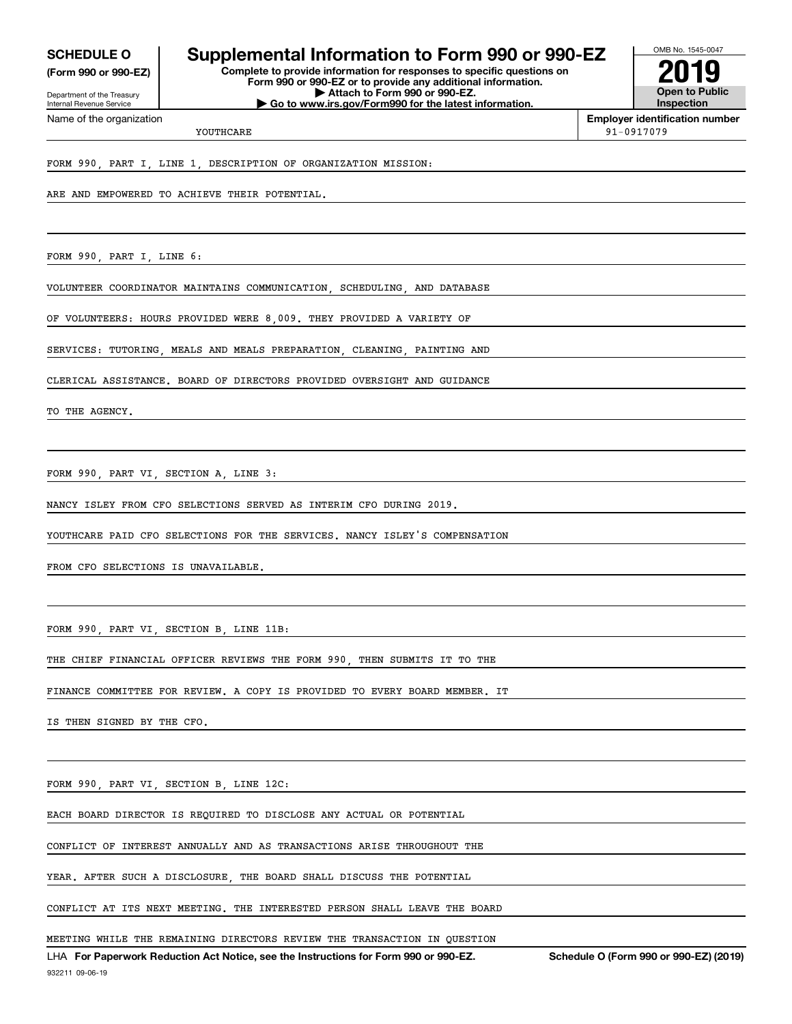**(Form 990 or 990-EZ)**

Department of the Treasury Internal Revenue Service Name of the organization

# **SCHEDULE O Supplemental Information to Form 990 or 990-EZ**

**Complete to provide information for responses to specific questions on Form 990 or 990-EZ or to provide any additional information. | Attach to Form 990 or 990-EZ. | Go to www.irs.gov/Form990 for the latest information.**



**Employer identification number** 91-0917079

YOUTHCARE

FORM 990, PART I, LINE 1, DESCRIPTION OF ORGANIZATION MISSION:

ARE AND EMPOWERED TO ACHIEVE THEIR POTENTIAL.

FORM 990, PART I, LINE 6:

VOLUNTEER COORDINATOR MAINTAINS COMMUNICATION, SCHEDULING, AND DATABASE

OF VOLUNTEERS: HOURS PROVIDED WERE 8,009. THEY PROVIDED A VARIETY OF

SERVICES: TUTORING, MEALS AND MEALS PREPARATION, CLEANING, PAINTING AND

CLERICAL ASSISTANCE. BOARD OF DIRECTORS PROVIDED OVERSIGHT AND GUIDANCE

TO THE AGENCY.

FORM 990, PART VI, SECTION A, LINE 3:

NANCY ISLEY FROM CFO SELECTIONS SERVED AS INTERIM CFO DURING 2019.

YOUTHCARE PAID CFO SELECTIONS FOR THE SERVICES. NANCY ISLEY'S COMPENSATION

FROM CFO SELECTIONS IS UNAVAILABLE.

FORM 990, PART VI, SECTION B, LINE 11B:

THE CHIEF FINANCIAL OFFICER REVIEWS THE FORM 990, THEN SUBMITS IT TO THE

FINANCE COMMITTEE FOR REVIEW. A COPY IS PROVIDED TO EVERY BOARD MEMBER. IT

IS THEN SIGNED BY THE CFO.

FORM 990, PART VI, SECTION B, LINE 12C:

EACH BOARD DIRECTOR IS REQUIRED TO DISCLOSE ANY ACTUAL OR POTENTIAL

CONFLICT OF INTEREST ANNUALLY AND AS TRANSACTIONS ARISE THROUGHOUT THE

YEAR. AFTER SUCH A DISCLOSURE, THE BOARD SHALL DISCUSS THE POTENTIAL

CONFLICT AT ITS NEXT MEETING. THE INTERESTED PERSON SHALL LEAVE THE BOARD

MEETING WHILE THE REMAINING DIRECTORS REVIEW THE TRANSACTION IN QUESTION

LHA For Paperwork Reduction Act Notice, see the Instructions for Form 990 or 990-EZ. Schedule O (Form 990 or 990-EZ) (2019)